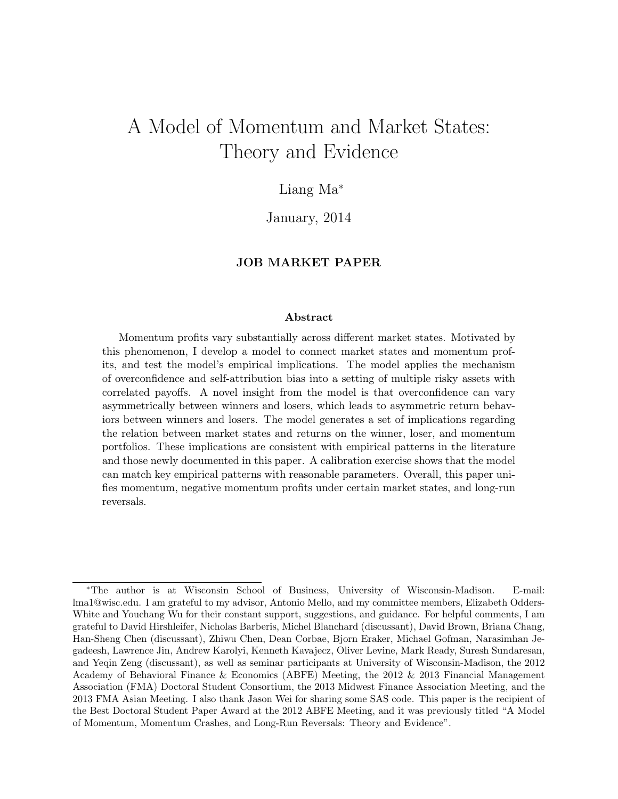# A Model of Momentum and Market States: Theory and Evidence

# Liang Ma<sup>∗</sup>

January, 2014

#### JOB MARKET PAPER

#### Abstract

Momentum profits vary substantially across different market states. Motivated by this phenomenon, I develop a model to connect market states and momentum profits, and test the model's empirical implications. The model applies the mechanism of overconfidence and self-attribution bias into a setting of multiple risky assets with correlated payoffs. A novel insight from the model is that overconfidence can vary asymmetrically between winners and losers, which leads to asymmetric return behaviors between winners and losers. The model generates a set of implications regarding the relation between market states and returns on the winner, loser, and momentum portfolios. These implications are consistent with empirical patterns in the literature and those newly documented in this paper. A calibration exercise shows that the model can match key empirical patterns with reasonable parameters. Overall, this paper unifies momentum, negative momentum profits under certain market states, and long-run reversals.

<sup>∗</sup>The author is at Wisconsin School of Business, University of Wisconsin-Madison. E-mail: lma1@wisc.edu. I am grateful to my advisor, Antonio Mello, and my committee members, Elizabeth Odders-White and Youchang Wu for their constant support, suggestions, and guidance. For helpful comments, I am grateful to David Hirshleifer, Nicholas Barberis, Michel Blanchard (discussant), David Brown, Briana Chang, Han-Sheng Chen (discussant), Zhiwu Chen, Dean Corbae, Bjorn Eraker, Michael Gofman, Narasimhan Jegadeesh, Lawrence Jin, Andrew Karolyi, Kenneth Kavajecz, Oliver Levine, Mark Ready, Suresh Sundaresan, and Yeqin Zeng (discussant), as well as seminar participants at University of Wisconsin-Madison, the 2012 Academy of Behavioral Finance & Economics (ABFE) Meeting, the 2012 & 2013 Financial Management Association (FMA) Doctoral Student Consortium, the 2013 Midwest Finance Association Meeting, and the 2013 FMA Asian Meeting. I also thank Jason Wei for sharing some SAS code. This paper is the recipient of the Best Doctoral Student Paper Award at the 2012 ABFE Meeting, and it was previously titled "A Model of Momentum, Momentum Crashes, and Long-Run Reversals: Theory and Evidence".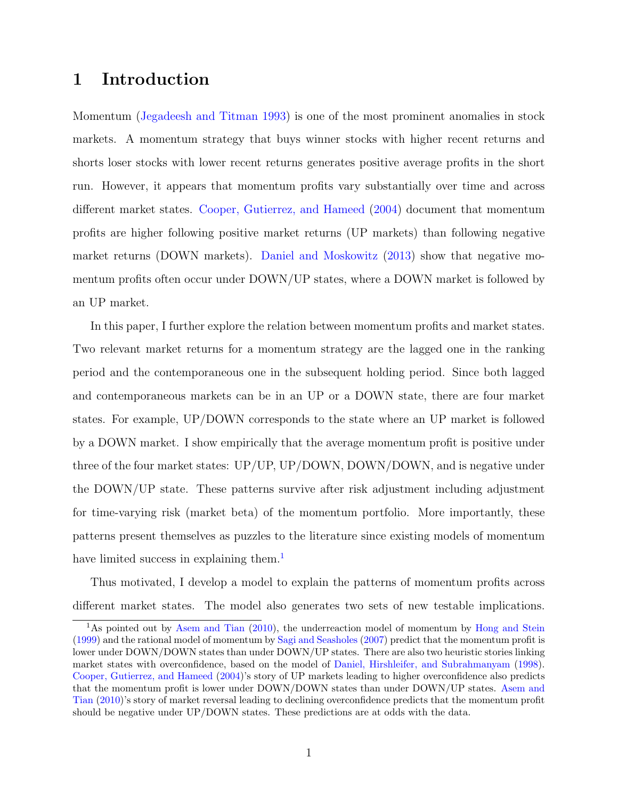# 1 Introduction

Momentum [\(Jegadeesh and Titman](#page-47-0) [1993\)](#page-47-0) is one of the most prominent anomalies in stock markets. A momentum strategy that buys winner stocks with higher recent returns and shorts loser stocks with lower recent returns generates positive average profits in the short run. However, it appears that momentum profits vary substantially over time and across different market states. [Cooper, Gutierrez, and Hameed](#page-46-0) [\(2004\)](#page-46-0) document that momentum profits are higher following positive market returns (UP markets) than following negative market returns (DOWN markets). [Daniel and Moskowitz](#page-46-1) [\(2013\)](#page-46-1) show that negative momentum profits often occur under DOWN/UP states, where a DOWN market is followed by an UP market.

In this paper, I further explore the relation between momentum profits and market states. Two relevant market returns for a momentum strategy are the lagged one in the ranking period and the contemporaneous one in the subsequent holding period. Since both lagged and contemporaneous markets can be in an UP or a DOWN state, there are four market states. For example, UP/DOWN corresponds to the state where an UP market is followed by a DOWN market. I show empirically that the average momentum profit is positive under three of the four market states: UP/UP, UP/DOWN, DOWN/DOWN, and is negative under the DOWN/UP state. These patterns survive after risk adjustment including adjustment for time-varying risk (market beta) of the momentum portfolio. More importantly, these patterns present themselves as puzzles to the literature since existing models of momentum have limited success in explaining them.<sup>[1](#page-1-0)</sup>

Thus motivated, I develop a model to explain the patterns of momentum profits across different market states. The model also generates two sets of new testable implications.

<span id="page-1-0"></span><sup>&</sup>lt;sup>1</sup>As pointed out by [Asem and Tian](#page-46-2) [\(2010\)](#page-46-2), the underreaction model of momentum by [Hong and Stein](#page-47-1) [\(1999\)](#page-47-1) and the rational model of momentum by [Sagi and Seasholes](#page-48-0) [\(2007\)](#page-48-0) predict that the momentum profit is lower under DOWN/DOWN states than under DOWN/UP states. There are also two heuristic stories linking market states with overconfidence, based on the model of [Daniel, Hirshleifer, and Subrahmanyam](#page-46-3) [\(1998\)](#page-46-3). [Cooper, Gutierrez, and Hameed](#page-46-0) [\(2004\)](#page-46-0)'s story of UP markets leading to higher overconfidence also predicts that the momentum profit is lower under DOWN/DOWN states than under DOWN/UP states. [Asem and](#page-46-2) [Tian](#page-46-2) [\(2010\)](#page-46-2)'s story of market reversal leading to declining overconfidence predicts that the momentum profit should be negative under UP/DOWN states. These predictions are at odds with the data.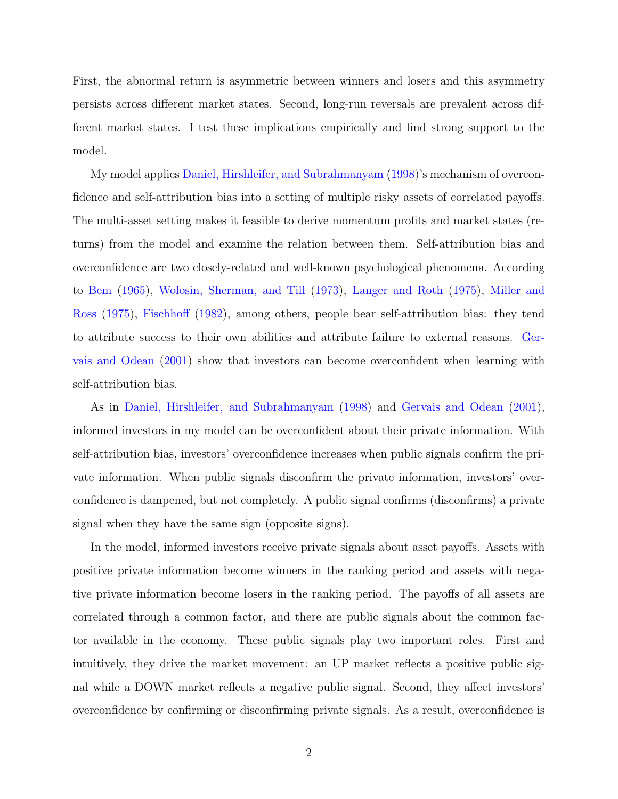First, the abnormal return is asymmetric between winners and losers and this asymmetry persists across different market states. Second, long-run reversals are prevalent across different market states. I test these implications empirically and find strong support to the model.

My model applies [Daniel, Hirshleifer, and Subrahmanyam](#page-46-3) [\(1998\)](#page-46-3)'s mechanism of overconfidence and self-attribution bias into a setting of multiple risky assets of correlated payoffs. The multi-asset setting makes it feasible to derive momentum profits and market states (returns) from the model and examine the relation between them. Self-attribution bias and overconfidence are two closely-related and well-known psychological phenomena. According to [Bem](#page-46-4) [\(1965\)](#page-46-4), [Wolosin, Sherman, and Till](#page-48-1) [\(1973\)](#page-48-1), [Langer and Roth](#page-47-2) [\(1975\)](#page-47-2), [Miller and](#page-48-2) [Ross](#page-48-2) [\(1975\)](#page-48-2), [Fischhoff](#page-47-3) [\(1982\)](#page-47-3), among others, people bear self-attribution bias: they tend to attribute success to their own abilities and attribute failure to external reasons. [Ger](#page-47-4)[vais and Odean](#page-47-4) [\(2001\)](#page-47-4) show that investors can become overconfident when learning with self-attribution bias.

As in [Daniel, Hirshleifer, and Subrahmanyam](#page-46-3) [\(1998\)](#page-46-3) and [Gervais and Odean](#page-47-4) [\(2001\)](#page-47-4), informed investors in my model can be overconfident about their private information. With self-attribution bias, investors' overconfidence increases when public signals confirm the private information. When public signals disconfirm the private information, investors' overconfidence is dampened, but not completely. A public signal confirms (disconfirms) a private signal when they have the same sign (opposite signs).

In the model, informed investors receive private signals about asset payoffs. Assets with positive private information become winners in the ranking period and assets with negative private information become losers in the ranking period. The payoffs of all assets are correlated through a common factor, and there are public signals about the common factor available in the economy. These public signals play two important roles. First and intuitively, they drive the market movement: an UP market reflects a positive public signal while a DOWN market reflects a negative public signal. Second, they affect investors' overconfidence by confirming or disconfirming private signals. As a result, overconfidence is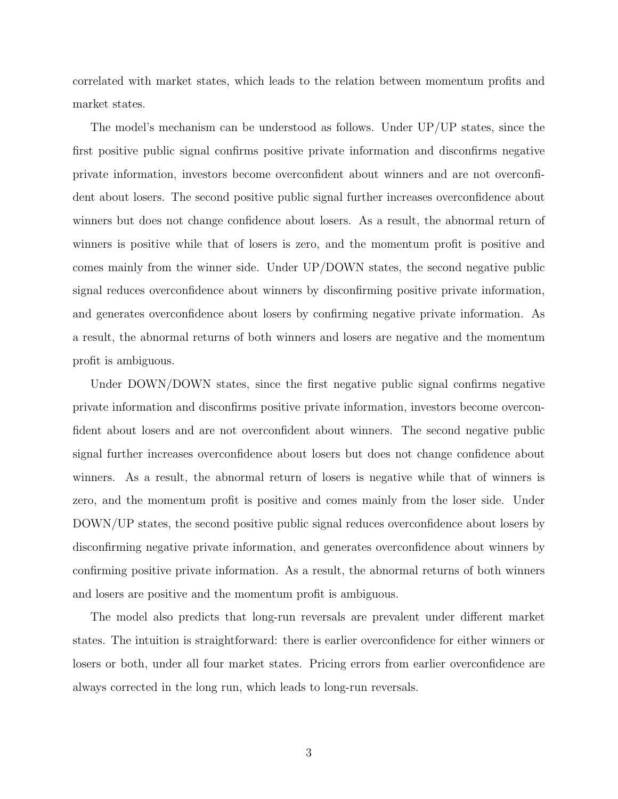correlated with market states, which leads to the relation between momentum profits and market states.

The model's mechanism can be understood as follows. Under UP/UP states, since the first positive public signal confirms positive private information and disconfirms negative private information, investors become overconfident about winners and are not overconfident about losers. The second positive public signal further increases overconfidence about winners but does not change confidence about losers. As a result, the abnormal return of winners is positive while that of losers is zero, and the momentum profit is positive and comes mainly from the winner side. Under UP/DOWN states, the second negative public signal reduces overconfidence about winners by disconfirming positive private information, and generates overconfidence about losers by confirming negative private information. As a result, the abnormal returns of both winners and losers are negative and the momentum profit is ambiguous.

Under DOWN/DOWN states, since the first negative public signal confirms negative private information and disconfirms positive private information, investors become overconfident about losers and are not overconfident about winners. The second negative public signal further increases overconfidence about losers but does not change confidence about winners. As a result, the abnormal return of losers is negative while that of winners is zero, and the momentum profit is positive and comes mainly from the loser side. Under DOWN/UP states, the second positive public signal reduces overconfidence about losers by disconfirming negative private information, and generates overconfidence about winners by confirming positive private information. As a result, the abnormal returns of both winners and losers are positive and the momentum profit is ambiguous.

The model also predicts that long-run reversals are prevalent under different market states. The intuition is straightforward: there is earlier overconfidence for either winners or losers or both, under all four market states. Pricing errors from earlier overconfidence are always corrected in the long run, which leads to long-run reversals.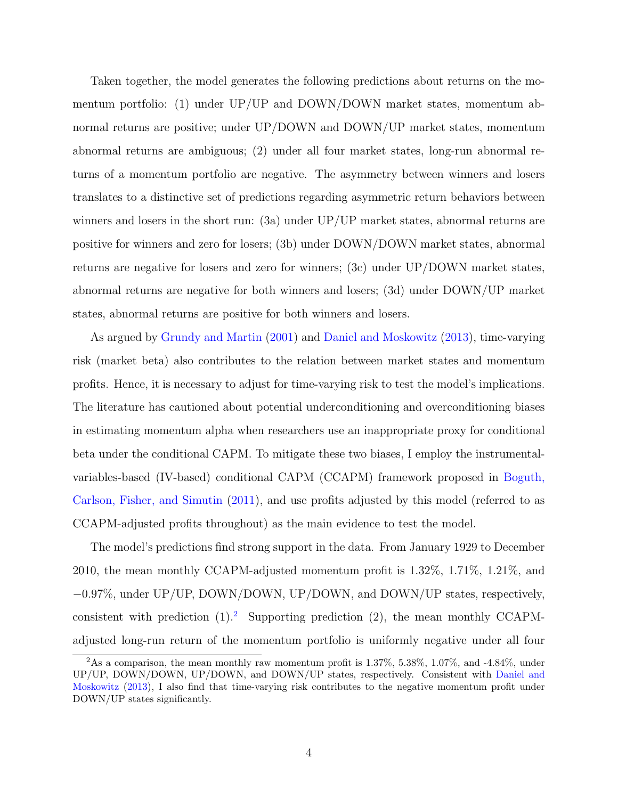Taken together, the model generates the following predictions about returns on the momentum portfolio: (1) under  $UP/UP$  and DOWN/DOWN market states, momentum abnormal returns are positive; under UP/DOWN and DOWN/UP market states, momentum abnormal returns are ambiguous; (2) under all four market states, long-run abnormal returns of a momentum portfolio are negative. The asymmetry between winners and losers translates to a distinctive set of predictions regarding asymmetric return behaviors between winners and losers in the short run: (3a) under UP/UP market states, abnormal returns are positive for winners and zero for losers; (3b) under DOWN/DOWN market states, abnormal returns are negative for losers and zero for winners; (3c) under UP/DOWN market states, abnormal returns are negative for both winners and losers; (3d) under DOWN/UP market states, abnormal returns are positive for both winners and losers.

As argued by [Grundy and Martin](#page-47-5) [\(2001\)](#page-47-5) and [Daniel and Moskowitz](#page-46-1) [\(2013\)](#page-46-1), time-varying risk (market beta) also contributes to the relation between market states and momentum profits. Hence, it is necessary to adjust for time-varying risk to test the model's implications. The literature has cautioned about potential underconditioning and overconditioning biases in estimating momentum alpha when researchers use an inappropriate proxy for conditional beta under the conditional CAPM. To mitigate these two biases, I employ the instrumentalvariables-based (IV-based) conditional CAPM (CCAPM) framework proposed in [Boguth,](#page-46-5) [Carlson, Fisher, and Simutin](#page-46-5) [\(2011\)](#page-46-5), and use profits adjusted by this model (referred to as CCAPM-adjusted profits throughout) as the main evidence to test the model.

The model's predictions find strong support in the data. From January 1929 to December 2010, the mean monthly CCAPM-adjusted momentum profit is 1.32%, 1.71%, 1.21%, and −0.97%, under UP/UP, DOWN/DOWN, UP/DOWN, and DOWN/UP states, respectively, consistent with prediction  $(1)$ .<sup>[2](#page-4-0)</sup> Supporting prediction  $(2)$ , the mean monthly CCAPMadjusted long-run return of the momentum portfolio is uniformly negative under all four

<span id="page-4-0"></span><sup>&</sup>lt;sup>2</sup>As a comparison, the mean monthly raw momentum profit is  $1.37\%$ ,  $5.38\%$ ,  $1.07\%$ , and  $-4.84\%$ , under UP/UP, DOWN/DOWN, UP/DOWN, and DOWN/UP states, respectively. Consistent with [Daniel and](#page-46-1) [Moskowitz](#page-46-1) [\(2013\)](#page-46-1), I also find that time-varying risk contributes to the negative momentum profit under DOWN/UP states significantly.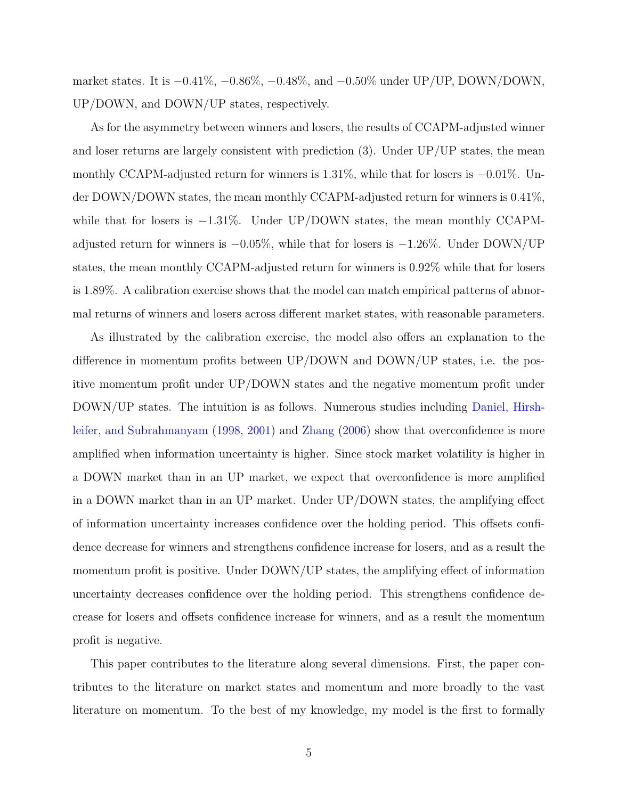market states. It is  $-0.41\%$ ,  $-0.86\%$ ,  $-0.48\%$ , and  $-0.50\%$  under UP/UP, DOWN/DOWN, UP/DOWN, and DOWN/UP states, respectively.

As for the asymmetry between winners and losers, the results of CCAPM-adjusted winner and loser returns are largely consistent with prediction  $(3)$ . Under UP/UP states, the mean monthly CCAPM-adjusted return for winners is 1.31%, while that for losers is −0.01%. Under DOWN/DOWN states, the mean monthly CCAPM-adjusted return for winners is 0.41%, while that for losers is  $-1.31\%$ . Under UP/DOWN states, the mean monthly CCAPMadjusted return for winners is −0.05%, while that for losers is −1.26%. Under DOWN/UP states, the mean monthly CCAPM-adjusted return for winners is 0.92% while that for losers is 1.89%. A calibration exercise shows that the model can match empirical patterns of abnormal returns of winners and losers across different market states, with reasonable parameters.

As illustrated by the calibration exercise, the model also offers an explanation to the difference in momentum profits between UP/DOWN and DOWN/UP states, i.e. the positive momentum profit under UP/DOWN states and the negative momentum profit under DOWN/UP states. The intuition is as follows. Numerous studies including [Daniel, Hirsh](#page-46-3)[leifer, and Subrahmanyam](#page-46-3) [\(1998,](#page-46-3) [2001\)](#page-46-6) and [Zhang](#page-48-3) [\(2006\)](#page-48-3) show that overconfidence is more amplified when information uncertainty is higher. Since stock market volatility is higher in a DOWN market than in an UP market, we expect that overconfidence is more amplified in a DOWN market than in an UP market. Under UP/DOWN states, the amplifying effect of information uncertainty increases confidence over the holding period. This offsets confidence decrease for winners and strengthens confidence increase for losers, and as a result the momentum profit is positive. Under DOWN/UP states, the amplifying effect of information uncertainty decreases confidence over the holding period. This strengthens confidence decrease for losers and offsets confidence increase for winners, and as a result the momentum profit is negative.

This paper contributes to the literature along several dimensions. First, the paper contributes to the literature on market states and momentum and more broadly to the vast literature on momentum. To the best of my knowledge, my model is the first to formally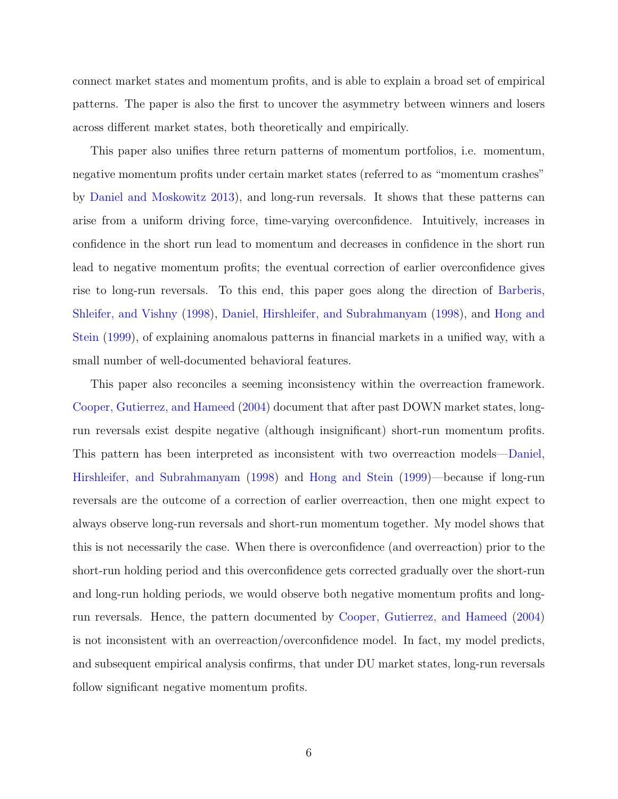connect market states and momentum profits, and is able to explain a broad set of empirical patterns. The paper is also the first to uncover the asymmetry between winners and losers across different market states, both theoretically and empirically.

This paper also unifies three return patterns of momentum portfolios, i.e. momentum, negative momentum profits under certain market states (referred to as "momentum crashes" by [Daniel and Moskowitz](#page-46-1) [2013\)](#page-46-1), and long-run reversals. It shows that these patterns can arise from a uniform driving force, time-varying overconfidence. Intuitively, increases in confidence in the short run lead to momentum and decreases in confidence in the short run lead to negative momentum profits; the eventual correction of earlier overconfidence gives rise to long-run reversals. To this end, this paper goes along the direction of [Barberis,](#page-46-7) [Shleifer, and Vishny](#page-46-7) [\(1998\)](#page-46-7), [Daniel, Hirshleifer, and Subrahmanyam](#page-46-3) [\(1998\)](#page-46-3), and [Hong and](#page-47-1) [Stein](#page-47-1) [\(1999\)](#page-47-1), of explaining anomalous patterns in financial markets in a unified way, with a small number of well-documented behavioral features.

This paper also reconciles a seeming inconsistency within the overreaction framework. [Cooper, Gutierrez, and Hameed](#page-46-0) [\(2004\)](#page-46-0) document that after past DOWN market states, longrun reversals exist despite negative (although insignificant) short-run momentum profits. This pattern has been interpreted as inconsistent with two overreaction models[—Daniel,](#page-46-3) [Hirshleifer, and Subrahmanyam](#page-46-3) [\(1998\)](#page-46-3) and [Hong and Stein](#page-47-1) [\(1999\)](#page-47-1)—because if long-run reversals are the outcome of a correction of earlier overreaction, then one might expect to always observe long-run reversals and short-run momentum together. My model shows that this is not necessarily the case. When there is overconfidence (and overreaction) prior to the short-run holding period and this overconfidence gets corrected gradually over the short-run and long-run holding periods, we would observe both negative momentum profits and longrun reversals. Hence, the pattern documented by [Cooper, Gutierrez, and Hameed](#page-46-0) [\(2004\)](#page-46-0) is not inconsistent with an overreaction/overconfidence model. In fact, my model predicts, and subsequent empirical analysis confirms, that under DU market states, long-run reversals follow significant negative momentum profits.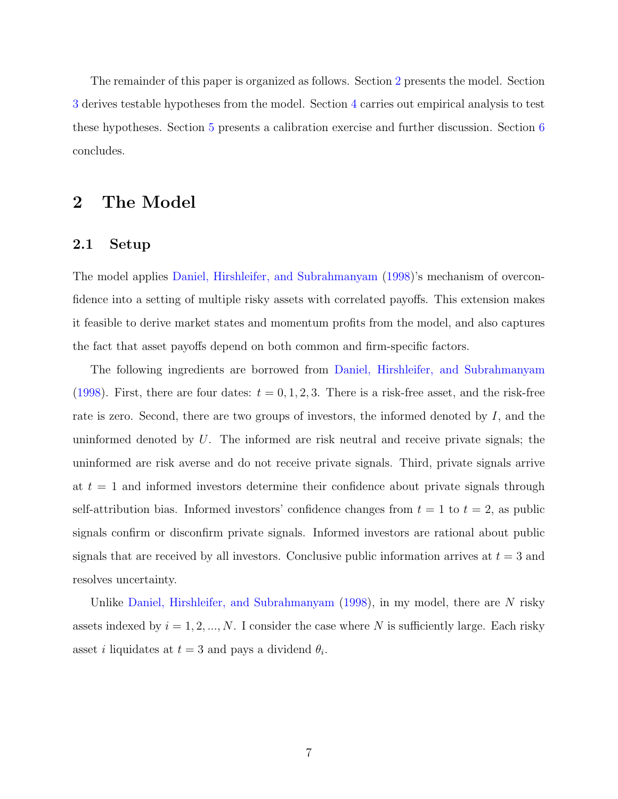The remainder of this paper is organized as follows. Section [2](#page-7-0) presents the model. Section [3](#page-23-0) derives testable hypotheses from the model. Section [4](#page-23-1) carries out empirical analysis to test these hypotheses. Section [5](#page-33-0) presents a calibration exercise and further discussion. Section [6](#page-36-0) concludes.

# <span id="page-7-0"></span>2 The Model

### 2.1 Setup

The model applies [Daniel, Hirshleifer, and Subrahmanyam](#page-46-3) [\(1998\)](#page-46-3)'s mechanism of overconfidence into a setting of multiple risky assets with correlated payoffs. This extension makes it feasible to derive market states and momentum profits from the model, and also captures the fact that asset payoffs depend on both common and firm-specific factors.

The following ingredients are borrowed from [Daniel, Hirshleifer, and Subrahmanyam](#page-46-3) [\(1998\)](#page-46-3). First, there are four dates:  $t = 0, 1, 2, 3$ . There is a risk-free asset, and the risk-free rate is zero. Second, there are two groups of investors, the informed denoted by  $I$ , and the uninformed denoted by  $U$ . The informed are risk neutral and receive private signals; the uninformed are risk averse and do not receive private signals. Third, private signals arrive at  $t = 1$  and informed investors determine their confidence about private signals through self-attribution bias. Informed investors' confidence changes from  $t = 1$  to  $t = 2$ , as public signals confirm or disconfirm private signals. Informed investors are rational about public signals that are received by all investors. Conclusive public information arrives at  $t = 3$  and resolves uncertainty.

Unlike [Daniel, Hirshleifer, and Subrahmanyam](#page-46-3)  $(1998)$ , in my model, there are N risky assets indexed by  $i = 1, 2, ..., N$ . I consider the case where N is sufficiently large. Each risky asset *i* liquidates at  $t = 3$  and pays a dividend  $\theta_i$ .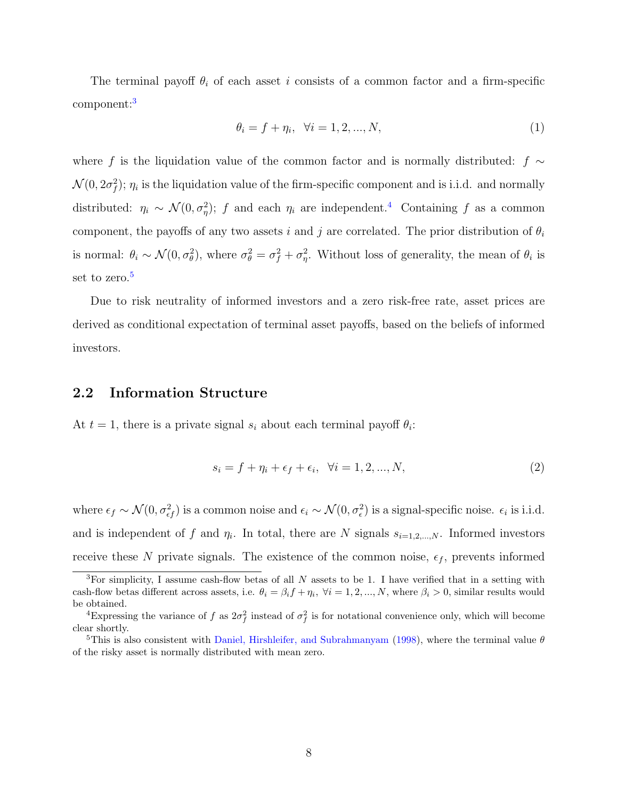The terminal payoff  $\theta_i$  of each asset i consists of a common factor and a firm-specific component:<sup>[3](#page-8-0)</sup>

$$
\theta_i = f + \eta_i, \ \forall i = 1, 2, ..., N,
$$
\n(1)

where f is the liquidation value of the common factor and is normally distributed: f  $\sim$  $\mathcal{N}(0, 2\sigma_f^2)$ ;  $\eta_i$  is the liquidation value of the firm-specific component and is i.i.d. and normally distributed:  $\eta_i \sim \mathcal{N}(0, \sigma_{\eta}^2)$ ; f and each  $\eta_i$  are independent.<sup>[4](#page-8-1)</sup> Containing f as a common component, the payoffs of any two assets i and j are correlated. The prior distribution of  $\theta_i$ is normal:  $\theta_i \sim \mathcal{N}(0, \sigma_\theta^2)$ , where  $\sigma_\theta^2 = \sigma_f^2 + \sigma_\eta^2$ . Without loss of generality, the mean of  $\theta_i$  is set to zero.<sup>[5](#page-8-2)</sup>

Due to risk neutrality of informed investors and a zero risk-free rate, asset prices are derived as conditional expectation of terminal asset payoffs, based on the beliefs of informed investors.

#### 2.2 Information Structure

At  $t = 1$ , there is a private signal  $s_i$  about each terminal payoff  $\theta_i$ :

$$
s_i = f + \eta_i + \epsilon_f + \epsilon_i, \ \forall i = 1, 2, ..., N,
$$
\n(2)

where  $\epsilon_f \sim \mathcal{N}(0, \sigma_{\epsilon f}^2)$  is a common noise and  $\epsilon_i \sim \mathcal{N}(0, \sigma_{\epsilon}^2)$  is a signal-specific noise.  $\epsilon_i$  is i.i.d. and is independent of f and  $\eta_i$ . In total, there are N signals  $s_{i=1,2,...,N}$ . Informed investors receive these N private signals. The existence of the common noise,  $\epsilon_f$ , prevents informed

<span id="page-8-0"></span><sup>&</sup>lt;sup>3</sup>For simplicity, I assume cash-flow betas of all N assets to be 1. I have verified that in a setting with cash-flow betas different across assets, i.e.  $\theta_i = \beta_i f + \eta_i$ ,  $\forall i = 1, 2, ..., N$ , where  $\beta_i > 0$ , similar results would be obtained.

<span id="page-8-1"></span><sup>&</sup>lt;sup>4</sup>Expressing the variance of f as  $2\sigma_f^2$  instead of  $\sigma_f^2$  is for notational convenience only, which will become clear shortly.

<span id="page-8-2"></span><sup>&</sup>lt;sup>5</sup>This is also consistent with [Daniel, Hirshleifer, and Subrahmanyam](#page-46-3) [\(1998\)](#page-46-3), where the terminal value  $\theta$ of the risky asset is normally distributed with mean zero.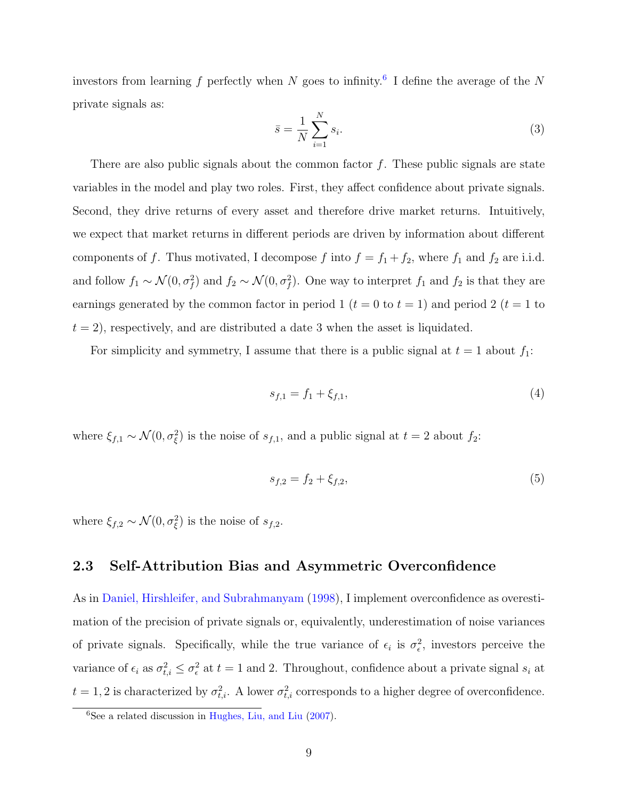investors from learning f perfectly when N goes to infinity.<sup>[6](#page-9-0)</sup> I define the average of the N private signals as:

$$
\bar{s} = \frac{1}{N} \sum_{i=1}^{N} s_i.
$$
\n
$$
(3)
$$

There are also public signals about the common factor  $f$ . These public signals are state variables in the model and play two roles. First, they affect confidence about private signals. Second, they drive returns of every asset and therefore drive market returns. Intuitively, we expect that market returns in different periods are driven by information about different components of f. Thus motivated, I decompose f into  $f = f_1 + f_2$ , where  $f_1$  and  $f_2$  are i.i.d. and follow  $f_1 \sim \mathcal{N}(0, \sigma_f^2)$  and  $f_2 \sim \mathcal{N}(0, \sigma_f^2)$ . One way to interpret  $f_1$  and  $f_2$  is that they are earnings generated by the common factor in period 1 ( $t = 0$  to  $t = 1$ ) and period 2 ( $t = 1$  to  $t = 2$ , respectively, and are distributed a date 3 when the asset is liquidated.

For simplicity and symmetry, I assume that there is a public signal at  $t = 1$  about  $f_1$ :

$$
s_{f,1} = f_1 + \xi_{f,1},\tag{4}
$$

where  $\xi_{f,1} \sim \mathcal{N}(0, \sigma_{\xi}^2)$  is the noise of  $s_{f,1}$ , and a public signal at  $t = 2$  about  $f_2$ :

$$
s_{f,2} = f_2 + \xi_{f,2},\tag{5}
$$

where  $\xi_{f,2} \sim \mathcal{N}(0, \sigma_{\xi}^2)$  is the noise of  $s_{f,2}$ .

### 2.3 Self-Attribution Bias and Asymmetric Overconfidence

As in [Daniel, Hirshleifer, and Subrahmanyam](#page-46-3) [\(1998\)](#page-46-3), I implement overconfidence as overestimation of the precision of private signals or, equivalently, underestimation of noise variances of private signals. Specifically, while the true variance of  $\epsilon_i$  is  $\sigma_{\epsilon}^2$ , investors perceive the variance of  $\epsilon_i$  as  $\sigma_{t,i}^2 \leq \sigma_{\epsilon}^2$  at  $t = 1$  and 2. Throughout, confidence about a private signal  $s_i$  at  $t = 1, 2$  is characterized by  $\sigma_{t,i}^2$ . A lower  $\sigma_{t,i}^2$  corresponds to a higher degree of overconfidence.

<span id="page-9-0"></span> ${}^{6}$ See a related discussion in [Hughes, Liu, and Liu](#page-47-6) [\(2007\)](#page-47-6).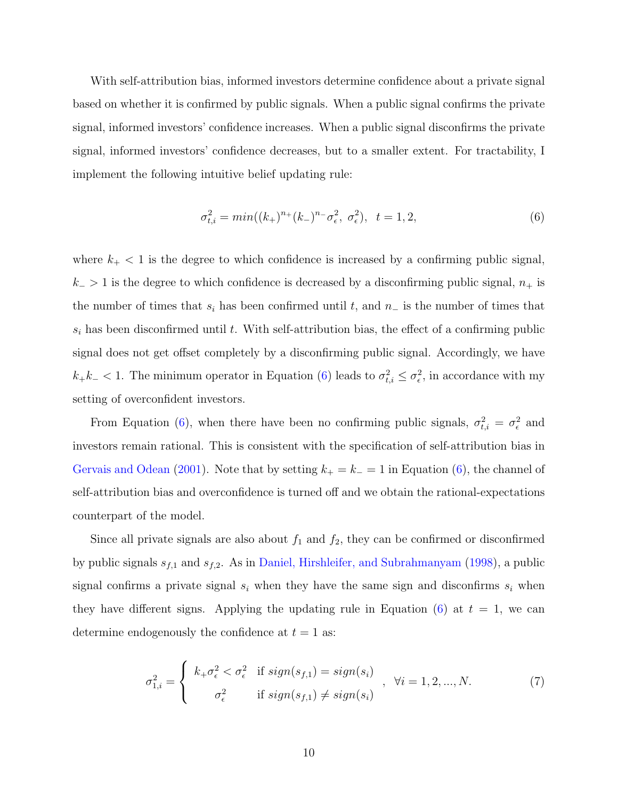With self-attribution bias, informed investors determine confidence about a private signal based on whether it is confirmed by public signals. When a public signal confirms the private signal, informed investors' confidence increases. When a public signal disconfirms the private signal, informed investors' confidence decreases, but to a smaller extent. For tractability, I implement the following intuitive belief updating rule:

<span id="page-10-0"></span>
$$
\sigma_{t,i}^2 = \min((k_+)^{n_+}(k_-)^{n_-}\sigma_{\epsilon}^2, \sigma_{\epsilon}^2), \quad t = 1, 2,
$$
\n(6)

where  $k_{+}$  < 1 is the degree to which confidence is increased by a confirming public signal,  $k_$  > 1 is the degree to which confidence is decreased by a disconfirming public signal,  $n_+$  is the number of times that  $s_i$  has been confirmed until t, and  $n_-\$  is the number of times that  $s_i$  has been disconfirmed until t. With self-attribution bias, the effect of a confirming public signal does not get offset completely by a disconfirming public signal. Accordingly, we have  $k_+k_- < 1$ . The minimum operator in Equation [\(6\)](#page-10-0) leads to  $\sigma_{t,i}^2 \leq \sigma_{\epsilon}^2$ , in accordance with my setting of overconfident investors.

From Equation [\(6\)](#page-10-0), when there have been no confirming public signals,  $\sigma_{t,i}^2 = \sigma_{\epsilon}^2$  and investors remain rational. This is consistent with the specification of self-attribution bias in [Gervais and Odean](#page-47-4) [\(2001\)](#page-47-4). Note that by setting  $k_{+} = k_{-} = 1$  in Equation [\(6\)](#page-10-0), the channel of self-attribution bias and overconfidence is turned off and we obtain the rational-expectations counterpart of the model.

Since all private signals are also about  $f_1$  and  $f_2$ , they can be confirmed or disconfirmed by public signals  $s_{f,1}$  and  $s_{f,2}$ . As in [Daniel, Hirshleifer, and Subrahmanyam](#page-46-3) [\(1998\)](#page-46-3), a public signal confirms a private signal  $s_i$  when they have the same sign and disconfirms  $s_i$  when they have different signs. Applying the updating rule in Equation  $(6)$  at  $t = 1$ , we can determine endogenously the confidence at  $t = 1$  as:

<span id="page-10-1"></span>
$$
\sigma_{1,i}^2 = \begin{cases} k_+ \sigma_\epsilon^2 < \sigma_\epsilon^2 \quad \text{if } sign(s_{f,1}) = sign(s_i) \\ \sigma_\epsilon^2 & \text{if } sign(s_{f,1}) \neq sign(s_i) \end{cases}, \quad \forall i = 1, 2, \dots, N. \tag{7}
$$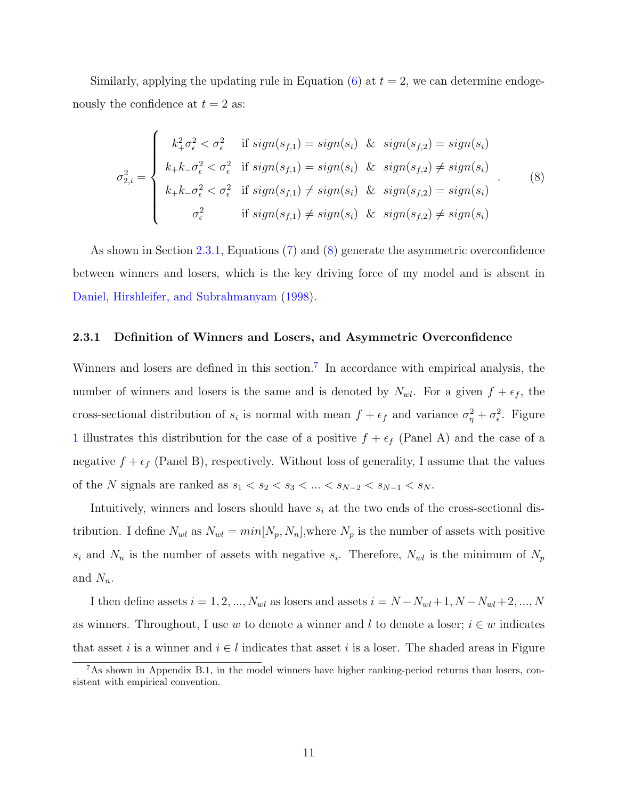Similarly, applying the updating rule in Equation  $(6)$  at  $t = 2$ , we can determine endogenously the confidence at  $t = 2$  as:

<span id="page-11-1"></span>
$$
\sigma_{2,i}^2 = \begin{cases}\nk_+^2 \sigma_{\epsilon}^2 < \sigma_{\epsilon}^2 \quad \text{if } sign(s_{f,1}) = sign(s_i) \quad \& sign(s_{f,2}) = sign(s_i) \\
k_+ k_- \sigma_{\epsilon}^2 < \sigma_{\epsilon}^2 \quad \text{if } sign(s_{f,1}) = sign(s_i) \quad \& sign(s_{f,2}) \neq sign(s_i) \\
k_+ k_- \sigma_{\epsilon}^2 < \sigma_{\epsilon}^2 \quad \text{if } sign(s_{f,1}) \neq sign(s_i) \quad \& sign(s_{f,2}) = sign(s_i) \\
\sigma_{\epsilon}^2 & \text{if } sign(s_{f,1}) \neq sign(s_i) \quad \& sign(s_{f,2}) \neq sign(s_i)\n\end{cases} \tag{8}
$$

As shown in Section [2.3.1,](#page-11-0) Equations [\(7\)](#page-10-1) and [\(8\)](#page-11-1) generate the asymmetric overconfidence between winners and losers, which is the key driving force of my model and is absent in [Daniel, Hirshleifer, and Subrahmanyam](#page-46-3) [\(1998\)](#page-46-3).

#### <span id="page-11-0"></span>2.3.1 Definition of Winners and Losers, and Asymmetric Overconfidence

Winners and losers are defined in this section.<sup>[7](#page-11-2)</sup> In accordance with empirical analysis, the number of winners and losers is the same and is denoted by  $N_{wl}$ . For a given  $f + \epsilon_f$ , the cross-sectional distribution of  $s_i$  is normal with mean  $f + \epsilon_f$  and variance  $\sigma_{\eta}^2 + \sigma_{\epsilon}^2$ . Figure [1](#page-53-0) illustrates this distribution for the case of a positive  $f + \epsilon_f$  (Panel A) and the case of a negative  $f + \epsilon_f$  (Panel B), respectively. Without loss of generality, I assume that the values of the N signals are ranked as  $s_1 < s_2 < s_3 < \ldots < s_{N-2} < s_{N-1} < s_N$ .

Intuitively, winners and losers should have  $s_i$  at the two ends of the cross-sectional distribution. I define  $N_{wl}$  as  $N_{wl} = min[N_p, N_n]$ , where  $N_p$  is the number of assets with positive  $s_i$  and  $N_n$  is the number of assets with negative  $s_i$ . Therefore,  $N_{wl}$  is the minimum of  $N_p$ and  $N_n$ .

I then define assets  $i = 1, 2, ..., N_{wl}$  as losers and assets  $i = N - N_{wl} + 1, N - N_{wl} + 2, ..., N_{wl}$ as winners. Throughout, I use w to denote a winner and l to denote a loser;  $i \in w$  indicates that asset i is a winner and  $i \in l$  indicates that asset i is a loser. The shaded areas in Figure

<span id="page-11-2"></span><sup>7</sup>As shown in Appendix B.1, in the model winners have higher ranking-period returns than losers, consistent with empirical convention.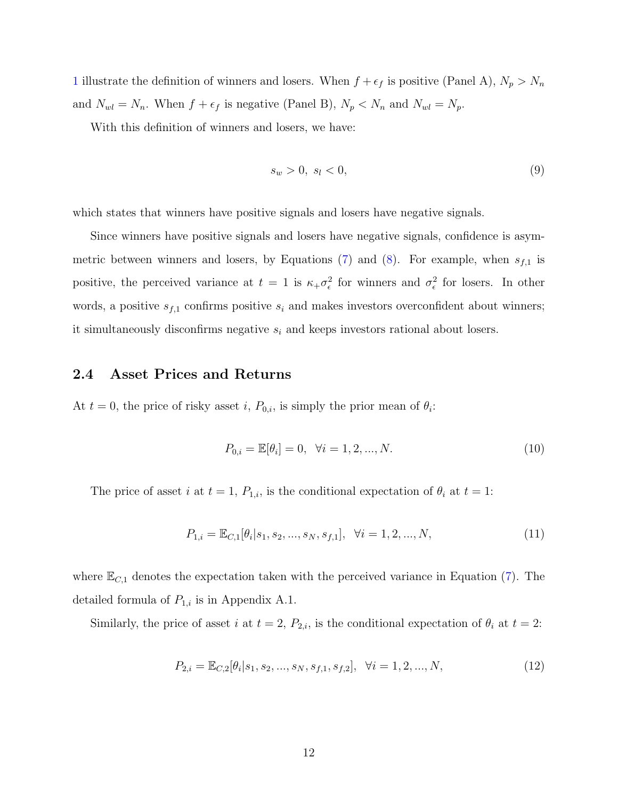[1](#page-53-0) illustrate the definition of winners and losers. When  $f + \epsilon_f$  is positive (Panel A),  $N_p > N_n$ and  $N_{wl} = N_n$ . When  $f + \epsilon_f$  is negative (Panel B),  $N_p < N_n$  and  $N_{wl} = N_p$ .

With this definition of winners and losers, we have:

$$
s_w > 0, \ s_l < 0,\tag{9}
$$

which states that winners have positive signals and losers have negative signals.

Since winners have positive signals and losers have negative signals, confidence is asym-metric between winners and losers, by Equations [\(7\)](#page-10-1) and [\(8\)](#page-11-1). For example, when  $s_{f,1}$  is positive, the perceived variance at  $t = 1$  is  $\kappa_+ \sigma_\epsilon^2$  for winners and  $\sigma_\epsilon^2$  for losers. In other words, a positive  $s_{f,1}$  confirms positive  $s_i$  and makes investors overconfident about winners; it simultaneously disconfirms negative  $s_i$  and keeps investors rational about losers.

### 2.4 Asset Prices and Returns

At  $t = 0$ , the price of risky asset i,  $P_{0,i}$ , is simply the prior mean of  $\theta_i$ :

$$
P_{0,i} = \mathbb{E}[\theta_i] = 0, \quad \forall i = 1, 2, ..., N.
$$
\n(10)

The price of asset i at  $t = 1$ ,  $P_{1,i}$ , is the conditional expectation of  $\theta_i$  at  $t = 1$ :

<span id="page-12-0"></span>
$$
P_{1,i} = \mathbb{E}_{C,1}[\theta_i|s_1, s_2, \dots, s_N, s_{f,1}], \quad \forall i = 1, 2, \dots, N,
$$
\n(11)

where  $\mathbb{E}_{C,1}$  denotes the expectation taken with the perceived variance in Equation [\(7\)](#page-10-1). The detailed formula of  $P_{1,i}$  is in Appendix A.1.

Similarly, the price of asset i at  $t = 2$ ,  $P_{2,i}$ , is the conditional expectation of  $\theta_i$  at  $t = 2$ :

<span id="page-12-1"></span>
$$
P_{2,i} = \mathbb{E}_{C,2}[\theta_i|s_1, s_2, \dots, s_N, s_{f,1}, s_{f,2}], \quad \forall i = 1, 2, \dots, N,
$$
\n(12)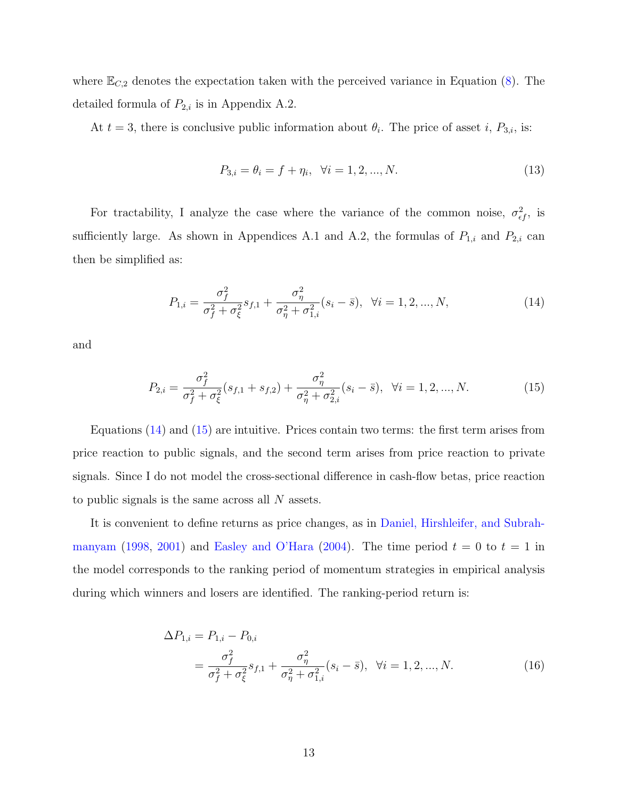where  $\mathbb{E}_{C,2}$  denotes the expectation taken with the perceived variance in Equation [\(8\)](#page-11-1). The detailed formula of  $P_{2,i}$  is in Appendix A.2.

At  $t = 3$ , there is conclusive public information about  $\theta_i$ . The price of asset i,  $P_{3,i}$ , is:

<span id="page-13-0"></span>
$$
P_{3,i} = \theta_i = f + \eta_i, \ \forall i = 1, 2, ..., N. \tag{13}
$$

For tractability, I analyze the case where the variance of the common noise,  $\sigma_{\epsilon f}^2$ , is sufficiently large. As shown in Appendices A.1 and A.2, the formulas of  $P_{1,i}$  and  $P_{2,i}$  can then be simplified as:

<span id="page-13-1"></span>
$$
P_{1,i} = \frac{\sigma_f^2}{\sigma_f^2 + \sigma_\xi^2} s_{f,1} + \frac{\sigma_\eta^2}{\sigma_\eta^2 + \sigma_{1,i}^2} (s_i - \bar{s}), \ \ \forall i = 1, 2, ..., N,
$$
\n(14)

and

$$
P_{2,i} = \frac{\sigma_f^2}{\sigma_f^2 + \sigma_\xi^2} (s_{f,1} + s_{f,2}) + \frac{\sigma_\eta^2}{\sigma_\eta^2 + \sigma_{2,i}^2} (s_i - \bar{s}), \ \ \forall i = 1, 2, ..., N. \tag{15}
$$

Equations [\(14\)](#page-13-0) and [\(15\)](#page-13-1) are intuitive. Prices contain two terms: the first term arises from price reaction to public signals, and the second term arises from price reaction to private signals. Since I do not model the cross-sectional difference in cash-flow betas, price reaction to public signals is the same across all N assets.

It is convenient to define returns as price changes, as in [Daniel, Hirshleifer, and Subrah](#page-46-3)[manyam](#page-46-3) [\(1998,](#page-46-3) [2001\)](#page-46-6) and [Easley and O'Hara](#page-46-8) [\(2004\)](#page-46-8). The time period  $t = 0$  to  $t = 1$  in the model corresponds to the ranking period of momentum strategies in empirical analysis during which winners and losers are identified. The ranking-period return is:

<span id="page-13-2"></span>
$$
\Delta P_{1,i} = P_{1,i} - P_{0,i}
$$
\n
$$
= \frac{\sigma_f^2}{\sigma_f^2 + \sigma_\xi^2} s_{f,1} + \frac{\sigma_\eta^2}{\sigma_\eta^2 + \sigma_{1,i}^2} (s_i - \bar{s}), \ \ \forall i = 1, 2, ..., N. \tag{16}
$$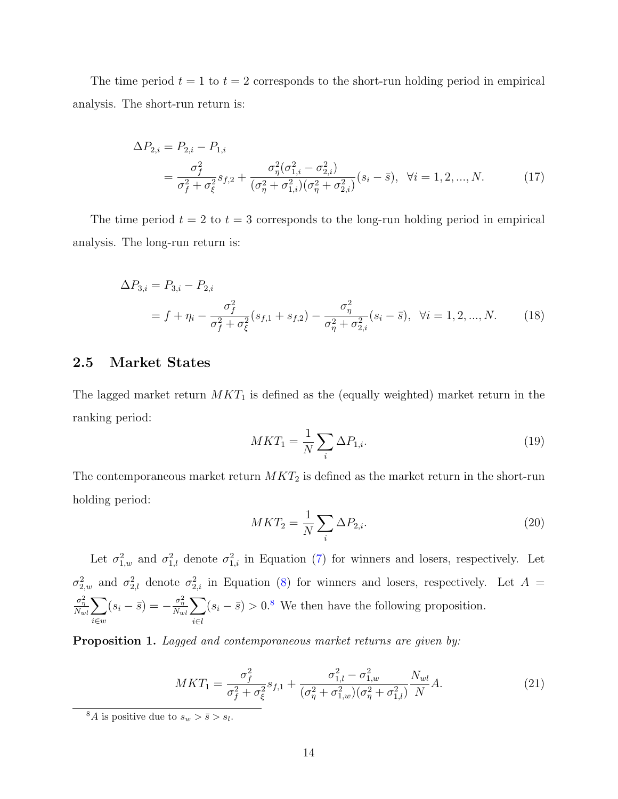The time period  $t = 1$  to  $t = 2$  corresponds to the short-run holding period in empirical analysis. The short-run return is:

$$
\Delta P_{2,i} = P_{2,i} - P_{1,i}
$$
\n
$$
= \frac{\sigma_f^2}{\sigma_f^2 + \sigma_\xi^2} s_{f,2} + \frac{\sigma_\eta^2 (\sigma_{1,i}^2 - \sigma_{2,i}^2)}{(\sigma_\eta^2 + \sigma_{1,i}^2)(\sigma_\eta^2 + \sigma_{2,i}^2)} (s_i - \bar{s}), \quad \forall i = 1, 2, ..., N. \tag{17}
$$

The time period  $t = 2$  to  $t = 3$  corresponds to the long-run holding period in empirical analysis. The long-run return is:

$$
\Delta P_{3,i} = P_{3,i} - P_{2,i}
$$
  
=  $f + \eta_i - \frac{\sigma_f^2}{\sigma_f^2 + \sigma_\xi^2} (s_{f,1} + s_{f,2}) - \frac{\sigma_\eta^2}{\sigma_\eta^2 + \sigma_{2,i}^2} (s_i - \bar{s}), \ \forall i = 1, 2, ..., N.$  (18)

### 2.5 Market States

The lagged market return  $MKT_1$  is defined as the (equally weighted) market return in the ranking period:

<span id="page-14-4"></span><span id="page-14-3"></span><span id="page-14-2"></span>
$$
MKT_1 = \frac{1}{N} \sum_{i} \Delta P_{1,i}.
$$
\n(19)

The contemporaneous market return  $MKT_2$  is defined as the market return in the short-run holding period:

<span id="page-14-5"></span><span id="page-14-1"></span>
$$
MKT_2 = \frac{1}{N} \sum_{i} \Delta P_{2,i}.
$$
\n(20)

Let  $\sigma_{1,w}^2$  and  $\sigma_{1,l}^2$  denote  $\sigma_{1,i}^2$  in Equation [\(7\)](#page-10-1) for winners and losers, respectively. Let  $\sigma_{2,w}^2$  and  $\sigma_{2,l}^2$  denote  $\sigma_{2,i}^2$  in Equation [\(8\)](#page-11-1) for winners and losers, respectively. Let  $A =$  $\frac{\sigma_\eta^2}{N_{wl}}\!\sum$ i∈w  $(s_i - \bar{s}) = -\frac{\sigma_{\eta}^2}{N_{wl}}\sum$ i∈l  $(s_i - \bar{s}) > 0.8$  $(s_i - \bar{s}) > 0.8$  We then have the following proposition.

Proposition 1. Lagged and contemporaneous market returns are given by:

$$
MKT_1 = \frac{\sigma_f^2}{\sigma_f^2 + \sigma_\xi^2} s_{f,1} + \frac{\sigma_{1,l}^2 - \sigma_{1,w}^2}{(\sigma_\eta^2 + \sigma_{1,w}^2)(\sigma_\eta^2 + \sigma_{1,l}^2)} \frac{N_{wl}}{N} A.
$$
 (21)

<span id="page-14-0"></span><sup>&</sup>lt;sup>8</sup>A is positive due to  $s_w > \bar{s} > s_l$ .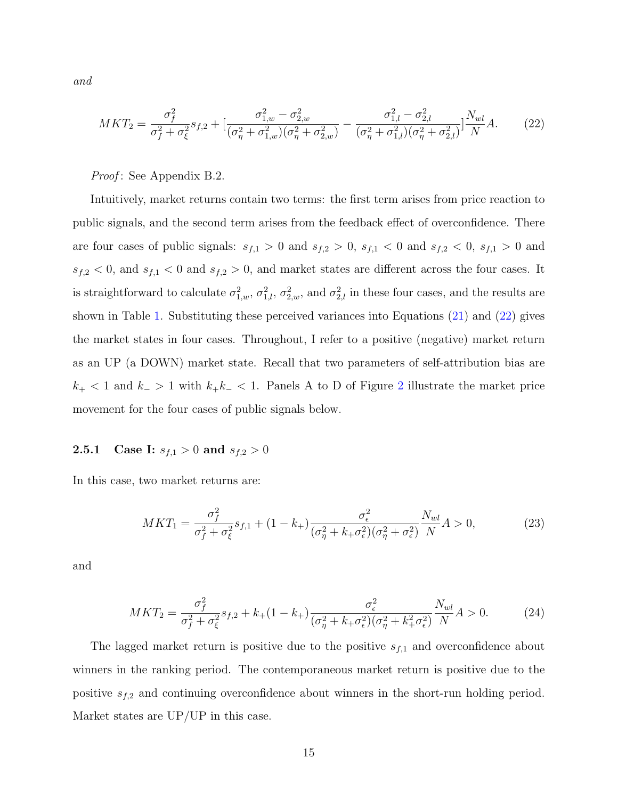and

<span id="page-15-0"></span>
$$
MKT_2 = \frac{\sigma_f^2}{\sigma_f^2 + \sigma_\xi^2} s_{f,2} + \left[ \frac{\sigma_{1,w}^2 - \sigma_{2,w}^2}{(\sigma_\eta^2 + \sigma_{1,w}^2)(\sigma_\eta^2 + \sigma_{2,w}^2)} - \frac{\sigma_{1,l}^2 - \sigma_{2,l}^2}{(\sigma_\eta^2 + \sigma_{1,l}^2)(\sigma_\eta^2 + \sigma_{2,l}^2)} \right] \frac{N_{wl}}{N} A. \tag{22}
$$

Proof: See Appendix B.2.

Intuitively, market returns contain two terms: the first term arises from price reaction to public signals, and the second term arises from the feedback effect of overconfidence. There are four cases of public signals:  $s_{f,1} > 0$  and  $s_{f,2} > 0$ ,  $s_{f,1} < 0$  and  $s_{f,2} < 0$ ,  $s_{f,1} > 0$  and  $s_{f,2}$  < 0, and  $s_{f,1}$  < 0 and  $s_{f,2}$  > 0, and market states are different across the four cases. It is straightforward to calculate  $\sigma_{1,w}^2$ ,  $\sigma_{2,w}^2$ , and  $\sigma_{2,w}^2$  in these four cases, and the results are shown in Table [1.](#page-49-0) Substituting these perceived variances into Equations [\(21\)](#page-14-1) and [\(22\)](#page-15-0) gives the market states in four cases. Throughout, I refer to a positive (negative) market return as an UP (a DOWN) market state. Recall that two parameters of self-attribution bias are  $k_{+}$  < 1 and  $k_{-}$  > 1 with  $k_{+}k_{-}$  < 1. Panels A to D of Figure [2](#page-54-0) illustrate the market price movement for the four cases of public signals below.

### **2.5.1** Case I:  $s_{f,1} > 0$  and  $s_{f,2} > 0$

In this case, two market returns are:

$$
MKT_1 = \frac{\sigma_f^2}{\sigma_f^2 + \sigma_\xi^2} s_{f,1} + (1 - k_+) \frac{\sigma_\epsilon^2}{(\sigma_\eta^2 + k_+ \sigma_\epsilon^2)(\sigma_\eta^2 + \sigma_\epsilon^2)} \frac{N_{wl}}{N} A > 0,
$$
 (23)

and

$$
MKT_2 = \frac{\sigma_f^2}{\sigma_f^2 + \sigma_\xi^2} s_{f,2} + k_+(1 - k_+) \frac{\sigma_\epsilon^2}{(\sigma_\eta^2 + k_+\sigma_\epsilon^2)(\sigma_\eta^2 + k_+^2\sigma_\epsilon^2)} \frac{N_{wl}}{N} A > 0. \tag{24}
$$

The lagged market return is positive due to the positive  $s_{f,1}$  and overconfidence about winners in the ranking period. The contemporaneous market return is positive due to the positive  $s_{f,2}$  and continuing overconfidence about winners in the short-run holding period. Market states are UP/UP in this case.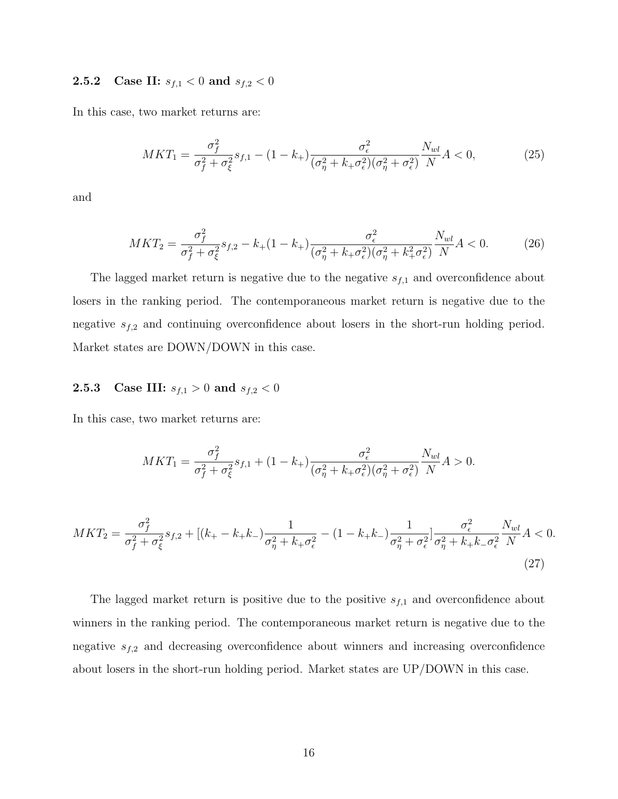## **2.5.2** Case II:  $s_{f,1} < 0$  and  $s_{f,2} < 0$

In this case, two market returns are:

$$
MKT_1 = \frac{\sigma_f^2}{\sigma_f^2 + \sigma_\xi^2} s_{f,1} - (1 - k_+) \frac{\sigma_\epsilon^2}{(\sigma_\eta^2 + k_+ \sigma_\epsilon^2)(\sigma_\eta^2 + \sigma_\epsilon^2)} \frac{N_{wl}}{N} A < 0,\tag{25}
$$

and

$$
MKT_2 = \frac{\sigma_f^2}{\sigma_f^2 + \sigma_\xi^2} s_{f,2} - k_+(1 - k_+) \frac{\sigma_\epsilon^2}{(\sigma_\eta^2 + k_+\sigma_\epsilon^2)(\sigma_\eta^2 + k_+^2\sigma_\epsilon^2)} \frac{N_{wl}}{N} A < 0. \tag{26}
$$

The lagged market return is negative due to the negative  $s_{f,1}$  and overconfidence about losers in the ranking period. The contemporaneous market return is negative due to the negative  $s_{f,2}$  and continuing overconfidence about losers in the short-run holding period. Market states are DOWN/DOWN in this case.

### **2.5.3** Case III:  $s_{f,1} > 0$  and  $s_{f,2} < 0$

In this case, two market returns are:

$$
MKT_1 = \frac{\sigma_f^2}{\sigma_f^2 + \sigma_\xi^2} s_{f,1} + (1 - k_+) \frac{\sigma_\epsilon^2}{(\sigma_\eta^2 + k_+ \sigma_\epsilon^2)(\sigma_\eta^2 + \sigma_\epsilon^2)} \frac{N_{wl}}{N} A > 0.
$$

$$
MKT_{2} = \frac{\sigma_{f}^{2}}{\sigma_{f}^{2} + \sigma_{\xi}^{2}} s_{f,2} + \left[ (k_{+} - k_{+}k_{-}) \frac{1}{\sigma_{\eta}^{2} + k_{+}\sigma_{\epsilon}^{2}} - (1 - k_{+}k_{-}) \frac{1}{\sigma_{\eta}^{2} + \sigma_{\epsilon}^{2}} \right] \frac{\sigma_{\epsilon}^{2}}{\sigma_{\eta}^{2} + k_{+}k_{-}\sigma_{\epsilon}^{2}} \frac{N_{wl}}{N} A < 0. \tag{27}
$$

The lagged market return is positive due to the positive  $s_{f,1}$  and overconfidence about winners in the ranking period. The contemporaneous market return is negative due to the negative  $s_{f,2}$  and decreasing overconfidence about winners and increasing overconfidence about losers in the short-run holding period. Market states are UP/DOWN in this case.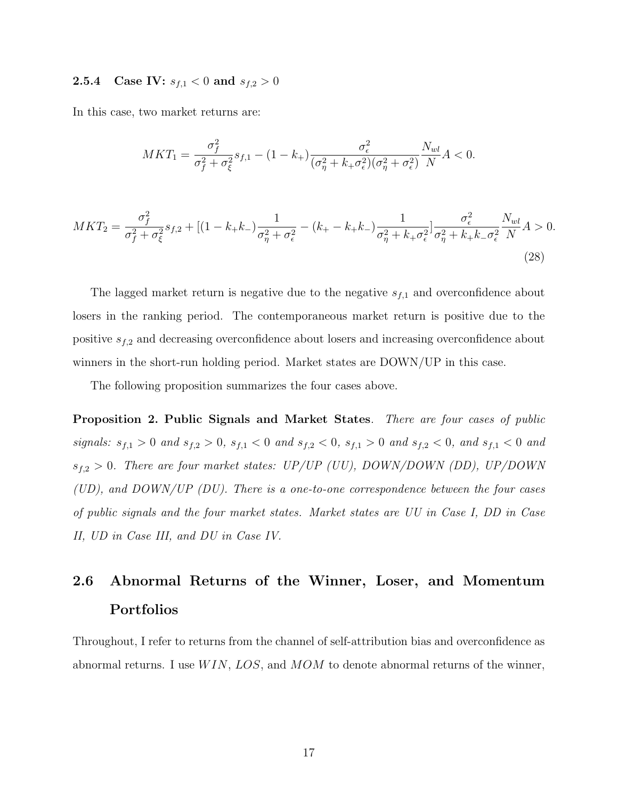#### **2.5.4** Case IV:  $s_{f,1} < 0$  and  $s_{f,2} > 0$

In this case, two market returns are:

$$
MKT_1 = \frac{\sigma_f^2}{\sigma_f^2 + \sigma_\xi^2} s_{f,1} - (1 - k_+) \frac{\sigma_\epsilon^2}{(\sigma_\eta^2 + k_+ \sigma_\epsilon^2)(\sigma_\eta^2 + \sigma_\epsilon^2)} \frac{N_{wl}}{N} A < 0.
$$

$$
MKT_{2} = \frac{\sigma_{f}^{2}}{\sigma_{f}^{2} + \sigma_{\xi}^{2}} s_{f,2} + [(1 - k_{+}k_{-})\frac{1}{\sigma_{\eta}^{2} + \sigma_{\epsilon}^{2}} - (k_{+} - k_{+}k_{-})\frac{1}{\sigma_{\eta}^{2} + k_{+}\sigma_{\epsilon}^{2}}] \frac{\sigma_{\epsilon}^{2}}{\sigma_{\eta}^{2} + k_{+}k_{-}\sigma_{\epsilon}^{2}} \frac{N_{wl}}{N} A > 0.
$$
\n(28)

The lagged market return is negative due to the negative  $s_{f,1}$  and overconfidence about losers in the ranking period. The contemporaneous market return is positive due to the positive  $s_{f,2}$  and decreasing overconfidence about losers and increasing overconfidence about winners in the short-run holding period. Market states are DOWN/UP in this case.

<span id="page-17-0"></span>The following proposition summarizes the four cases above.

Proposition 2. Public Signals and Market States. There are four cases of public signals:  $s_{f,1} > 0$  and  $s_{f,2} > 0$ ,  $s_{f,1} < 0$  and  $s_{f,2} < 0$ ,  $s_{f,1} > 0$  and  $s_{f,2} < 0$ , and  $s_{f,1} < 0$  and  $s_{f,2} > 0$ . There are four market states: UP/UP (UU), DOWN/DOWN (DD), UP/DOWN (UD), and DOWN/UP (DU). There is a one-to-one correspondence between the four cases of public signals and the four market states. Market states are UU in Case I, DD in Case II, UD in Case III, and DU in Case IV.

# 2.6 Abnormal Returns of the Winner, Loser, and Momentum Portfolios

Throughout, I refer to returns from the channel of self-attribution bias and overconfidence as abnormal returns. I use  $WIN, LOS,$  and  $MOM$  to denote abnormal returns of the winner,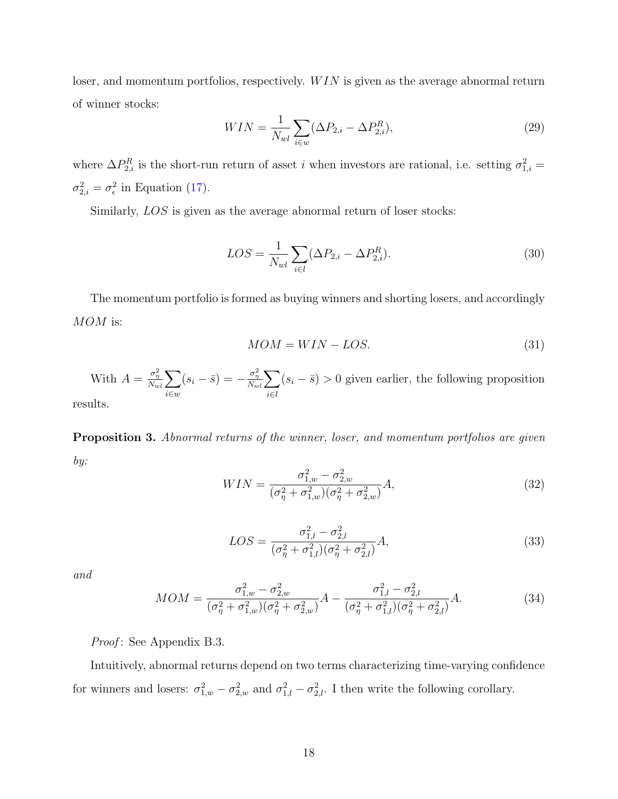loser, and momentum portfolios, respectively.  $WIN$  is given as the average abnormal return of winner stocks:

<span id="page-18-2"></span>
$$
WIN = \frac{1}{N_{wl}} \sum_{i \in w} (\Delta P_{2,i} - \Delta P_{2,i}^R), \tag{29}
$$

where  $\Delta P_{2,i}^R$  is the short-run return of asset i when investors are rational, i.e. setting  $\sigma_{1,i}^2 =$  $\sigma_{2,i}^2 = \sigma_{\epsilon}^2$  in Equation [\(17\)](#page-14-2).

Similarly,  $LOS$  is given as the average abnormal return of loser stocks:

<span id="page-18-3"></span>
$$
LOS = \frac{1}{N_{wl}} \sum_{i \in l} (\Delta P_{2,i} - \Delta P_{2,i}^R).
$$
\n(30)

The momentum portfolio is formed as buying winners and shorting losers, and accordingly MOM is:

$$
MOM = WIN - LOS.
$$
\n(31)

With  $A = \frac{\sigma_{\eta}^2}{N_{wl}} \sum$ i∈w  $(s_i - \bar{s}) = -\frac{\sigma_{\eta}^2}{N_{wl}}\sum$ i∈l  $(s_i - \bar{s}) > 0$  given earlier, the following proposition

results.

**Proposition 3.** Abnormal returns of the winner, loser, and momentum portfolios are given by:

<span id="page-18-0"></span>
$$
WIN = \frac{\sigma_{1,w}^2 - \sigma_{2,w}^2}{(\sigma_{\eta}^2 + \sigma_{1,w}^2)(\sigma_{\eta}^2 + \sigma_{2,w}^2)}A,
$$
\n(32)

$$
LOS = \frac{\sigma_{1,l}^2 - \sigma_{2,l}^2}{(\sigma_{\eta}^2 + \sigma_{1,l}^2)(\sigma_{\eta}^2 + \sigma_{2,l}^2)}A,
$$
\n(33)

and

<span id="page-18-1"></span>
$$
MOM = \frac{\sigma_{1,w}^2 - \sigma_{2,w}^2}{(\sigma_{\eta}^2 + \sigma_{1,w}^2)(\sigma_{\eta}^2 + \sigma_{2,w}^2)} A - \frac{\sigma_{1,l}^2 - \sigma_{2,l}^2}{(\sigma_{\eta}^2 + \sigma_{1,l}^2)(\sigma_{\eta}^2 + \sigma_{2,l}^2)} A.
$$
(34)

*Proof*: See Appendix B.3.

Intuitively, abnormal returns depend on two terms characterizing time-varying confidence for winners and losers:  $\sigma_{1,w}^2 - \sigma_{2,w}^2$  and  $\sigma_{1,l}^2 - \sigma_{2,l}^2$ . I then write the following corollary.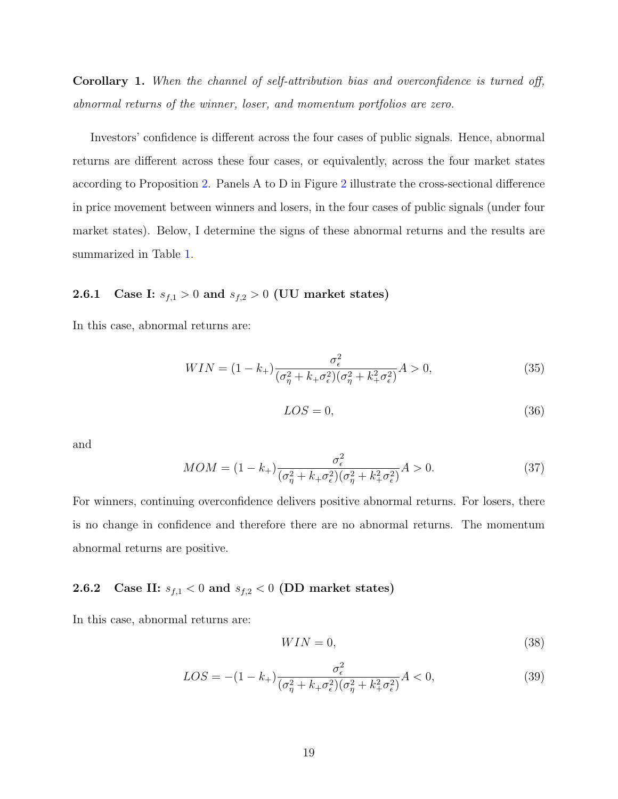Corollary 1. When the channel of self-attribution bias and overconfidence is turned off, abnormal returns of the winner, loser, and momentum portfolios are zero.

Investors' confidence is different across the four cases of public signals. Hence, abnormal returns are different across these four cases, or equivalently, across the four market states according to Proposition [2.](#page-17-0) Panels A to D in Figure [2](#page-54-0) illustrate the cross-sectional difference in price movement between winners and losers, in the four cases of public signals (under four market states). Below, I determine the signs of these abnormal returns and the results are summarized in Table [1.](#page-49-0)

## **2.6.1** Case I:  $s_{f,1} > 0$  and  $s_{f,2} > 0$  (UU market states)

In this case, abnormal returns are:

$$
WIN = (1 - k_{+}) \frac{\sigma_{\epsilon}^{2}}{(\sigma_{\eta}^{2} + k_{+} \sigma_{\epsilon}^{2})(\sigma_{\eta}^{2} + k_{+}^{2} \sigma_{\epsilon}^{2})} A > 0,
$$
\n(35)

$$
LOS = 0,\t(36)
$$

and

$$
MOM = (1 - k_{+}) \frac{\sigma_{\epsilon}^{2}}{(\sigma_{\eta}^{2} + k_{+} \sigma_{\epsilon}^{2})(\sigma_{\eta}^{2} + k_{+}^{2} \sigma_{\epsilon}^{2})} A > 0.
$$
 (37)

For winners, continuing overconfidence delivers positive abnormal returns. For losers, there is no change in confidence and therefore there are no abnormal returns. The momentum abnormal returns are positive.

## 2.6.2 Case II:  $s_{f,1} < 0$  and  $s_{f,2} < 0$  (DD market states)

In this case, abnormal returns are:

$$
WIN = 0,\t\t(38)
$$

$$
LOS = -(1 - k_{+}) \frac{\sigma_{\epsilon}^{2}}{(\sigma_{\eta}^{2} + k_{+} \sigma_{\epsilon}^{2})(\sigma_{\eta}^{2} + k_{+}^{2} \sigma_{\epsilon}^{2})} A < 0,
$$
\n(39)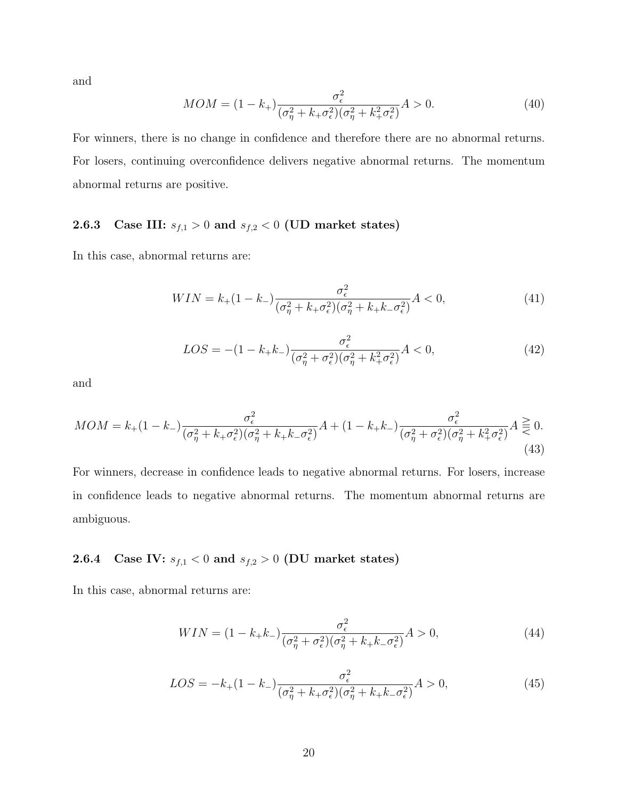and

$$
MOM = (1 - k_{+}) \frac{\sigma_{\epsilon}^{2}}{(\sigma_{\eta}^{2} + k_{+} \sigma_{\epsilon}^{2})(\sigma_{\eta}^{2} + k_{+}^{2} \sigma_{\epsilon}^{2})} A > 0.
$$
 (40)

For winners, there is no change in confidence and therefore there are no abnormal returns. For losers, continuing overconfidence delivers negative abnormal returns. The momentum abnormal returns are positive.

# 2.6.3 Case III:  $s_{f,1} > 0$  and  $s_{f,2} < 0$  (UD market states)

In this case, abnormal returns are:

$$
WIN = k_{+}(1 - k_{-}) \frac{\sigma_{\epsilon}^{2}}{(\sigma_{\eta}^{2} + k_{+}\sigma_{\epsilon}^{2})(\sigma_{\eta}^{2} + k_{+}k_{-}\sigma_{\epsilon}^{2})} A < 0, \tag{41}
$$

$$
LOS = -(1 - k_{+}k_{-}) \frac{\sigma_{\epsilon}^{2}}{(\sigma_{\eta}^{2} + \sigma_{\epsilon}^{2})(\sigma_{\eta}^{2} + k_{+}^{2}\sigma_{\epsilon}^{2})} A < 0, \qquad (42)
$$

and

<span id="page-20-0"></span>
$$
MOM = k_{+}(1 - k_{-})\frac{\sigma_{\epsilon}^{2}}{(\sigma_{\eta}^{2} + k_{+}\sigma_{\epsilon}^{2})(\sigma_{\eta}^{2} + k_{+}k_{-}\sigma_{\epsilon}^{2})}A + (1 - k_{+}k_{-})\frac{\sigma_{\epsilon}^{2}}{(\sigma_{\eta}^{2} + \sigma_{\epsilon}^{2})(\sigma_{\eta}^{2} + k_{+}^{2}\sigma_{\epsilon}^{2})}A \geq 0.
$$
\n(43)

For winners, decrease in confidence leads to negative abnormal returns. For losers, increase in confidence leads to negative abnormal returns. The momentum abnormal returns are ambiguous.

## 2.6.4 Case IV:  $s_{f,1} < 0$  and  $s_{f,2} > 0$  (DU market states)

In this case, abnormal returns are:

$$
WIN = (1 - k_{+}k_{-})\frac{\sigma_{\epsilon}^{2}}{(\sigma_{\eta}^{2} + \sigma_{\epsilon}^{2})(\sigma_{\eta}^{2} + k_{+}k_{-}\sigma_{\epsilon}^{2})}A > 0,
$$
\n(44)

$$
LOS = -k_{+}(1 - k_{-}) \frac{\sigma_{\epsilon}^{2}}{(\sigma_{\eta}^{2} + k_{+} \sigma_{\epsilon}^{2})(\sigma_{\eta}^{2} + k_{+} k_{-} \sigma_{\epsilon}^{2})} A > 0,
$$
\n(45)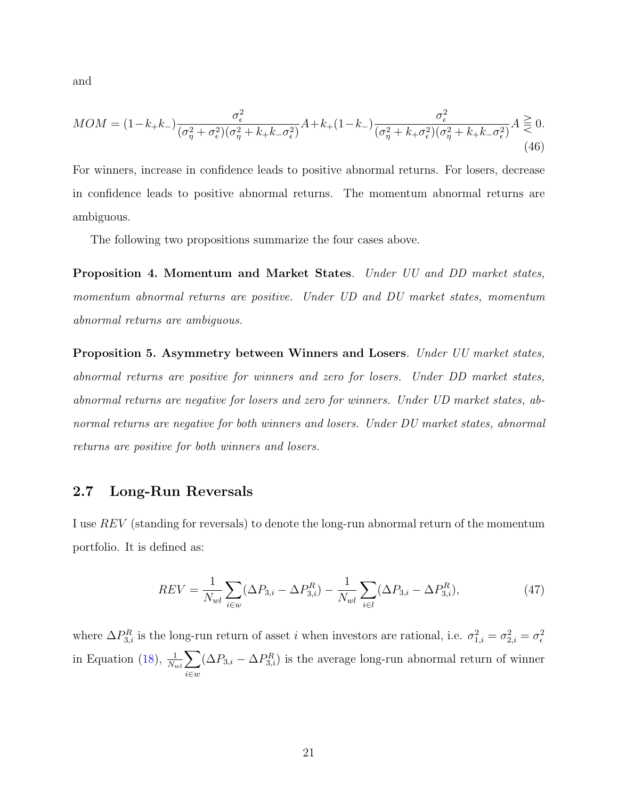and

<span id="page-21-1"></span>
$$
MOM = (1 - k_+ k_-) \frac{\sigma_\epsilon^2}{(\sigma_\eta^2 + \sigma_\epsilon^2)(\sigma_\eta^2 + k_+ k_- \sigma_\epsilon^2)} A + k_+ (1 - k_-) \frac{\sigma_\epsilon^2}{(\sigma_\eta^2 + k_+ \sigma_\epsilon^2)(\sigma_\eta^2 + k_+ k_- \sigma_\epsilon^2)} A \overset{\geq}{\leq} 0.
$$
\n(46)

For winners, increase in confidence leads to positive abnormal returns. For losers, decrease in confidence leads to positive abnormal returns. The momentum abnormal returns are ambiguous.

<span id="page-21-0"></span>The following two propositions summarize the four cases above.

Proposition 4. Momentum and Market States. Under UU and DD market states, momentum abnormal returns are positive. Under UD and DU market states, momentum abnormal returns are ambiguous.

Proposition 5. Asymmetry between Winners and Losers. Under UU market states, abnormal returns are positive for winners and zero for losers. Under DD market states, abnormal returns are negative for losers and zero for winners. Under UD market states, abnormal returns are negative for both winners and losers. Under DU market states, abnormal returns are positive for both winners and losers.

### 2.7 Long-Run Reversals

I use REV (standing for reversals) to denote the long-run abnormal return of the momentum portfolio. It is defined as:

<span id="page-21-2"></span>
$$
REV = \frac{1}{N_{wl}} \sum_{i \in w} (\Delta P_{3,i} - \Delta P_{3,i}^R) - \frac{1}{N_{wl}} \sum_{i \in l} (\Delta P_{3,i} - \Delta P_{3,i}^R),
$$
(47)

where  $\Delta P_{3,i}^R$  is the long-run return of asset i when investors are rational, i.e.  $\sigma_{1,i}^2 = \sigma_{2,i}^2 = \sigma_{\epsilon}^2$ in Equation [\(18\)](#page-14-3),  $\frac{1}{N_{wl}}\sum$ i∈w  $(\Delta P_{3,i} - \Delta P_{3,i}^R)$  is the average long-run abnormal return of winner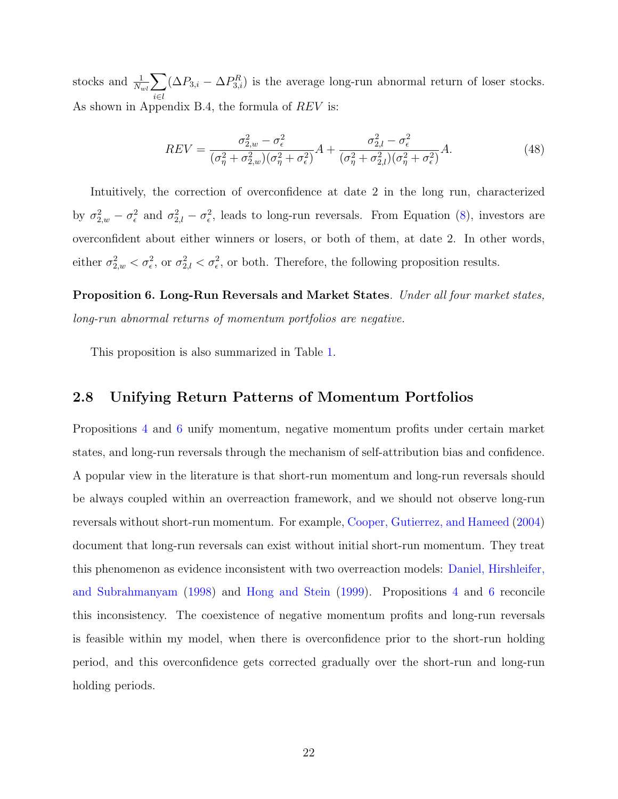stocks and  $\frac{1}{N_{wl}}\sum$ i∈l  $(\Delta P_{3,i} - \Delta P_{3,i}^R)$  is the average long-run abnormal return of loser stocks. As shown in Appendix B.4, the formula of REV is:

<span id="page-22-1"></span>
$$
REV = \frac{\sigma_{2,w}^2 - \sigma_{\epsilon}^2}{(\sigma_{\eta}^2 + \sigma_{2,w}^2)(\sigma_{\eta}^2 + \sigma_{\epsilon}^2)}A + \frac{\sigma_{2,l}^2 - \sigma_{\epsilon}^2}{(\sigma_{\eta}^2 + \sigma_{2,l}^2)(\sigma_{\eta}^2 + \sigma_{\epsilon}^2)}A.
$$
\n(48)

Intuitively, the correction of overconfidence at date 2 in the long run, characterized by  $\sigma_{2,w}^2 - \sigma_{\epsilon}^2$  and  $\sigma_{2,l}^2 - \sigma_{\epsilon}^2$ , leads to long-run reversals. From Equation [\(8\)](#page-11-1), investors are overconfident about either winners or losers, or both of them, at date 2. In other words, either  $\sigma_{2,w}^2 < \sigma_{\epsilon}^2$ , or  $\sigma_{2,l}^2 < \sigma_{\epsilon}^2$ , or both. Therefore, the following proposition results.

<span id="page-22-0"></span>Proposition 6. Long-Run Reversals and Market States. Under all four market states, long-run abnormal returns of momentum portfolios are negative.

This proposition is also summarized in Table [1.](#page-49-0)

#### 2.8 Unifying Return Patterns of Momentum Portfolios

Propositions [4](#page-21-0) and [6](#page-22-0) unify momentum, negative momentum profits under certain market states, and long-run reversals through the mechanism of self-attribution bias and confidence. A popular view in the literature is that short-run momentum and long-run reversals should be always coupled within an overreaction framework, and we should not observe long-run reversals without short-run momentum. For example, [Cooper, Gutierrez, and Hameed](#page-46-0) [\(2004\)](#page-46-0) document that long-run reversals can exist without initial short-run momentum. They treat this phenomenon as evidence inconsistent with two overreaction models: [Daniel, Hirshleifer,](#page-46-3) [and Subrahmanyam](#page-46-3) [\(1998\)](#page-46-3) and [Hong and Stein](#page-47-1) [\(1999\)](#page-47-1). Propositions [4](#page-21-0) and [6](#page-22-0) reconcile this inconsistency. The coexistence of negative momentum profits and long-run reversals is feasible within my model, when there is overconfidence prior to the short-run holding period, and this overconfidence gets corrected gradually over the short-run and long-run holding periods.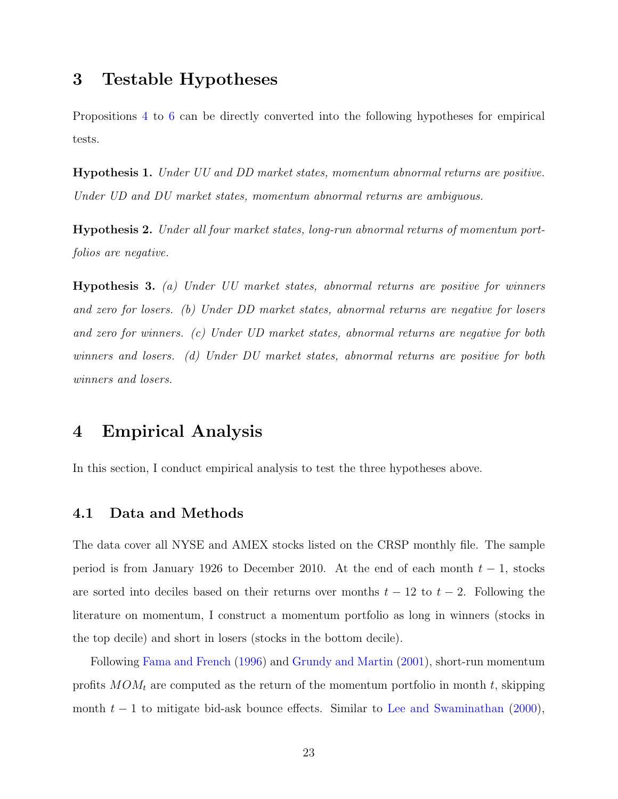# <span id="page-23-0"></span>3 Testable Hypotheses

Propositions [4](#page-21-0) to [6](#page-22-0) can be directly converted into the following hypotheses for empirical tests.

<span id="page-23-2"></span>Hypothesis 1. Under UU and DD market states, momentum abnormal returns are positive. Under UD and DU market states, momentum abnormal returns are ambiguous.

<span id="page-23-3"></span>Hypothesis 2. Under all four market states, long-run abnormal returns of momentum portfolios are negative.

<span id="page-23-4"></span>Hypothesis 3. (a) Under UU market states, abnormal returns are positive for winners and zero for losers. (b) Under DD market states, abnormal returns are negative for losers and zero for winners. (c) Under UD market states, abnormal returns are negative for both winners and losers. (d) Under DU market states, abnormal returns are positive for both winners and losers.

# <span id="page-23-1"></span>4 Empirical Analysis

In this section, I conduct empirical analysis to test the three hypotheses above.

### 4.1 Data and Methods

The data cover all NYSE and AMEX stocks listed on the CRSP monthly file. The sample period is from January 1926 to December 2010. At the end of each month  $t-1$ , stocks are sorted into deciles based on their returns over months  $t - 12$  to  $t - 2$ . Following the literature on momentum, I construct a momentum portfolio as long in winners (stocks in the top decile) and short in losers (stocks in the bottom decile).

Following [Fama and French](#page-47-7) [\(1996\)](#page-47-7) and [Grundy and Martin](#page-47-5) [\(2001\)](#page-47-5), short-run momentum profits  $MOM_t$  are computed as the return of the momentum portfolio in month t, skipping month  $t - 1$  to mitigate bid-ask bounce effects. Similar to [Lee and Swaminathan](#page-47-8) [\(2000\)](#page-47-8),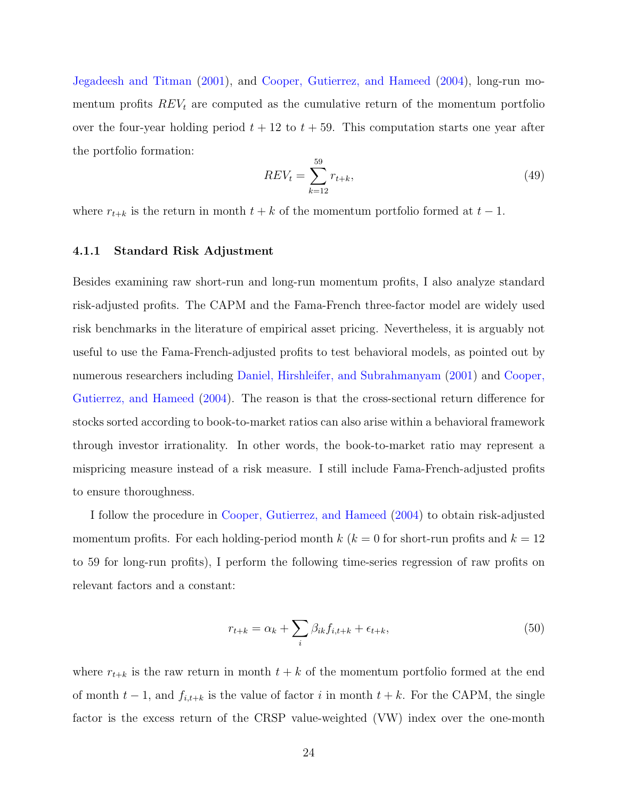[Jegadeesh and Titman](#page-47-9) [\(2001\)](#page-47-9), and [Cooper, Gutierrez, and Hameed](#page-46-0) [\(2004\)](#page-46-0), long-run momentum profits  $REV_t$  are computed as the cumulative return of the momentum portfolio over the four-year holding period  $t + 12$  to  $t + 59$ . This computation starts one year after the portfolio formation:

$$
REV_t = \sum_{k=12}^{59} r_{t+k},\tag{49}
$$

where  $r_{t+k}$  is the return in month  $t + k$  of the momentum portfolio formed at  $t - 1$ .

#### 4.1.1 Standard Risk Adjustment

Besides examining raw short-run and long-run momentum profits, I also analyze standard risk-adjusted profits. The CAPM and the Fama-French three-factor model are widely used risk benchmarks in the literature of empirical asset pricing. Nevertheless, it is arguably not useful to use the Fama-French-adjusted profits to test behavioral models, as pointed out by numerous researchers including [Daniel, Hirshleifer, and Subrahmanyam](#page-46-6) [\(2001\)](#page-46-6) and [Cooper,](#page-46-0) [Gutierrez, and Hameed](#page-46-0) [\(2004\)](#page-46-0). The reason is that the cross-sectional return difference for stocks sorted according to book-to-market ratios can also arise within a behavioral framework through investor irrationality. In other words, the book-to-market ratio may represent a mispricing measure instead of a risk measure. I still include Fama-French-adjusted profits to ensure thoroughness.

I follow the procedure in [Cooper, Gutierrez, and Hameed](#page-46-0) [\(2004\)](#page-46-0) to obtain risk-adjusted momentum profits. For each holding-period month k ( $k = 0$  for short-run profits and  $k = 12$ ) to 59 for long-run profits), I perform the following time-series regression of raw profits on relevant factors and a constant:

<span id="page-24-0"></span>
$$
r_{t+k} = \alpha_k + \sum_{i} \beta_{ik} f_{i,t+k} + \epsilon_{t+k},\tag{50}
$$

where  $r_{t+k}$  is the raw return in month  $t + k$  of the momentum portfolio formed at the end of month  $t-1$ , and  $f_{i,t+k}$  is the value of factor i in month  $t+k$ . For the CAPM, the single factor is the excess return of the CRSP value-weighted (VW) index over the one-month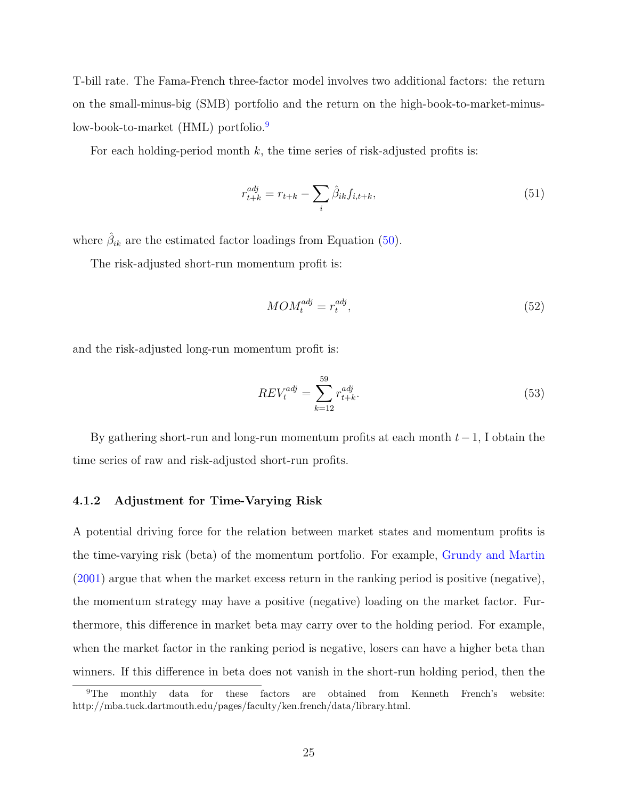T-bill rate. The Fama-French three-factor model involves two additional factors: the return on the small-minus-big (SMB) portfolio and the return on the high-book-to-market-minus-low-book-to-market (HML) portfolio.<sup>[9](#page-25-0)</sup>

For each holding-period month k, the time series of risk-adjusted profits is:

$$
r_{t+k}^{adj} = r_{t+k} - \sum_{i} \hat{\beta}_{ik} f_{i,t+k},
$$
\n(51)

where  $\hat{\beta}_{ik}$  are the estimated factor loadings from Equation [\(50\)](#page-24-0).

The risk-adjusted short-run momentum profit is:

$$
MOM_t^{adj} = r_t^{adj},\tag{52}
$$

and the risk-adjusted long-run momentum profit is:

$$
REV_t^{adj} = \sum_{k=12}^{59} r_{t+k}^{adj}.
$$
 (53)

By gathering short-run and long-run momentum profits at each month  $t-1$ , I obtain the time series of raw and risk-adjusted short-run profits.

#### 4.1.2 Adjustment for Time-Varying Risk

A potential driving force for the relation between market states and momentum profits is the time-varying risk (beta) of the momentum portfolio. For example, [Grundy and Martin](#page-47-5) [\(2001\)](#page-47-5) argue that when the market excess return in the ranking period is positive (negative), the momentum strategy may have a positive (negative) loading on the market factor. Furthermore, this difference in market beta may carry over to the holding period. For example, when the market factor in the ranking period is negative, losers can have a higher beta than winners. If this difference in beta does not vanish in the short-run holding period, then the

<span id="page-25-0"></span><sup>9</sup>The monthly data for these factors are obtained from Kenneth French's website: http://mba.tuck.dartmouth.edu/pages/faculty/ken.french/data/library.html.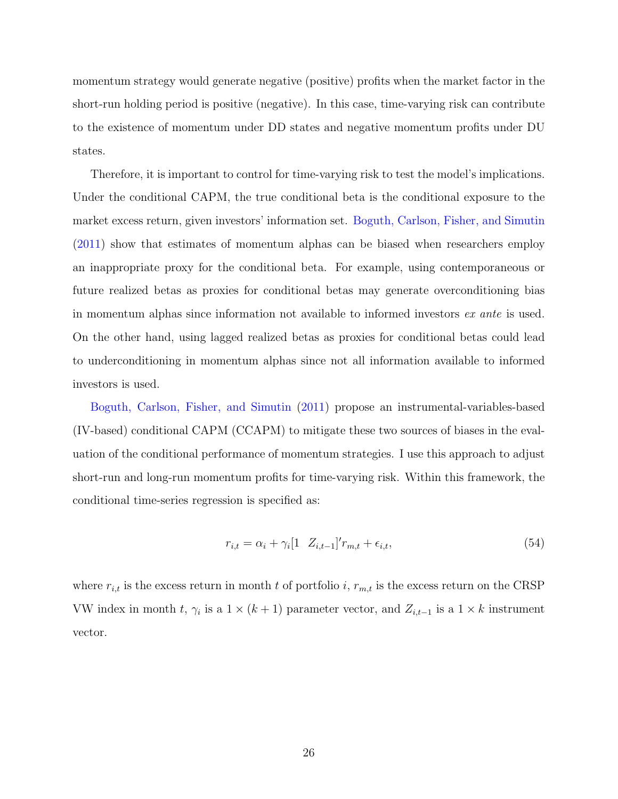momentum strategy would generate negative (positive) profits when the market factor in the short-run holding period is positive (negative). In this case, time-varying risk can contribute to the existence of momentum under DD states and negative momentum profits under DU states.

Therefore, it is important to control for time-varying risk to test the model's implications. Under the conditional CAPM, the true conditional beta is the conditional exposure to the market excess return, given investors' information set. [Boguth, Carlson, Fisher, and Simutin](#page-46-5) [\(2011\)](#page-46-5) show that estimates of momentum alphas can be biased when researchers employ an inappropriate proxy for the conditional beta. For example, using contemporaneous or future realized betas as proxies for conditional betas may generate overconditioning bias in momentum alphas since information not available to informed investors ex ante is used. On the other hand, using lagged realized betas as proxies for conditional betas could lead to underconditioning in momentum alphas since not all information available to informed investors is used.

[Boguth, Carlson, Fisher, and Simutin](#page-46-5) [\(2011\)](#page-46-5) propose an instrumental-variables-based (IV-based) conditional CAPM (CCAPM) to mitigate these two sources of biases in the evaluation of the conditional performance of momentum strategies. I use this approach to adjust short-run and long-run momentum profits for time-varying risk. Within this framework, the conditional time-series regression is specified as:

<span id="page-26-0"></span>
$$
r_{i,t} = \alpha_i + \gamma_i [1 \ \ Z_{i,t-1}]' r_{m,t} + \epsilon_{i,t}, \tag{54}
$$

where  $r_{i,t}$  is the excess return in month t of portfolio i,  $r_{m,t}$  is the excess return on the CRSP VW index in month t,  $\gamma_i$  is a 1 × (k+1) parameter vector, and  $Z_{i,t-1}$  is a 1 × k instrument vector.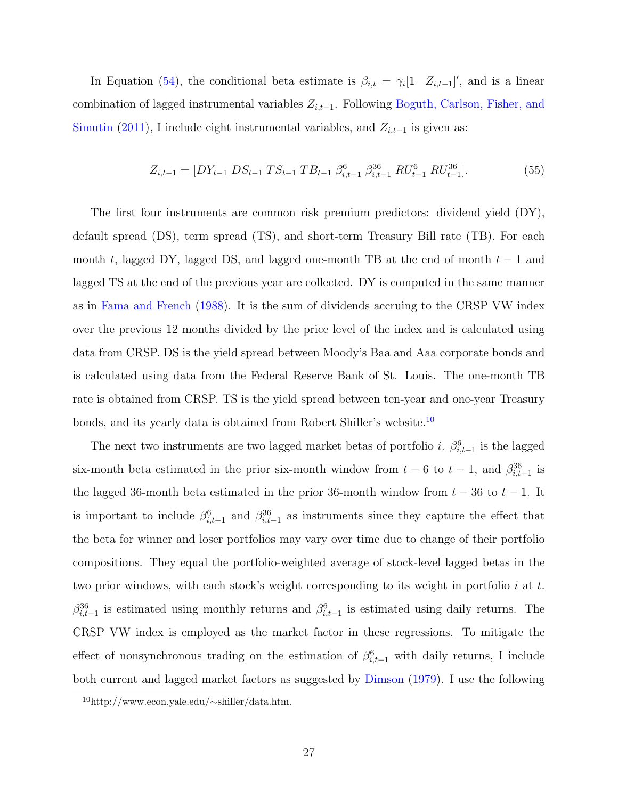In Equation [\(54\)](#page-26-0), the conditional beta estimate is  $\beta_{i,t} = \gamma_i[1 \quad Z_{i,t-1}]'$ , and is a linear combination of lagged instrumental variables  $Z_{i,t-1}$ . Following [Boguth, Carlson, Fisher, and](#page-46-5) [Simutin](#page-46-5) [\(2011\)](#page-46-5), I include eight instrumental variables, and  $Z_{i,t-1}$  is given as:

<span id="page-27-1"></span>
$$
Z_{i,t-1} = [DY_{t-1} \text{ DS}_{t-1} \text{ TS}_{t-1} \text{ TB}_{t-1} \beta_{i,t-1}^6 \beta_{i,t-1}^{36} \text{ RU}_{t-1}^6 \text{ RU}_{t-1}^{36}]. \tag{55}
$$

The first four instruments are common risk premium predictors: dividend yield (DY), default spread (DS), term spread (TS), and short-term Treasury Bill rate (TB). For each month t, lagged DY, lagged DS, and lagged one-month TB at the end of month  $t-1$  and lagged TS at the end of the previous year are collected. DY is computed in the same manner as in [Fama and French](#page-46-9) [\(1988\)](#page-46-9). It is the sum of dividends accruing to the CRSP VW index over the previous 12 months divided by the price level of the index and is calculated using data from CRSP. DS is the yield spread between Moody's Baa and Aaa corporate bonds and is calculated using data from the Federal Reserve Bank of St. Louis. The one-month TB rate is obtained from CRSP. TS is the yield spread between ten-year and one-year Treasury bonds, and its yearly data is obtained from Robert Shiller's website.[10](#page-27-0)

The next two instruments are two lagged market betas of portfolio *i*.  $\beta_{i,t-1}^6$  is the lagged six-month beta estimated in the prior six-month window from  $t-6$  to  $t-1$ , and  $\beta_{i,t-1}^{36}$  is the lagged 36-month beta estimated in the prior 36-month window from  $t - 36$  to  $t - 1$ . It is important to include  $\beta_{i,t-1}^6$  and  $\beta_{i,t-1}^{36}$  as instruments since they capture the effect that the beta for winner and loser portfolios may vary over time due to change of their portfolio compositions. They equal the portfolio-weighted average of stock-level lagged betas in the two prior windows, with each stock's weight corresponding to its weight in portfolio i at t.  $\beta_{i,t-1}^{36}$  is estimated using monthly returns and  $\beta_{i,t-1}^{6}$  is estimated using daily returns. The CRSP VW index is employed as the market factor in these regressions. To mitigate the effect of nonsynchronous trading on the estimation of  $\beta_{i,t-1}^6$  with daily returns, I include both current and lagged market factors as suggested by [Dimson](#page-46-10) [\(1979\)](#page-46-10). I use the following

<span id="page-27-0"></span><sup>10</sup>http://www.econ.yale.edu/∼shiller/data.htm.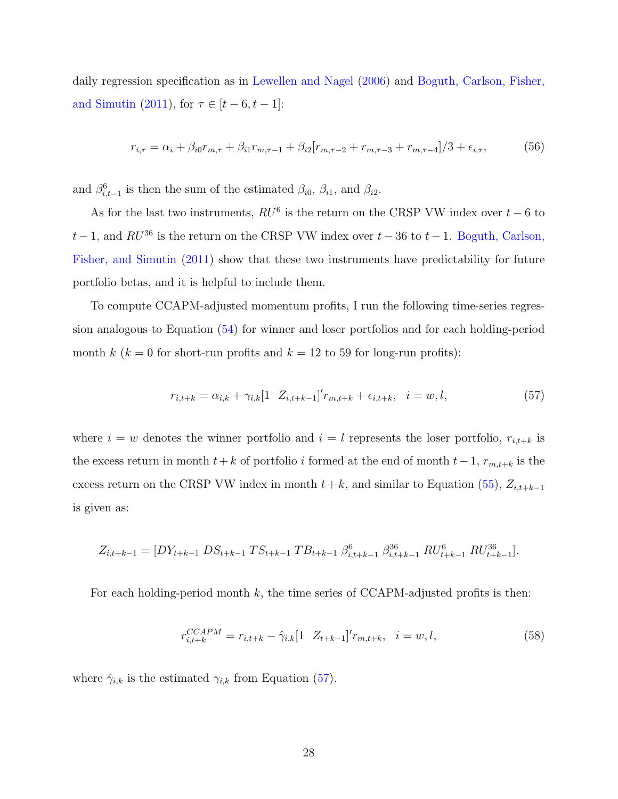daily regression specification as in [Lewellen and Nagel](#page-48-4) [\(2006\)](#page-48-4) and [Boguth, Carlson, Fisher,](#page-46-5) [and Simutin](#page-46-5) [\(2011\)](#page-46-5), for  $\tau \in [t - 6, t - 1]$ :

$$
r_{i,\tau} = \alpha_i + \beta_{i0} r_{m,\tau} + \beta_{i1} r_{m,\tau-1} + \beta_{i2} [r_{m,\tau-2} + r_{m,\tau-3} + r_{m,\tau-4}] / 3 + \epsilon_{i,\tau},\tag{56}
$$

and  $\beta_{i,t-1}^6$  is then the sum of the estimated  $\beta_{i0}$ ,  $\beta_{i1}$ , and  $\beta_{i2}$ .

As for the last two instruments,  $RU^6$  is the return on the CRSP VW index over  $t-6$  to  $t-1$ , and  $RU^{36}$  is the return on the CRSP VW index over  $t-36$  to  $t-1$ . [Boguth, Carlson,](#page-46-5) [Fisher, and Simutin](#page-46-5) [\(2011\)](#page-46-5) show that these two instruments have predictability for future portfolio betas, and it is helpful to include them.

To compute CCAPM-adjusted momentum profits, I run the following time-series regression analogous to Equation [\(54\)](#page-26-0) for winner and loser portfolios and for each holding-period month k ( $k = 0$  for short-run profits and  $k = 12$  to 59 for long-run profits):

<span id="page-28-0"></span>
$$
r_{i,t+k} = \alpha_{i,k} + \gamma_{i,k} [1 \quad Z_{i,t+k-1}]' r_{m,t+k} + \epsilon_{i,t+k}, \quad i = w, l,
$$
\n(57)

where  $i = w$  denotes the winner portfolio and  $i = l$  represents the loser portfolio,  $r_{i,t+k}$  is the excess return in month  $t + k$  of portfolio i formed at the end of month  $t - 1$ ,  $r_{m,t+k}$  is the excess return on the CRSP VW index in month  $t + k$ , and similar to Equation [\(55\)](#page-27-1),  $Z_{i,t+k-1}$ is given as:

$$
Z_{i,t+k-1} = [DY_{t+k-1} \ DS_{t+k-1} \ TS_{t+k-1} \ TB_{t+k-1} \ \beta_{i,t+k-1}^6 \ \beta_{i,t+k-1}^{36} \ RS_{t+k-1}^{6} \ RC_{t+k-1}^{61}].
$$

For each holding-period month  $k$ , the time series of CCAPM-adjusted profits is then:

$$
r_{i,t+k}^{CCAPM} = r_{i,t+k} - \hat{\gamma}_{i,k} [1 \ Z_{t+k-1}]' r_{m,t+k}, \quad i = w, l,
$$
\n(58)

where  $\hat{\gamma}_{i,k}$  is the estimated  $\gamma_{i,k}$  from Equation [\(57\)](#page-28-0).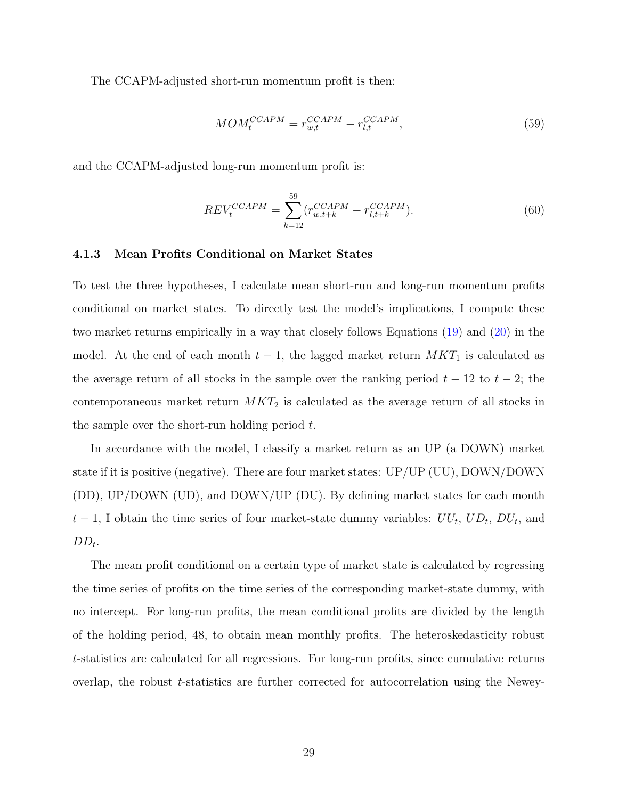The CCAPM-adjusted short-run momentum profit is then:

<span id="page-29-0"></span>
$$
MOM_t^{CCAPM} = r_{w,t}^{CCAPM} - r_{l,t}^{CCAPM},\tag{59}
$$

and the CCAPM-adjusted long-run momentum profit is:

<span id="page-29-1"></span>
$$
REV_t^{CCAPM} = \sum_{k=12}^{59} (r_{w,t+k}^{CCAPM} - r_{l,t+k}^{CCAPM}).
$$
\n(60)

#### 4.1.3 Mean Profits Conditional on Market States

To test the three hypotheses, I calculate mean short-run and long-run momentum profits conditional on market states. To directly test the model's implications, I compute these two market returns empirically in a way that closely follows Equations [\(19\)](#page-14-4) and [\(20\)](#page-14-5) in the model. At the end of each month  $t-1$ , the lagged market return  $MKT_1$  is calculated as the average return of all stocks in the sample over the ranking period  $t - 12$  to  $t - 2$ ; the contemporaneous market return  $MKT_2$  is calculated as the average return of all stocks in the sample over the short-run holding period  $t$ .

In accordance with the model, I classify a market return as an UP (a DOWN) market state if it is positive (negative). There are four market states:  $UP/UP$  (UU), DOWN/DOWN (DD), UP/DOWN (UD), and DOWN/UP (DU). By defining market states for each month  $t-1$ , I obtain the time series of four market-state dummy variables:  $UU_t$ ,  $UD_t$ ,  $DU_t$ , and  $DD_t$ .

The mean profit conditional on a certain type of market state is calculated by regressing the time series of profits on the time series of the corresponding market-state dummy, with no intercept. For long-run profits, the mean conditional profits are divided by the length of the holding period, 48, to obtain mean monthly profits. The heteroskedasticity robust t-statistics are calculated for all regressions. For long-run profits, since cumulative returns overlap, the robust t-statistics are further corrected for autocorrelation using the Newey-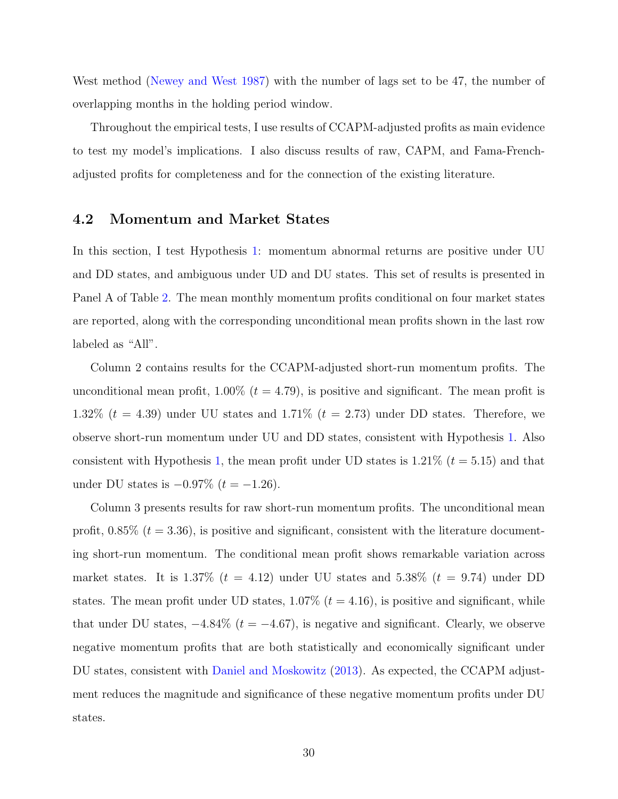West method [\(Newey and West](#page-48-5) [1987\)](#page-48-5) with the number of lags set to be 47, the number of overlapping months in the holding period window.

Throughout the empirical tests, I use results of CCAPM-adjusted profits as main evidence to test my model's implications. I also discuss results of raw, CAPM, and Fama-Frenchadjusted profits for completeness and for the connection of the existing literature.

### 4.2 Momentum and Market States

In this section, I test Hypothesis [1:](#page-23-2) momentum abnormal returns are positive under UU and DD states, and ambiguous under UD and DU states. This set of results is presented in Panel A of Table [2.](#page-50-0) The mean monthly momentum profits conditional on four market states are reported, along with the corresponding unconditional mean profits shown in the last row labeled as "All".

Column 2 contains results for the CCAPM-adjusted short-run momentum profits. The unconditional mean profit,  $1.00\%$  ( $t = 4.79$ ), is positive and significant. The mean profit is 1.32%  $(t = 4.39)$  under UU states and 1.71%  $(t = 2.73)$  under DD states. Therefore, we observe short-run momentum under UU and DD states, consistent with Hypothesis [1.](#page-23-2) Also consistent with Hypothesis [1,](#page-23-2) the mean profit under UD states is  $1.21\%$  ( $t = 5.15$ ) and that under DU states is  $-0.97\%$  (*t* = −1.26).

Column 3 presents results for raw short-run momentum profits. The unconditional mean profit,  $0.85\%$  ( $t = 3.36$ ), is positive and significant, consistent with the literature documenting short-run momentum. The conditional mean profit shows remarkable variation across market states. It is  $1.37\%$  ( $t = 4.12$ ) under UU states and  $5.38\%$  ( $t = 9.74$ ) under DD states. The mean profit under UD states,  $1.07\%$  ( $t = 4.16$ ), is positive and significant, while that under DU states,  $-4.84\%$  ( $t = -4.67$ ), is negative and significant. Clearly, we observe negative momentum profits that are both statistically and economically significant under DU states, consistent with [Daniel and Moskowitz](#page-46-1) [\(2013\)](#page-46-1). As expected, the CCAPM adjustment reduces the magnitude and significance of these negative momentum profits under DU states.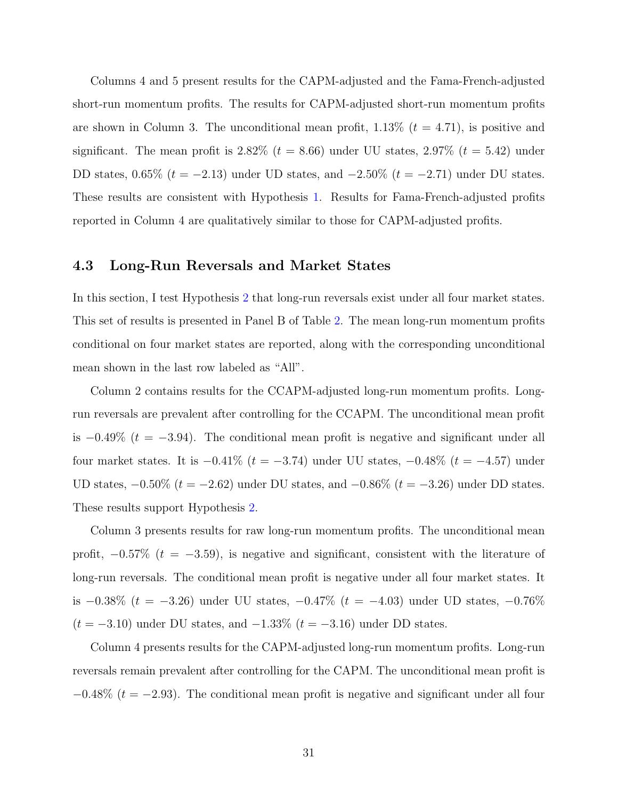Columns 4 and 5 present results for the CAPM-adjusted and the Fama-French-adjusted short-run momentum profits. The results for CAPM-adjusted short-run momentum profits are shown in Column 3. The unconditional mean profit,  $1.13\%$  ( $t = 4.71$ ), is positive and significant. The mean profit is 2.82% ( $t = 8.66$ ) under UU states, 2.97% ( $t = 5.42$ ) under DD states, 0.65% ( $t = -2.13$ ) under UD states, and  $-2.50\%$  ( $t = -2.71$ ) under DU states. These results are consistent with Hypothesis [1.](#page-23-2) Results for Fama-French-adjusted profits reported in Column 4 are qualitatively similar to those for CAPM-adjusted profits.

### 4.3 Long-Run Reversals and Market States

In this section, I test Hypothesis [2](#page-23-3) that long-run reversals exist under all four market states. This set of results is presented in Panel B of Table [2.](#page-50-0) The mean long-run momentum profits conditional on four market states are reported, along with the corresponding unconditional mean shown in the last row labeled as "All".

Column 2 contains results for the CCAPM-adjusted long-run momentum profits. Longrun reversals are prevalent after controlling for the CCAPM. The unconditional mean profit is  $-0.49\%$  ( $t = -3.94$ ). The conditional mean profit is negative and significant under all four market states. It is  $-0.41\%$  ( $t = -3.74$ ) under UU states,  $-0.48\%$  ( $t = -4.57$ ) under UD states,  $-0.50\%$  ( $t = -2.62$ ) under DU states, and  $-0.86\%$  ( $t = -3.26$ ) under DD states. These results support Hypothesis [2.](#page-23-3)

Column 3 presents results for raw long-run momentum profits. The unconditional mean profit,  $-0.57\%$  ( $t = -3.59$ ), is negative and significant, consistent with the literature of long-run reversals. The conditional mean profit is negative under all four market states. It is −0.38% ( $t = -3.26$ ) under UU states, −0.47% ( $t = -4.03$ ) under UD states, −0.76%  $(t = -3.10)$  under DU states, and  $-1.33\%$   $(t = -3.16)$  under DD states.

Column 4 presents results for the CAPM-adjusted long-run momentum profits. Long-run reversals remain prevalent after controlling for the CAPM. The unconditional mean profit is  $-0.48\%$  ( $t = -2.93$ ). The conditional mean profit is negative and significant under all four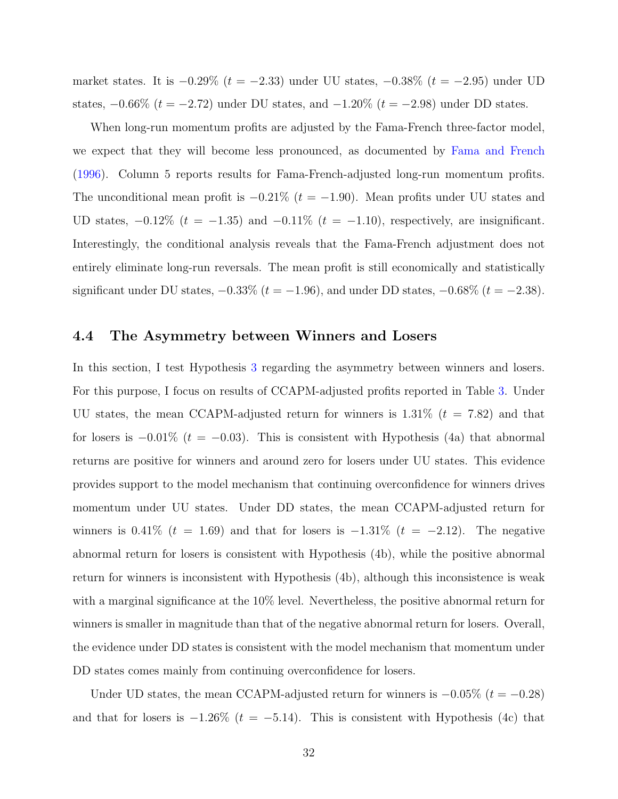market states. It is  $-0.29\%$  ( $t = -2.33$ ) under UU states,  $-0.38\%$  ( $t = -2.95$ ) under UD states,  $-0.66\%$  ( $t = -2.72$ ) under DU states, and  $-1.20\%$  ( $t = -2.98$ ) under DD states.

When long-run momentum profits are adjusted by the Fama-French three-factor model, we expect that they will become less pronounced, as documented by [Fama and French](#page-47-7) [\(1996\)](#page-47-7). Column 5 reports results for Fama-French-adjusted long-run momentum profits. The unconditional mean profit is  $-0.21\%$  ( $t = -1.90$ ). Mean profits under UU states and UD states,  $-0.12\%$  ( $t = -1.35$ ) and  $-0.11\%$  ( $t = -1.10$ ), respectively, are insignificant. Interestingly, the conditional analysis reveals that the Fama-French adjustment does not entirely eliminate long-run reversals. The mean profit is still economically and statistically significant under DU states,  $-0.33\%$  ( $t = -1.96$ ), and under DD states,  $-0.68\%$  ( $t = -2.38$ ).

### 4.4 The Asymmetry between Winners and Losers

In this section, I test Hypothesis [3](#page-23-4) regarding the asymmetry between winners and losers. For this purpose, I focus on results of CCAPM-adjusted profits reported in Table [3.](#page-51-0) Under UU states, the mean CCAPM-adjusted return for winners is  $1.31\%$  ( $t = 7.82$ ) and that for losers is  $-0.01\%$  ( $t = -0.03$ ). This is consistent with Hypothesis (4a) that abnormal returns are positive for winners and around zero for losers under UU states. This evidence provides support to the model mechanism that continuing overconfidence for winners drives momentum under UU states. Under DD states, the mean CCAPM-adjusted return for winners is  $0.41\%$  ( $t = 1.69$ ) and that for losers is  $-1.31\%$  ( $t = -2.12$ ). The negative abnormal return for losers is consistent with Hypothesis (4b), while the positive abnormal return for winners is inconsistent with Hypothesis (4b), although this inconsistence is weak with a marginal significance at the 10% level. Nevertheless, the positive abnormal return for winners is smaller in magnitude than that of the negative abnormal return for losers. Overall, the evidence under DD states is consistent with the model mechanism that momentum under DD states comes mainly from continuing overconfidence for losers.

Under UD states, the mean CCAPM-adjusted return for winners is  $-0.05\%$  ( $t = -0.28$ ) and that for losers is  $-1.26\%$  ( $t = -5.14$ ). This is consistent with Hypothesis (4c) that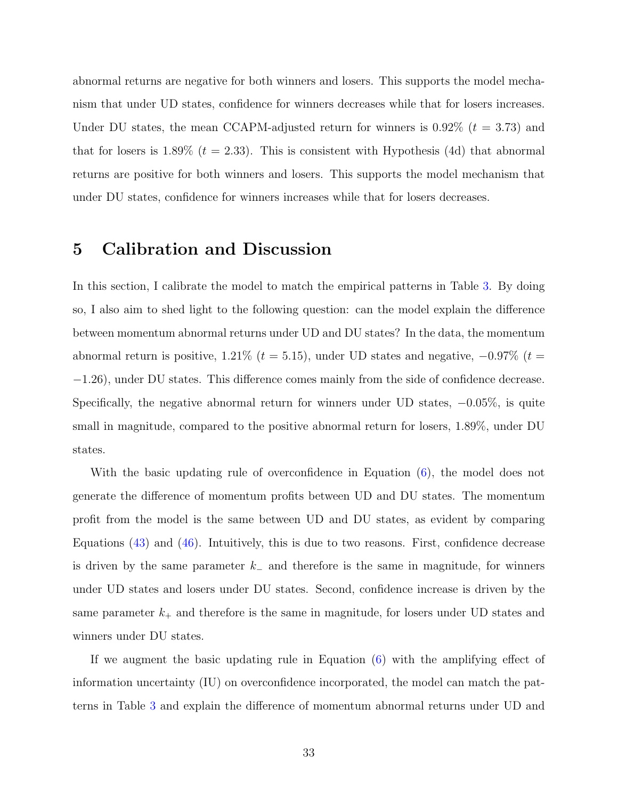abnormal returns are negative for both winners and losers. This supports the model mechanism that under UD states, confidence for winners decreases while that for losers increases. Under DU states, the mean CCAPM-adjusted return for winners is  $0.92\%$  ( $t = 3.73$ ) and that for losers is 1.89% ( $t = 2.33$ ). This is consistent with Hypothesis (4d) that abnormal returns are positive for both winners and losers. This supports the model mechanism that under DU states, confidence for winners increases while that for losers decreases.

# <span id="page-33-0"></span>5 Calibration and Discussion

In this section, I calibrate the model to match the empirical patterns in Table [3.](#page-51-0) By doing so, I also aim to shed light to the following question: can the model explain the difference between momentum abnormal returns under UD and DU states? In the data, the momentum abnormal return is positive, 1.21% ( $t = 5.15$ ), under UD states and negative,  $-0.97\%$  ( $t =$ −1.26), under DU states. This difference comes mainly from the side of confidence decrease. Specifically, the negative abnormal return for winners under UD states,  $-0.05\%$ , is quite small in magnitude, compared to the positive abnormal return for losers, 1.89%, under DU states.

With the basic updating rule of overconfidence in Equation [\(6\)](#page-10-0), the model does not generate the difference of momentum profits between UD and DU states. The momentum profit from the model is the same between UD and DU states, as evident by comparing Equations [\(43\)](#page-20-0) and [\(46\)](#page-21-1). Intuitively, this is due to two reasons. First, confidence decrease is driven by the same parameter  $k_$  and therefore is the same in magnitude, for winners under UD states and losers under DU states. Second, confidence increase is driven by the same parameter  $k_{+}$  and therefore is the same in magnitude, for losers under UD states and winners under DU states.

If we augment the basic updating rule in Equation [\(6\)](#page-10-0) with the amplifying effect of information uncertainty (IU) on overconfidence incorporated, the model can match the patterns in Table [3](#page-51-0) and explain the difference of momentum abnormal returns under UD and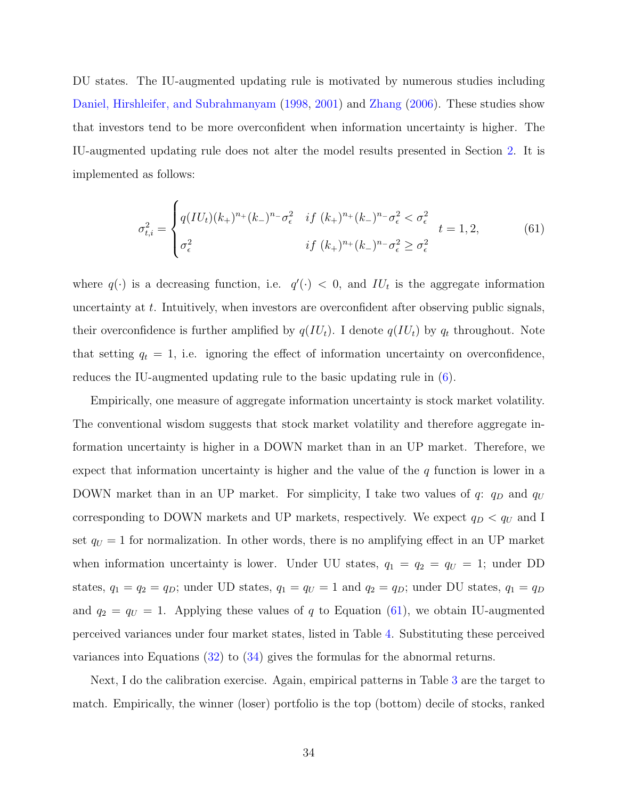DU states. The IU-augmented updating rule is motivated by numerous studies including [Daniel, Hirshleifer, and Subrahmanyam](#page-46-3) [\(1998,](#page-46-3) [2001\)](#page-46-6) and [Zhang](#page-48-3) [\(2006\)](#page-48-3). These studies show that investors tend to be more overconfident when information uncertainty is higher. The IU-augmented updating rule does not alter the model results presented in Section [2.](#page-7-0) It is implemented as follows:

<span id="page-34-0"></span>
$$
\sigma_{t,i}^2 = \begin{cases} q(IU_t)(k_+)^{n_+}(k_-)^{n_-}\sigma_{\epsilon}^2 & \text{if } (k_+)^{n_+}(k_-)^{n_-}\sigma_{\epsilon}^2 < \sigma_{\epsilon}^2 \\ \sigma_{\epsilon}^2 & \text{if } (k_+)^{n_+}(k_-)^{n_-}\sigma_{\epsilon}^2 \ge \sigma_{\epsilon}^2 \end{cases} \tag{61}
$$

where  $q(\cdot)$  is a decreasing function, i.e.  $q'(\cdot) < 0$ , and  $IU_t$  is the aggregate information uncertainty at  $t$ . Intuitively, when investors are overconfident after observing public signals, their overconfidence is further amplified by  $q(IU_t)$ . I denote  $q(IU_t)$  by  $q_t$  throughout. Note that setting  $q_t = 1$ , i.e. ignoring the effect of information uncertainty on overconfidence, reduces the IU-augmented updating rule to the basic updating rule in [\(6\)](#page-10-0).

Empirically, one measure of aggregate information uncertainty is stock market volatility. The conventional wisdom suggests that stock market volatility and therefore aggregate information uncertainty is higher in a DOWN market than in an UP market. Therefore, we expect that information uncertainty is higher and the value of the  $q$  function is lower in a DOWN market than in an UP market. For simplicity, I take two values of  $q: q_D$  and  $q_U$ corresponding to DOWN markets and UP markets, respectively. We expect  $q_D < q_U$  and I set  $q_U = 1$  for normalization. In other words, there is no amplifying effect in an UP market when information uncertainty is lower. Under UU states,  $q_1 = q_2 = q_U = 1$ ; under DD states,  $q_1 = q_2 = q_D$ ; under UD states,  $q_1 = q_U = 1$  and  $q_2 = q_D$ ; under DU states,  $q_1 = q_D$ and  $q_2 = q_U = 1$ . Applying these values of q to Equation [\(61\)](#page-34-0), we obtain IU-augmented perceived variances under four market states, listed in Table [4.](#page-52-0) Substituting these perceived variances into Equations [\(32\)](#page-18-0) to [\(34\)](#page-18-1) gives the formulas for the abnormal returns.

Next, I do the calibration exercise. Again, empirical patterns in Table [3](#page-51-0) are the target to match. Empirically, the winner (loser) portfolio is the top (bottom) decile of stocks, ranked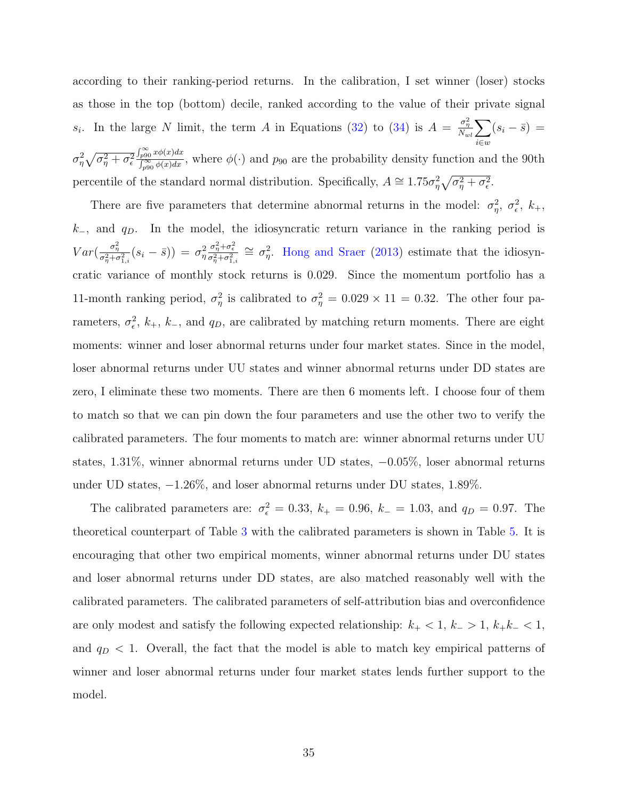according to their ranking-period returns. In the calibration, I set winner (loser) stocks as those in the top (bottom) decile, ranked according to the value of their private signal s<sub>i</sub>. In the large N limit, the term A in Equations [\(32\)](#page-18-0) to [\(34\)](#page-18-1) is  $A = \frac{\sigma_{\eta}^2}{N_{wl}} \sum$ i∈w  $(s_i - \bar{s}) =$  $\sigma_\eta^2\sqrt{\sigma_\eta^2+\sigma_\epsilon^2}$  $\int_{p90}^{\infty} x \phi(x) dx$  $\int_{p90}^{p90} \frac{x\varphi(x)dx}{\varphi(x)dx}$ , where  $\phi(\cdot)$  and  $p_{90}$  are the probability density function and the 90th percentile of the standard normal distribution. Specifically,  $A \approx 1.75\sigma_{\eta}^2 \sqrt{\sigma_{\eta}^2 + \sigma_{\epsilon}^2}$ .

There are five parameters that determine abnormal returns in the model:  $\sigma_{\eta}^2$ ,  $\sigma_{\epsilon}^2$ ,  $k_+$ ,  $k_$ , and  $q<sub>D</sub>$ . In the model, the idiosyncratic return variance in the ranking period is  $Var\left(\frac{\sigma_{\eta}^2}{\sigma_{\eta}^2 + \sigma_{1,i}^2}(s_i - \bar{s})\right) = \sigma_{\eta}^2$  $\frac{\sigma_\eta^2 + \sigma_\epsilon^2}{\sigma_\eta^2 + \sigma_{1,i}^2} \approx \sigma_\eta^2$ . [Hong and Sraer](#page-47-10) [\(2013\)](#page-47-10) estimate that the idiosyncratic variance of monthly stock returns is 0.029. Since the momentum portfolio has a 11-month ranking period,  $\sigma_{\eta}^2$  is calibrated to  $\sigma_{\eta}^2 = 0.029 \times 11 = 0.32$ . The other four parameters,  $\sigma_{\epsilon}^2$ ,  $k_+$ ,  $k_-$ , and  $q_D$ , are calibrated by matching return moments. There are eight moments: winner and loser abnormal returns under four market states. Since in the model, loser abnormal returns under UU states and winner abnormal returns under DD states are zero, I eliminate these two moments. There are then 6 moments left. I choose four of them to match so that we can pin down the four parameters and use the other two to verify the calibrated parameters. The four moments to match are: winner abnormal returns under UU states, 1.31%, winner abnormal returns under UD states, −0.05%, loser abnormal returns under UD states, −1.26%, and loser abnormal returns under DU states, 1.89%.

The calibrated parameters are:  $\sigma_{\epsilon}^2 = 0.33$ ,  $k_{+} = 0.96$ ,  $k_{-} = 1.03$ , and  $q_D = 0.97$ . The theoretical counterpart of Table [3](#page-51-0) with the calibrated parameters is shown in Table [5.](#page-52-1) It is encouraging that other two empirical moments, winner abnormal returns under DU states and loser abnormal returns under DD states, are also matched reasonably well with the calibrated parameters. The calibrated parameters of self-attribution bias and overconfidence are only modest and satisfy the following expected relationship:  $k_{+} < 1, k_{-} > 1, k_{+}k_{-} < 1$ , and  $q_D < 1$ . Overall, the fact that the model is able to match key empirical patterns of winner and loser abnormal returns under four market states lends further support to the model.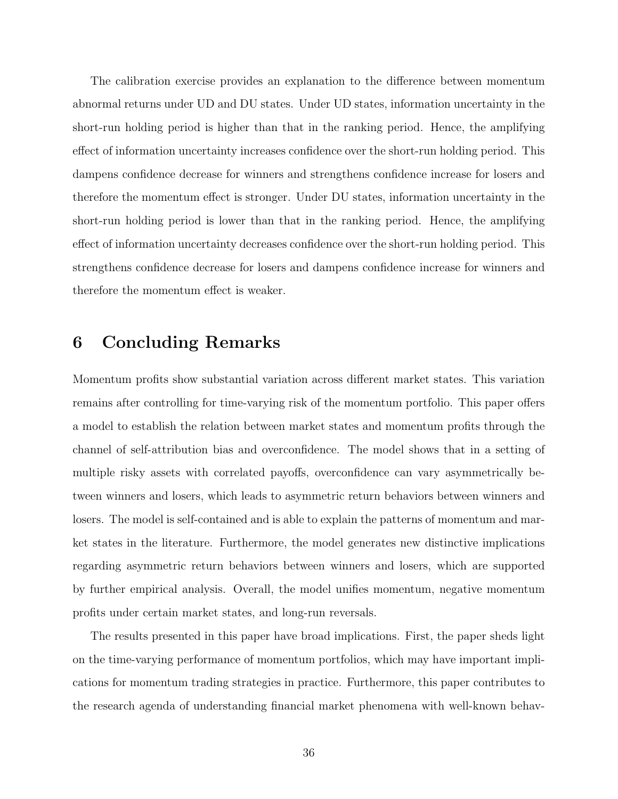The calibration exercise provides an explanation to the difference between momentum abnormal returns under UD and DU states. Under UD states, information uncertainty in the short-run holding period is higher than that in the ranking period. Hence, the amplifying effect of information uncertainty increases confidence over the short-run holding period. This dampens confidence decrease for winners and strengthens confidence increase for losers and therefore the momentum effect is stronger. Under DU states, information uncertainty in the short-run holding period is lower than that in the ranking period. Hence, the amplifying effect of information uncertainty decreases confidence over the short-run holding period. This strengthens confidence decrease for losers and dampens confidence increase for winners and therefore the momentum effect is weaker.

# <span id="page-36-0"></span>6 Concluding Remarks

Momentum profits show substantial variation across different market states. This variation remains after controlling for time-varying risk of the momentum portfolio. This paper offers a model to establish the relation between market states and momentum profits through the channel of self-attribution bias and overconfidence. The model shows that in a setting of multiple risky assets with correlated payoffs, overconfidence can vary asymmetrically between winners and losers, which leads to asymmetric return behaviors between winners and losers. The model is self-contained and is able to explain the patterns of momentum and market states in the literature. Furthermore, the model generates new distinctive implications regarding asymmetric return behaviors between winners and losers, which are supported by further empirical analysis. Overall, the model unifies momentum, negative momentum profits under certain market states, and long-run reversals.

The results presented in this paper have broad implications. First, the paper sheds light on the time-varying performance of momentum portfolios, which may have important implications for momentum trading strategies in practice. Furthermore, this paper contributes to the research agenda of understanding financial market phenomena with well-known behav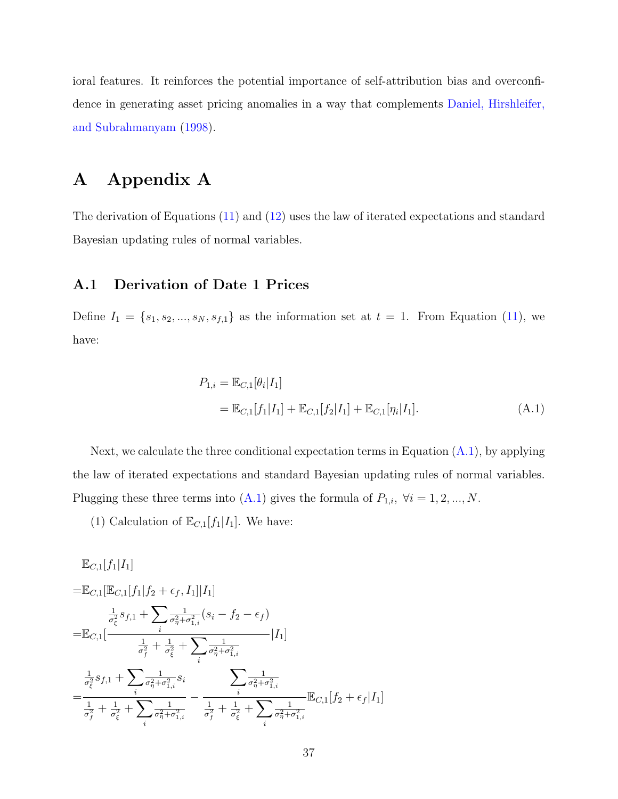ioral features. It reinforces the potential importance of self-attribution bias and overconfidence in generating asset pricing anomalies in a way that complements [Daniel, Hirshleifer,](#page-46-3) [and Subrahmanyam](#page-46-3) [\(1998\)](#page-46-3).

# A Appendix A

The derivation of Equations [\(11\)](#page-12-0) and [\(12\)](#page-12-1) uses the law of iterated expectations and standard Bayesian updating rules of normal variables.

## A.1 Derivation of Date 1 Prices

Define  $I_1 = \{s_1, s_2, ..., s_N, s_{f,1}\}\$ as the information set at  $t = 1$ . From Equation [\(11\)](#page-12-0), we have:

<span id="page-37-0"></span>
$$
P_{1,i} = \mathbb{E}_{C,1}[\theta_i | I_1]
$$
  
=  $\mathbb{E}_{C,1}[f_1 | I_1] + \mathbb{E}_{C,1}[f_2 | I_1] + \mathbb{E}_{C,1}[\eta_i | I_1].$  (A.1)

Next, we calculate the three conditional expectation terms in Equation  $(A.1)$ , by applying the law of iterated expectations and standard Bayesian updating rules of normal variables. Plugging these three terms into [\(A.1\)](#page-37-0) gives the formula of  $P_{1,i}$ ,  $\forall i = 1, 2, ..., N$ .

(1) Calculation of  $\mathbb{E}_{C,1}[f_1|I_1].$  We have:

$$
\mathbb{E}_{C,1}[f_1|I_1] \n= \mathbb{E}_{C,1}[\mathbb{E}_{C,1}[f_1|f_2 + \epsilon_f, I_1]|I_1] \n= \frac{1}{\sigma_{\xi}^2} s_{f,1} + \sum_{i} \frac{1}{\sigma_{\eta}^2 + \sigma_{1,i}^2} (s_i - f_2 - \epsilon_f) \n= \mathbb{E}_{C,1}[\frac{1}{\sigma_f^2} + \frac{1}{\sigma_{\xi}^2} + \sum_{i} \frac{1}{\sigma_{\eta}^2 + \sigma_{1,i}^2}] |I_1] \n= \frac{1}{\sigma_{\xi}^2} s_{f,1} + \sum_{i} \frac{1}{\sigma_{\eta}^2 + \sigma_{1,i}^2} s_i \n= \frac{1}{\frac{1}{\sigma_f^2} + \frac{1}{\sigma_{\xi}^2} + \sum_{i} \frac{1}{\sigma_{\eta}^2 + \sigma_{1,i}^2}} - \frac{1}{\frac{1}{\sigma_f^2} + \frac{1}{\sigma_{\xi}^2} + \sum_{i} \frac{1}{\sigma_{\eta}^2 + \sigma_{1,i}^2}} \mathbb{E}_{C,1}[f_2 + \epsilon_f|I_1]
$$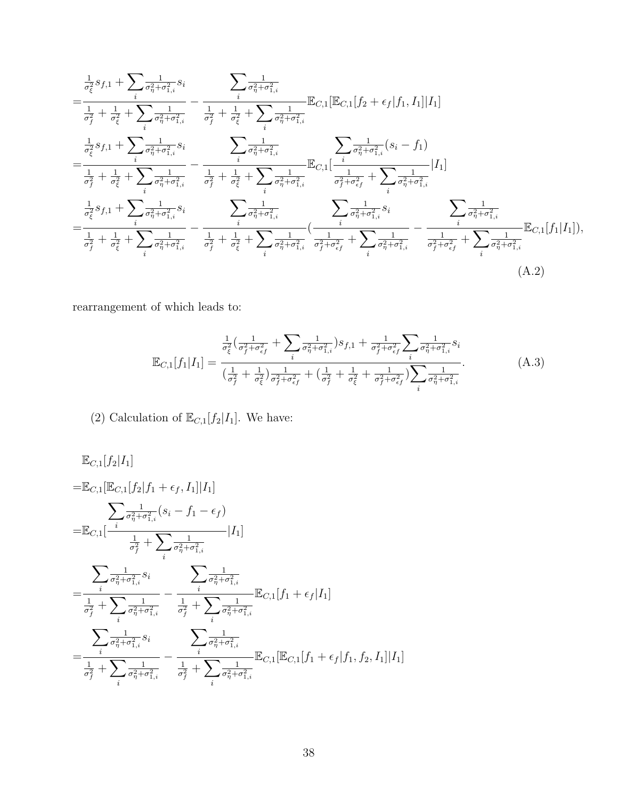$$
=\frac{\frac{1}{\sigma_{\xi}^{2}}s_{f,1} + \sum_{i} \frac{1}{\sigma_{\eta}^{2} + \sigma_{1,i}^{2}}s_{i}}{\frac{1}{\sigma_{f}^{2}} + \frac{1}{\sigma_{\xi}^{2}} + \sum_{i} \frac{1}{\sigma_{\eta}^{2} + \sigma_{1,i}^{2}}}-\frac{\frac{1}{\sigma_{\eta}^{2} + \sigma_{1,i}^{2}}}{\frac{1}{\sigma_{f}^{2}} + \frac{1}{\sigma_{\xi}^{2}} + \sum_{i} \frac{1}{\sigma_{\eta}^{2} + \sigma_{1,i}^{2}}} \mathbb{E}_{C,1}[\mathbb{E}_{C,1}[f_{2} + \epsilon_{f}|f_{1}, I_{1}] |I_{1}]
$$
\n
$$
=\frac{\frac{1}{\sigma_{\xi}^{2}}s_{f,1} + \sum_{i} \frac{1}{\sigma_{\eta}^{2} + \sigma_{1,i}^{2}}s_{i}}{\frac{1}{\sigma_{\eta}^{2} + \sigma_{1,i}^{2}} - \frac{1}{\sigma_{\eta}^{2}} + \frac{1}{\sigma_{\xi}^{2}} + \sum_{i} \frac{1}{\sigma_{\eta}^{2} + \sigma_{1,i}^{2}} \mathbb{E}_{C,1}[\frac{i}{\sigma_{f}^{2} + \sigma_{1,i}^{2}} + \sum_{i} \frac{1}{\sigma_{\eta}^{2} + \sigma_{1,i}^{2}}|I_{1}]
$$
\n
$$
=\frac{\frac{1}{\sigma_{\xi}^{2}}s_{f,1} + \sum_{i} \frac{1}{\sigma_{\eta}^{2} + \sigma_{1,i}^{2}}}{\frac{1}{\sigma_{\eta}^{2} + \sigma_{1,i}^{2}}s_{i}} - \sum_{i} \frac{1}{\sigma_{\eta}^{2} + \sigma_{1,i}^{2}} \frac{\sum_{i} \frac{1}{\sigma_{\eta}^{2} + \sigma_{1,i}^{2}}}{\frac{1}{\sigma_{\eta}^{2} + \sigma_{1,i}^{2}}s_{i}} - \frac{\sum_{i} \frac{1}{\sigma_{\eta}^{2} + \sigma_{1,i}^{2}}}{\frac{1}{\sigma_{\eta}^{2} + \sigma_{1,i}^{2}} s_{i}} - \frac{\sum_{i} \frac{1}{\sigma_{\eta}^{2} + \sigma_{1,i}^{2}}}{\frac{1}{\sigma_{\eta}^{2} + \sigma_{1,i}^{2}}
$$

rearrangement of which leads to:

<span id="page-38-1"></span><span id="page-38-0"></span>
$$
\mathbb{E}_{C,1}[f_1|I_1] = \frac{\frac{1}{\sigma_{\xi}^2} \left(\frac{1}{\sigma_f^2 + \sigma_{\epsilon f}^2} + \sum_i \frac{1}{\sigma_{\eta}^2 + \sigma_{1,i}^2}\right) s_{f,1} + \frac{1}{\sigma_f^2 + \sigma_{\epsilon f}^2} \sum_i \frac{1}{\sigma_{\eta}^2 + \sigma_{1,i}^2} s_i}{\left(\frac{1}{\sigma_f^2} + \frac{1}{\sigma_{\xi}^2}\right) \frac{1}{\sigma_f^2 + \sigma_{\epsilon f}^2} + \left(\frac{1}{\sigma_f^2} + \frac{1}{\sigma_{\xi}^2} + \frac{1}{\sigma_f^2 + \sigma_{\epsilon f}^2}\right) \sum_i \frac{1}{\sigma_{\eta}^2 + \sigma_{1,i}^2}}.
$$
\n(A.3)

(2) Calculation of  $\mathbb{E}_{C,1}[f_2|I_1].$  We have:

$$
\mathbb{E}_{C,1}[f_2|I_1] \n= \mathbb{E}_{C,1}[\mathbb{E}_{C,1}[f_2|f_1 + \epsilon_f, I_1]|I_1] \n= \mathbb{E}_{C,1}[\frac{i}{\sigma_{\eta}^2 + \sigma_{1,i}^2}(s_i - f_1 - \epsilon_f) \n= \mathbb{E}_{C,1}[\frac{i}{\sigma_{\eta}^2 + \sigma_{1,i}^2}(s_i - f_1 - \epsilon_f)] \n= \frac{\sum_{i} \frac{1}{\sigma_{\eta}^2 + \sigma_{1,i}^2} s_i}{\sum_{i} \frac{1}{\sigma_{\eta}^2 + \sigma_{1,i}^2} - \frac{i}{\sigma_{\eta}^2 + \sigma_{1,i}^2}} \mathbb{E}_{C,1}[f_1 + \epsilon_f|I_1] \n= \frac{\sum_{i} \frac{1}{\sigma_{\eta}^2 + \sigma_{1,i}^2} s_i}{\sum_{i} \frac{1}{\sigma_{\eta}^2 + \sigma_{1,i}^2} - \frac{1}{\sigma_{\eta}^2 + \sigma_{1,i}^2}} \mathbb{E}_{C,1}[\mathbb{E}_{C,1}[f_1 + \epsilon_f|f_1, f_2, I_1]|I_1] \n= \frac{\sum_{i} \frac{1}{\sigma_{\eta}^2 + \sigma_{1,i}^2} s_i}{\sum_{i} \frac{1}{\sigma_{\eta}^2 + \sigma_{1,i}^2} - \frac{1}{\sigma_{\eta}^2 + \sigma_{1,i}^2}} \mathbb{E}_{C,1}[\mathbb{E}_{C,1}[f_1 + \epsilon_f|f_1, f_2, I_1]|I_1]
$$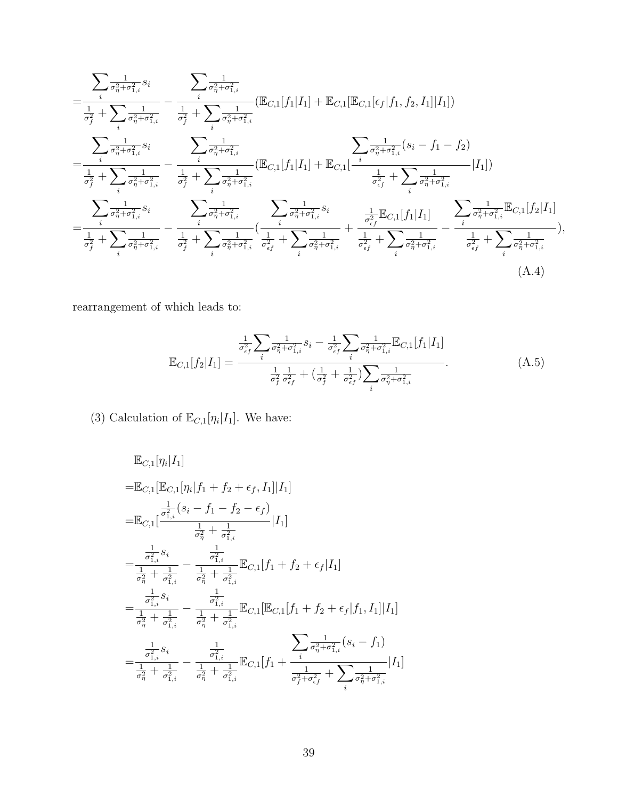$$
=\frac{\sum_{i} \overline{\sigma_{\eta}^{2} + \sigma_{1,i}^{2}} s_{i}}{\frac{1}{\sigma_{f}^{2}} + \sum_{i} \overline{\sigma_{\eta}^{2} + \sigma_{1,i}^{2}}} - \frac{\sum_{i} \overline{\sigma_{\eta}^{2} + \sigma_{1,i}^{2}}}{\frac{1}{\sigma_{f}^{2}} + \sum_{i} \overline{\sigma_{\eta}^{2} + \sigma_{1,i}^{2}}} (\mathbb{E}_{C,1}[f_{1}|I_{1}] + \mathbb{E}_{C,1}[\mathbb{E}_{C,1}[e_{f}|f_{1},f_{2},I_{1}]|I_{1}])
$$
\n
$$
=\frac{\sum_{i} \overline{\sigma_{\eta}^{2} + \sigma_{1,i}^{2}} s_{i}}{\frac{1}{\sigma_{f}^{2}} + \sum_{i} \overline{\sigma_{\eta}^{2} + \sigma_{1,i}^{2}}} - \frac{\sum_{i} \overline{\sigma_{\eta}^{2} + \sigma_{1,i}^{2}}}{\frac{1}{\sigma_{f}^{2}} + \sum_{i} \overline{\sigma_{\eta}^{2} + \sigma_{1,i}^{2}}} (\mathbb{E}_{C,1}[f_{1}|I_{1}] + \mathbb{E}_{C,1}[\frac{i}{\sigma_{\eta}^{2} + \sigma_{1,i}^{2}}(s_{i} - f_{1} - f_{2})
$$
\n
$$
= \frac{\sum_{i} \overline{\sigma_{\eta}^{2} + \sigma_{1,i}^{2}} s_{i}}{\frac{1}{\sigma_{\eta}^{2} + \sigma_{1,i}^{2}} s_{i}} - \frac{\sum_{i} \overline{\sigma_{\eta}^{2} + \sigma_{1,i}^{2}}}{\frac{1}{\sigma_{\eta}^{2} + \sigma_{1,i}^{2}}} (\mathbb{E}_{C,1}[f_{1}|I_{1}] + \mathbb{E}_{C,1}[\frac{1}{\sigma_{\eta}^{2} + \sigma_{1,i}^{2}}(s_{i} - \frac{1}{\sigma_{\eta}^{2} + \sigma_{1,i}^{2}}) - \frac{\sum_{i} \overline{\sigma_{\eta}^{2} + \sigma_{1,i}^{2}}}{\frac{1}{\sigma_{f}^{2}} + \sum_{i} \overline{\sigma_{\eta}^{2} + \sigma_{1,i}^{2}}} (\frac{1}{\sigma_{\eta}^{2} + \sigma_{1,i}^{2}}(s_{i} - \frac{1}{\sigma_{\eta}^{2} + \
$$

rearrangement of which leads to:

<span id="page-39-0"></span>
$$
\mathbb{E}_{C,1}[f_2|I_1] = \frac{\frac{1}{\sigma_{\epsilon_f}^2} \sum_i \frac{1}{\sigma_{\eta}^2 + \sigma_{1,i}^2} s_i - \frac{1}{\sigma_{\epsilon_f}^2} \sum_i \frac{1}{\sigma_{\eta}^2 + \sigma_{1,i}^2} \mathbb{E}_{C,1}[f_1|I_1]}{\frac{1}{\sigma_f^2} \frac{1}{\sigma_{\epsilon_f}^2} + \left(\frac{1}{\sigma_f^2} + \frac{1}{\sigma_{\epsilon_f}^2}\right) \sum_i \frac{1}{\sigma_{\eta}^2 + \sigma_{1,i}^2}}.
$$
\n(A.5)

(3) Calculation of  $\mathbb{E}_{C,1}[\eta_i|I_1]$ . We have:

$$
\mathbb{E}_{C,1}[\eta_i|I_1] \n= \mathbb{E}_{C,1}[\mathbb{E}_{C,1}[\eta_i|f_1+f_2+\epsilon_f, I_1]|I_1] \n= \mathbb{E}_{C,1}[\frac{\frac{1}{\sigma_{1,i}^2}(s_i - f_1 - f_2 - \epsilon_f)}{\frac{1}{\sigma_{\eta}^2} + \frac{1}{\sigma_{1,i}^2}}|I_1] \n= \frac{\frac{1}{\sigma_{1,i}^2}s_i}{\frac{1}{\sigma_{\eta}^2} + \frac{1}{\sigma_{1,i}^2}} - \frac{\frac{1}{\sigma_{1,i}^2}}{\frac{1}{\sigma_{\eta}^2} + \frac{1}{\sigma_{1,i}^2}} \mathbb{E}_{C,1}[f_1+f_2+\epsilon_f|I_1] \n= \frac{\frac{1}{\sigma_{1,i}^2}s_i}{\frac{1}{\sigma_{\eta}^2} + \frac{1}{\sigma_{1,i}^2}} - \frac{\frac{1}{\sigma_{1,i}^2}}{\frac{1}{\sigma_{\eta}^2} + \frac{1}{\sigma_{1,i}^2}} \mathbb{E}_{C,1}[\mathbb{E}_{C,1}[f_1+f_2+\epsilon_f|f_1, I_1]|I_1] \n= \frac{\frac{1}{\sigma_{1,i}^2}s_i}{\frac{1}{\sigma_{\eta}^2} + \frac{1}{\sigma_{1,i}^2}} - \frac{\frac{1}{\sigma_{1,i}^2}}{\frac{1}{\sigma_{1,i}^2} + \frac{1}{\sigma_{1,i}^2}} \mathbb{E}_{C,1}[f_1 + \frac{\sum_{i} \frac{1}{\sigma_{\eta}^2 + \sigma_{1,i}^2}(s_i - f_1)}{\frac{1}{\sigma_{\eta}^2 + \sigma_{1,i}^2}}|I_1] \n= \frac{\frac{1}{\sigma_{1,i}^2}s_i}{\frac{1}{\sigma_{\eta}^2} + \frac{1}{\sigma_{1,i}^2}} - \frac{\frac{1}{\sigma_{1,i}^2}}{\frac{1}{\sigma_{\eta}^2} + \frac{1}{\sigma_{1,i}^2}} \mathbb{E}_{C,1}[f_1 + \frac{\frac{1}{\sigma_{1,i}^2} + \sum_{i} \frac{1}{\sigma_{\eta}^2 + \sigma_{1,i}^2}}|I_1]
$$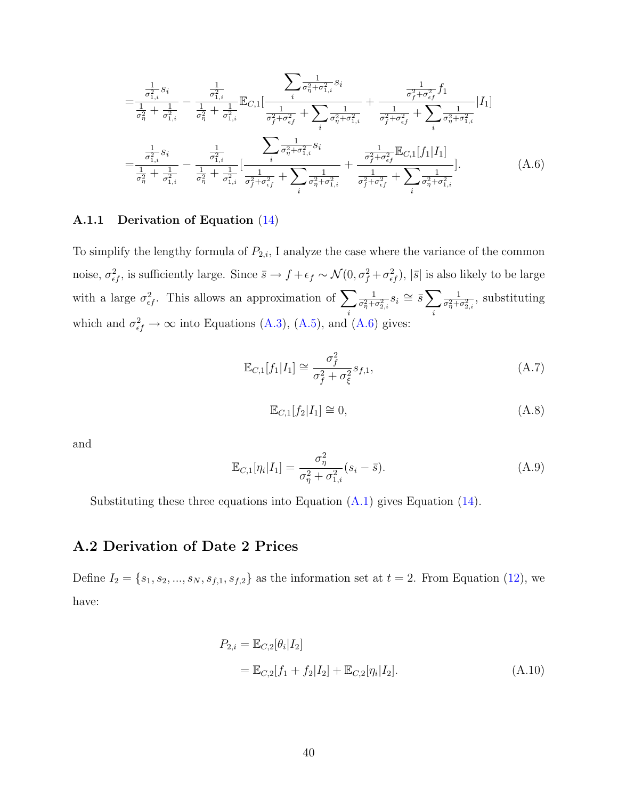$$
= \frac{\frac{1}{\sigma_{1,i}^2} s_i}{\frac{1}{\sigma_{\eta}^2} + \frac{1}{\sigma_{1,i}^2}} - \frac{\frac{1}{\sigma_{1,i}^2}}{\frac{1}{\sigma_{\eta}^2} + \frac{1}{\sigma_{1,i}^2}} \mathbb{E}_{C,1} \left[ \frac{\frac{1}{\sigma_{\eta}^2 + \sigma_{1,i}^2} s_i}{\frac{1}{\sigma_{\eta}^2 + \sigma_{\epsilon f}^2} + \sum_{i} \frac{1}{\sigma_{\eta}^2 + \sigma_{1,i}^2}} + \frac{\frac{1}{\sigma_{\eta}^2 + \sigma_{\epsilon f}^2} f_1}{\frac{1}{\sigma_{\eta}^2 + \sigma_{\epsilon f}^2} + \sum_{i} \frac{1}{\sigma_{\eta}^2 + \sigma_{\epsilon f}^2}} \right] [I_1]
$$
  

$$
= \frac{\frac{1}{\sigma_{1,i}^2} s_i}{\frac{1}{\sigma_{\eta}^2} + \frac{1}{\sigma_{1,i}^2}} - \frac{\frac{1}{\sigma_{1,i}^2}}{\frac{1}{\sigma_{\eta}^2} + \frac{1}{\sigma_{1,i}^2}} \left[ \frac{\frac{1}{\sigma_{\eta}^2 + \sigma_{1,i}^2} s_i}{\frac{1}{\sigma_{\eta}^2 + \sigma_{\epsilon f}^2} + \sum_{i} \frac{1}{\sigma_{\eta}^2 + \sigma_{\epsilon f}^2} + \sum_{i} \frac{1}{\sigma_{\eta}^2 + \sigma_{\epsilon f}^2} + \sum_{i} \frac{1}{\sigma_{\eta}^2 + \sigma_{\epsilon f}^2} \right].
$$
 (A.6)

#### A.1.1 Derivation of Equation [\(14\)](#page-13-0)

To simplify the lengthy formula of  $P_{2,i}$ , I analyze the case where the variance of the common noise,  $\sigma_{ef}^2$ , is sufficiently large. Since  $\bar{s} \to f + \epsilon_f \sim \mathcal{N}(0, \sigma_f^2 + \sigma_{ef}^2)$ ,  $|\bar{s}|$  is also likely to be large with a large  $\sigma_{\epsilon f}^2$ . This allows an approximation of  $\sum$ i 1  $\frac{1}{\sigma_{\eta}^2+\sigma_{2,i}^2}s_i\cong \bar{s}\sum$ i 1  $\frac{1}{\sigma_{\eta}^2 + \sigma_{2,i}^2}$ , substituting which and  $\sigma_{\epsilon f}^2 \to \infty$  into Equations [\(A.3\)](#page-38-0), [\(A.5\)](#page-39-0), and [\(A.6\)](#page-40-0) gives:

<span id="page-40-0"></span>
$$
\mathbb{E}_{C,1}[f_1|I_1] \cong \frac{\sigma_f^2}{\sigma_f^2 + \sigma_\xi^2} s_{f,1},\tag{A.7}
$$

$$
\mathbb{E}_{C,1}[f_2|I_1] \cong 0,\tag{A.8}
$$

and

$$
\mathbb{E}_{C,1}[\eta_i|I_1] = \frac{\sigma_\eta^2}{\sigma_\eta^2 + \sigma_{1,i}^2} (s_i - \bar{s}).\tag{A.9}
$$

Substituting these three equations into Equation  $(A.1)$  gives Equation  $(14)$ .

## A.2 Derivation of Date 2 Prices

Define  $I_2 = \{s_1, s_2, ..., s_N, s_{f,1}, s_{f,2}\}\$ as the information set at  $t = 2$ . From Equation [\(12\)](#page-12-1), we have:

<span id="page-40-1"></span>
$$
P_{2,i} = \mathbb{E}_{C,2}[\theta_i | I_2]
$$
  
=  $\mathbb{E}_{C,2}[f_1 + f_2 | I_2] + \mathbb{E}_{C,2}[\eta_i | I_2].$  (A.10)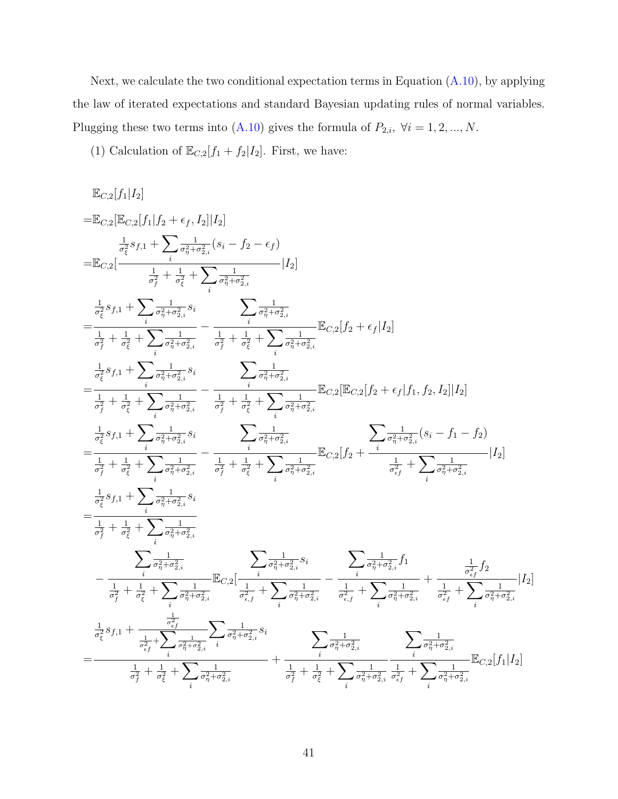Next, we calculate the two conditional expectation terms in Equation  $(A.10)$ , by applying the law of iterated expectations and standard Bayesian updating rules of normal variables. Plugging these two terms into [\(A.10\)](#page-40-1) gives the formula of  $P_{2,i}$ ,  $\forall i = 1, 2, ..., N$ .

(1) Calculation of  $\mathbb{E}_{C,2}[f_1+f_2|I_2]$ . First, we have:

$$
\begin{split} &\mathbb{E}_{C,2}[f_{1}|I_{2}] \\ =&\mathbb{E}_{C,2}[\mathbb{E}_{C,2}[f_{1}|f_{2}+\epsilon_{f},I_{2}]|I_{2}] \\ &\frac{1}{\sigma_{\xi}^{2}}s_{f,1}+\sum_{j}\frac{1}{\sigma_{\eta}^{2}+\sigma_{2,i}^{2}}(s_{i}-f_{2}-\epsilon_{f}) \\ =&\mathbb{E}_{C,2}[\frac{1}{\sigma_{f}^{2}+\frac{1}{\sigma_{\xi}^{2}}+\sum_{i}\frac{1}{\sigma_{\eta}^{2}+\sigma_{2,i}^{2}}|I_{2}] \\ =&\frac{1}{\sigma_{f}^{2}}s_{f,1}+\sum_{i}\frac{1}{\sigma_{\eta}^{2}+\sigma_{2,i}^{2}}s_{i} \qquad \sum_{i}\frac{1}{\sigma_{\eta}^{2}+\sigma_{2,i}^{2}} \\ =&\frac{1}{\sigma_{f}^{2}}s_{f,1}+\sum_{i}\frac{1}{\sigma_{\eta}^{2}+\sigma_{2,i}^{2}}s_{i} \qquad \sum_{j}\frac{1}{\sigma_{f}^{2}+\sigma_{2,i}^{2}} \qquad \mathbb{E}_{C,2}[f_{2}+\epsilon_{f}|I_{2}] \\ =&\frac{1}{\sigma_{f}^{2}}s_{f,1}+\sum_{i}\frac{1}{\sigma_{\eta}^{2}+\sigma_{2,i}^{2}}s_{i} \qquad \sum_{j}\frac{1}{\sigma_{j}^{2}+\sigma_{2,i}^{2}} \qquad \mathbb{E}_{C,2}[\mathbb{E}_{C,2}[f_{2}+\epsilon_{f}|f_{1},f_{2},I_{2}]|I_{2}] \\ =&\frac{1}{\sigma_{f}^{2}}s_{f,1}+\sum_{i}\frac{1}{\sigma_{\eta}^{2}+\sigma_{2,i}^{2}}s_{i} \qquad \sum_{j}\frac{1}{\sigma_{j}^{2}+\sigma_{2,i}^{2}} \qquad \mathbb{E}_{C,2}[\mathbb{E}_{C,2}[f_{2}+\epsilon_{f}|f_{1},f_{2},I_{2}]|I_{2}] \\ =&\frac{1}{\sigma_{f}^{2}}s_{f,1}+\sum_{i}\frac{1}{\sigma_{i}^{2}+\sigma_{2,i}^{2}}s_{i} \qquad \sum_{j}\frac{1}{\sigma_{f}^{2}+\sigma_{2,i}^{2}} \qquad \mathbb{E}_{C,2}[\mathbb{E}_{C,2}[f_{2}+\epsilon
$$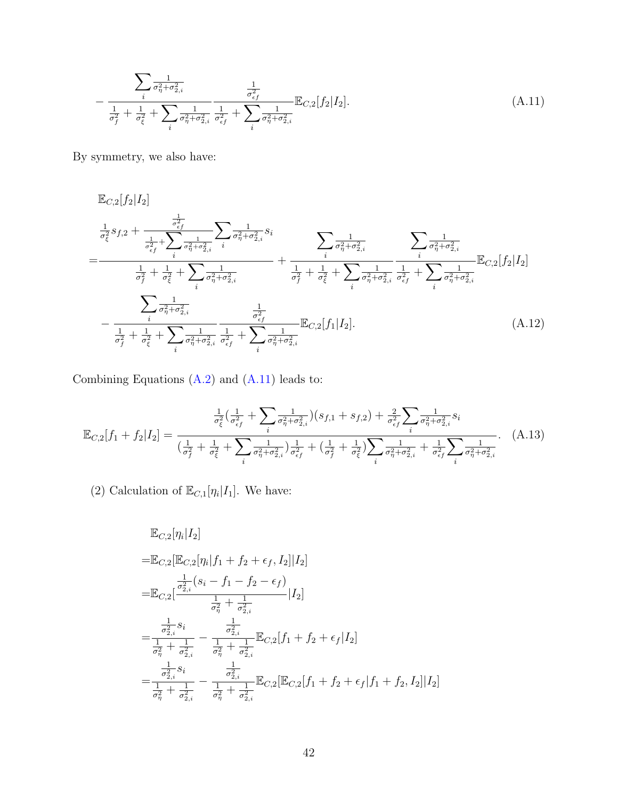<span id="page-42-0"></span>
$$
-\frac{\sum_{i} \frac{1}{\sigma_{\eta}^{2} + \sigma_{2,i}^{2}}}{\frac{1}{\sigma_{f}^{2}} + \frac{1}{\sigma_{\xi}^{2}} + \sum_{i} \frac{1}{\sigma_{\eta}^{2} + \sigma_{2,i}^{2}} \frac{1}{\sigma_{\epsilon f}^{2}} + \sum_{i} \frac{1}{\sigma_{\eta}^{2} + \sigma_{2,i}^{2}} \mathbb{E}_{C,2}[f_{2}|I_{2}].
$$
\n(A.11)

By symmetry, we also have:

$$
\mathbb{E}_{C,2}[f_2|I_2] \n= \frac{\frac{1}{\sigma_{\xi}^2} s_{f,2} + \frac{\frac{1}{\sigma_{\xi_f}^2}}{\frac{1}{\sigma_{\xi}^2} + \sum_{i} \frac{1}{\sigma_{\eta}^2 + \sigma_{2,i}^2}} \sum_{i} \frac{1}{\sigma_{\eta}^2 + \sigma_{2,i}^2} s_i}{\frac{1}{\sigma_{\eta}^2} + \sum_{i} \frac{1}{\sigma_{\eta}^2 + \sigma_{2,i}^2}} + \frac{\sum_{i} \frac{1}{\sigma_{\eta}^2 + \sigma_{2,i}^2}}{\frac{1}{\sigma_{\eta}^2} + \sigma_{2,i}^2} \frac{\sum_{i} \frac{1}{\sigma_{\eta}^2 + \sigma_{2,i}^2}}{\frac{1}{\sigma_{\eta}^2} + \sigma_{2,i}^2} \mathbb{E}_{C,2}[f_2|I_2] \n- \frac{\sum_{i} \frac{1}{\sigma_{\eta}^2 + \sigma_{2,i}^2}}{\frac{1}{\sigma_{\eta}^2} + \sigma_{2,i}^2} \frac{\frac{1}{\sigma_{\xi}^2}}{\frac{1}{\sigma_{\xi}^2} + \sum_{i} \frac{1}{\sigma_{\eta}^2 + \sigma_{2,i}^2}} \mathbb{E}_{C,2}[f_1|I_2].
$$
\n(A.12)

Combining Equations [\(A.2\)](#page-38-1) and [\(A.11\)](#page-42-0) leads to:

$$
\mathbb{E}_{C,2}[f_1+f_2|I_2] = \frac{\frac{1}{\sigma_{\xi}^2} \left(\frac{1}{\sigma_{\xi}^2} + \sum_i \frac{1}{\sigma_{\eta}^2 + \sigma_{2,i}^2}\right) \left(s_{f,1} + s_{f,2}\right) + \frac{2}{\sigma_{\xi}^2} \sum_i \frac{1}{\sigma_{\eta}^2 + \sigma_{2,i}^2} s_i}{\left(\frac{1}{\sigma_{f}^2} + \frac{1}{\sigma_{\xi}^2} + \sum_i \frac{1}{\sigma_{\eta}^2 + \sigma_{2,i}^2}\right) \frac{1}{\sigma_{\xi}^2} + \left(\frac{1}{\sigma_{f}^2} + \frac{1}{\sigma_{\xi}^2}\right) \sum_i \frac{1}{\sigma_{\eta}^2 + \sigma_{2,i}^2} + \frac{1}{\sigma_{\xi}^2} \sum_i \frac{1}{\sigma_{\eta}^2 + \sigma_{2,i}^2}}.
$$
\n(A.13)

(2) Calculation of  $\mathbb{E}_{C,1}[\eta_i|I_1]$ . We have:

<span id="page-42-1"></span>
$$
\mathbb{E}_{C,2}[\eta_i|I_2]
$$
\n
$$
= \mathbb{E}_{C,2}[\mathbb{E}_{C,2}[\eta_i|f_1 + f_2 + \epsilon_f, I_2]|I_2]
$$
\n
$$
= \mathbb{E}_{C,2}[\frac{\frac{1}{\sigma_{2,i}^2}(s_i - f_1 - f_2 - \epsilon_f)}{\frac{1}{\sigma_{\eta}^2} + \frac{1}{\sigma_{2,i}^2}}|I_2]
$$
\n
$$
= \frac{\frac{1}{\sigma_{2,i}^2} s_i}{\frac{1}{\sigma_{\eta}^2} + \frac{1}{\sigma_{2,i}^2}} - \frac{\frac{1}{\sigma_{2,i}^2}}{\frac{1}{\sigma_{\eta}^2} + \frac{1}{\sigma_{2,i}^2}} \mathbb{E}_{C,2}[f_1 + f_2 + \epsilon_f|I_2]
$$
\n
$$
= \frac{\frac{1}{\sigma_{2,i}^2} s_i}{\frac{1}{\sigma_{2,i}^2} - \frac{1}{\sigma_{2,i}^2}} - \frac{\frac{1}{\sigma_{2,i}^2}}{\frac{1}{\sigma_{\eta}^2} + \frac{1}{\sigma_{2,i}^2}} \mathbb{E}_{C,2}[\mathbb{E}_{C,2}[f_1 + f_2 + \epsilon_f|f_1 + f_2, I_2]|I_2]
$$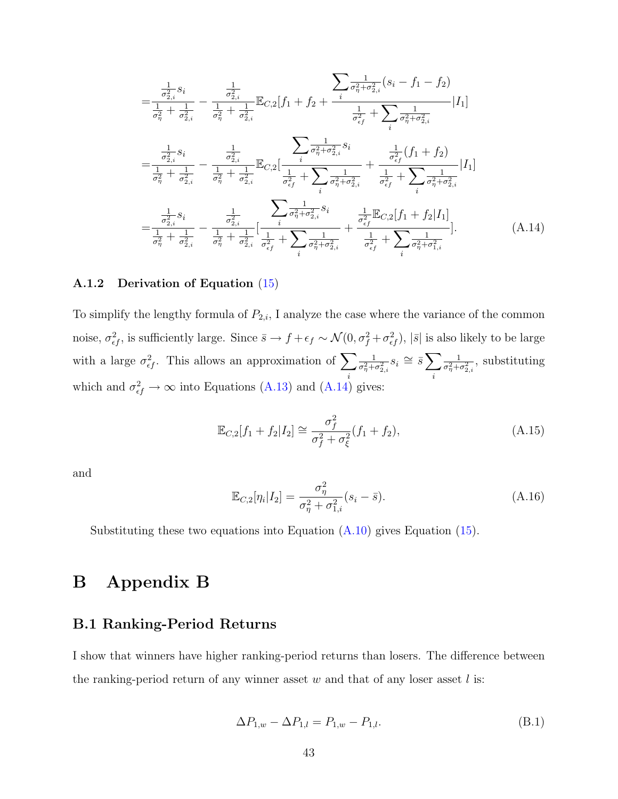$$
= \frac{\frac{1}{\sigma_{2,i}^2} s_i}{\frac{1}{\sigma_{\eta}^2} + \frac{1}{\sigma_{2,i}^2}} - \frac{\frac{1}{\sigma_{2,i}^2}}{\frac{1}{\sigma_{\eta}^2} + \frac{1}{\sigma_{2,i}^2}} \mathbb{E}_{C,2}[f_1 + f_2 + \frac{\frac{1}{\sigma_{\eta}^2 + \sigma_{2,i}^2} (s_i - f_1 - f_2)}{\frac{1}{\sigma_{\epsilon_f}^2} + \sum_{i} \frac{1}{\sigma_{\eta}^2 + \sigma_{2,i}^2}} |I_1]
$$
\n
$$
= \frac{\frac{1}{\sigma_{2,i}^2} s_i}{\frac{1}{\sigma_{\eta}^2} + \frac{1}{\sigma_{2,i}^2}} - \frac{\frac{1}{\sigma_{2,i}^2}}{\frac{1}{\sigma_{\eta}^2} + \frac{1}{\sigma_{2,i}^2}} \mathbb{E}_{C,2}[\frac{i}{\frac{1}{\sigma_{\epsilon_f}^2} + \sum_{i} \frac{1}{\sigma_{\eta}^2 + \sigma_{2,i}^2}} + \frac{\frac{1}{\sigma_{\epsilon_f}^2} (f_1 + f_2)}{\frac{1}{\sigma_{\epsilon_f}^2} + \sum_{i} \frac{1}{\sigma_{\eta}^2 + \sigma_{2,i}^2}} |I_1]
$$
\n
$$
= \frac{\frac{1}{\sigma_{2,i}^2} s_i}{\frac{1}{\sigma_{2,i}^2} - \frac{1}{\sigma_{2,i}^2}} - \frac{\frac{1}{\sigma_{2,i}^2}}{\frac{1}{\sigma_{2,i}^2} - \frac{1}{\sigma_{2,i}^2}} \left[ \frac{i}{\sigma_{\eta}^2 + \sigma_{2,i}^2} s_i}{\frac{1}{\sigma_{\eta}^2 + \sigma_{2,i}^2}} + \frac{\frac{1}{\sigma_{\epsilon_f}^2} \mathbb{E}_{C,2}[f_1 + f_2|I_1]}{\frac{1}{\sigma_{\eta}^2} + \frac{1}{\sigma_{2,i}^2}} \right]. \tag{A.14}
$$

#### A.1.2 Derivation of Equation [\(15\)](#page-13-1)

To simplify the lengthy formula of  $P_{2,i}$ , I analyze the case where the variance of the common noise,  $\sigma_{ef}^2$ , is sufficiently large. Since  $\bar{s} \to f + \epsilon_f \sim \mathcal{N}(0, \sigma_f^2 + \sigma_{ef}^2)$ ,  $|\bar{s}|$  is also likely to be large with a large  $\sigma_{\epsilon f}^2$ . This allows an approximation of  $\sum$ i 1  $\frac{1}{\sigma_\eta^2+\sigma_{2,i}^2}s_i\cong \bar s\sum$ i 1  $\frac{1}{\sigma_{\eta}^2 + \sigma_{2,i}^2}$ , substituting which and  $\sigma_{\epsilon f}^2 \to \infty$  into Equations [\(A.13\)](#page-42-1) and [\(A.14\)](#page-43-0) gives:

<span id="page-43-0"></span>
$$
\mathbb{E}_{C,2}[f_1 + f_2 | I_2] \cong \frac{\sigma_f^2}{\sigma_f^2 + \sigma_\xi^2}(f_1 + f_2),\tag{A.15}
$$

and

$$
\mathbb{E}_{C,2}[\eta_i|I_2] = \frac{\sigma_\eta^2}{\sigma_\eta^2 + \sigma_{1,i}^2} (s_i - \bar{s}).\tag{A.16}
$$

Substituting these two equations into Equation  $(A.10)$  gives Equation  $(15)$ .

# B Appendix B

### B.1 Ranking-Period Returns

I show that winners have higher ranking-period returns than losers. The difference between the ranking-period return of any winner asset  $w$  and that of any loser asset  $l$  is:

<span id="page-43-1"></span>
$$
\Delta P_{1,w} - \Delta P_{1,l} = P_{1,w} - P_{1,l}.\tag{B.1}
$$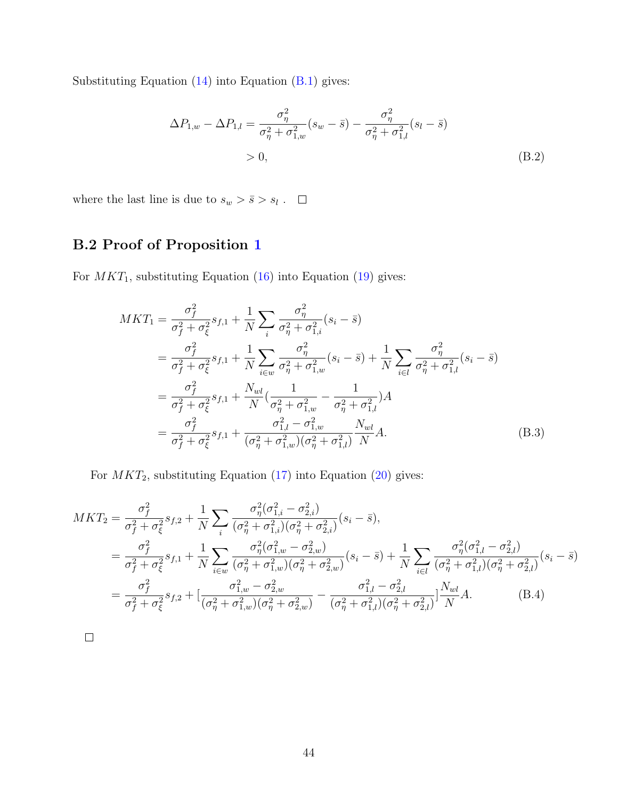Substituting Equation  $(14)$  into Equation  $(B.1)$  gives:

$$
\Delta P_{1,w} - \Delta P_{1,l} = \frac{\sigma_{\eta}^2}{\sigma_{\eta}^2 + \sigma_{1,w}^2} (s_w - \bar{s}) - \frac{\sigma_{\eta}^2}{\sigma_{\eta}^2 + \sigma_{1,l}^2} (s_l - \bar{s})
$$
  
> 0, (B.2)

where the last line is due to  $s_w > \bar{s} > s_l$ .

# B.2 Proof of Proposition [1](#page-15-0)

For  $MKT_1$ , substituting Equation [\(16\)](#page-13-2) into Equation [\(19\)](#page-14-4) gives:

$$
MKT_{1} = \frac{\sigma_{f}^{2}}{\sigma_{f}^{2} + \sigma_{\xi}^{2}} s_{f,1} + \frac{1}{N} \sum_{i} \frac{\sigma_{\eta}^{2}}{\sigma_{\eta}^{2} + \sigma_{1,i}^{2}} (s_{i} - \bar{s})
$$
  
\n
$$
= \frac{\sigma_{f}^{2}}{\sigma_{f}^{2} + \sigma_{\xi}^{2}} s_{f,1} + \frac{1}{N} \sum_{i \in w} \frac{\sigma_{\eta}^{2}}{\sigma_{\eta}^{2} + \sigma_{1,w}^{2}} (s_{i} - \bar{s}) + \frac{1}{N} \sum_{i \in l} \frac{\sigma_{\eta}^{2}}{\sigma_{\eta}^{2} + \sigma_{1,l}^{2}} (s_{i} - \bar{s})
$$
  
\n
$$
= \frac{\sigma_{f}^{2}}{\sigma_{f}^{2} + \sigma_{\xi}^{2}} s_{f,1} + \frac{N_{wl}}{N} (\frac{1}{\sigma_{\eta}^{2} + \sigma_{1,w}^{2}} - \frac{1}{\sigma_{\eta}^{2} + \sigma_{1,l}^{2}})A
$$
  
\n
$$
= \frac{\sigma_{f}^{2}}{\sigma_{f}^{2} + \sigma_{\xi}^{2}} s_{f,1} + \frac{\sigma_{1,l}^{2} - \sigma_{1,w}^{2}}{(\sigma_{\eta}^{2} + \sigma_{1,w}^{2})(\sigma_{\eta}^{2} + \sigma_{1,l}^{2})} \frac{N_{wl}}{N}A.
$$
 (B.3)

For  $MKT_2$ , substituting Equation [\(17\)](#page-14-2) into Equation [\(20\)](#page-14-5) gives:

$$
MKT_{2} = \frac{\sigma_{f}^{2}}{\sigma_{f}^{2} + \sigma_{\xi}^{2}} s_{f,2} + \frac{1}{N} \sum_{i} \frac{\sigma_{\eta}^{2}(\sigma_{1,i}^{2} - \sigma_{2,i}^{2})}{(\sigma_{\eta}^{2} + \sigma_{1,i}^{2})(\sigma_{\eta}^{2} + \sigma_{2,i}^{2})} (s_{i} - \bar{s}),
$$
  
\n
$$
= \frac{\sigma_{f}^{2}}{\sigma_{f}^{2} + \sigma_{\xi}^{2}} s_{f,1} + \frac{1}{N} \sum_{i \in w} \frac{\sigma_{\eta}^{2}(\sigma_{1,w}^{2} - \sigma_{2,w}^{2})}{(\sigma_{\eta}^{2} + \sigma_{1,w}^{2})(\sigma_{\eta}^{2} + \sigma_{2,w}^{2})} (s_{i} - \bar{s}) + \frac{1}{N} \sum_{i \in l} \frac{\sigma_{\eta}^{2}(\sigma_{1,l}^{2} - \sigma_{2,l}^{2})}{(\sigma_{\eta}^{2} + \sigma_{1,l}^{2})(\sigma_{\eta}^{2} + \sigma_{2,l}^{2})} (s_{i} - \bar{s})
$$
  
\n
$$
= \frac{\sigma_{f}^{2}}{\sigma_{f}^{2} + \sigma_{\xi}^{2}} s_{f,2} + \left[ \frac{\sigma_{1,w}^{2} - \sigma_{2,w}^{2}}{(\sigma_{\eta}^{2} + \sigma_{1,w}^{2})(\sigma_{\eta}^{2} + \sigma_{2,w}^{2})} - \frac{\sigma_{1,l}^{2} - \sigma_{2,l}^{2}}{(\sigma_{\eta}^{2} + \sigma_{1,l}^{2})(\sigma_{\eta}^{2} + \sigma_{2,l}^{2})} \right] \frac{N_{wl}}{N} A.
$$
 (B.4)

 $\hfill \square$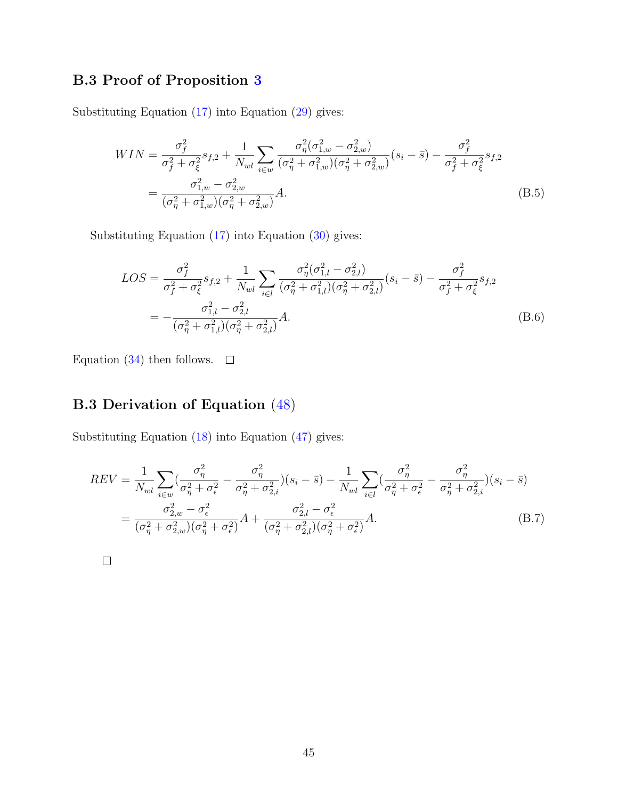# B.3 Proof of Proposition [3](#page-18-1)

Substituting Equation [\(17\)](#page-14-2) into Equation [\(29\)](#page-18-2) gives:

$$
WIN = \frac{\sigma_f^2}{\sigma_f^2 + \sigma_\xi^2} s_{f,2} + \frac{1}{N_{wl}} \sum_{i \in w} \frac{\sigma_\eta^2 (\sigma_{1,w}^2 - \sigma_{2,w}^2)}{(\sigma_\eta^2 + \sigma_{1,w}^2)(\sigma_\eta^2 + \sigma_{2,w}^2)} (s_i - \bar{s}) - \frac{\sigma_f^2}{\sigma_f^2 + \sigma_\xi^2} s_{f,2}
$$

$$
= \frac{\sigma_{1,w}^2 - \sigma_{2,w}^2}{(\sigma_\eta^2 + \sigma_{1,w}^2)(\sigma_\eta^2 + \sigma_{2,w}^2)} A. \tag{B.5}
$$

Substituting Equation [\(17\)](#page-14-2) into Equation [\(30\)](#page-18-3) gives:

$$
LOS = \frac{\sigma_f^2}{\sigma_f^2 + \sigma_\xi^2} s_{f,2} + \frac{1}{N_{wl}} \sum_{i \in l} \frac{\sigma_\eta^2 (\sigma_{1,l}^2 - \sigma_{2,l}^2)}{(\sigma_\eta^2 + \sigma_{1,l}^2)(\sigma_\eta^2 + \sigma_{2,l}^2)} (s_i - \bar{s}) - \frac{\sigma_f^2}{\sigma_f^2 + \sigma_\xi^2} s_{f,2}
$$
  
= 
$$
-\frac{\sigma_{1,l}^2 - \sigma_{2,l}^2}{(\sigma_\eta^2 + \sigma_{1,l}^2)(\sigma_\eta^2 + \sigma_{2,l}^2)} A.
$$
(B.6)

Equation [\(34\)](#page-18-1) then follows.  $\square$ 

# B.3 Derivation of Equation [\(48\)](#page-22-1)

Substituting Equation [\(18\)](#page-14-3) into Equation [\(47\)](#page-21-2) gives:

$$
REV = \frac{1}{N_{wl}} \sum_{i \in w} \left( \frac{\sigma_{\eta}^2}{\sigma_{\eta}^2 + \sigma_{\epsilon}^2} - \frac{\sigma_{\eta}^2}{\sigma_{\eta}^2 + \sigma_{2,i}^2} \right) (s_i - \bar{s}) - \frac{1}{N_{wl}} \sum_{i \in l} \left( \frac{\sigma_{\eta}^2}{\sigma_{\eta}^2 + \sigma_{\epsilon}^2} - \frac{\sigma_{\eta}^2}{\sigma_{\eta}^2 + \sigma_{2,i}^2} \right) (s_i - \bar{s})
$$
  
= 
$$
\frac{\sigma_{2,w}^2 - \sigma_{\epsilon}^2}{(\sigma_{\eta}^2 + \sigma_{2,w}^2)(\sigma_{\eta}^2 + \sigma_{\epsilon}^2)} A + \frac{\sigma_{2,l}^2 - \sigma_{\epsilon}^2}{(\sigma_{\eta}^2 + \sigma_{2,l}^2)(\sigma_{\eta}^2 + \sigma_{\epsilon}^2)} A.
$$
(B.7)

 $\Box$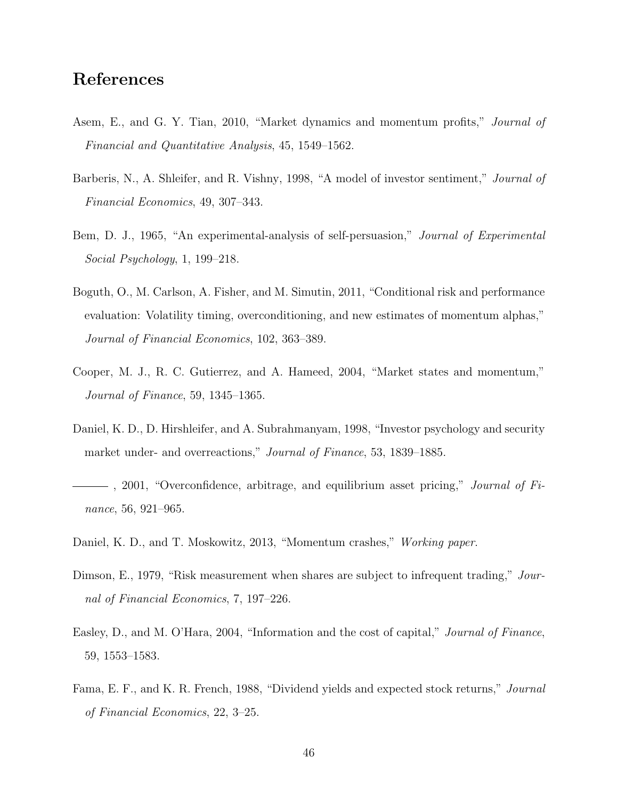# References

- <span id="page-46-2"></span>Asem, E., and G. Y. Tian, 2010, "Market dynamics and momentum profits," Journal of Financial and Quantitative Analysis, 45, 1549–1562.
- <span id="page-46-7"></span>Barberis, N., A. Shleifer, and R. Vishny, 1998, "A model of investor sentiment," *Journal of* Financial Economics, 49, 307–343.
- <span id="page-46-4"></span>Bem, D. J., 1965, "An experimental-analysis of self-persuasion," Journal of Experimental Social Psychology, 1, 199–218.
- <span id="page-46-5"></span>Boguth, O., M. Carlson, A. Fisher, and M. Simutin, 2011, "Conditional risk and performance evaluation: Volatility timing, overconditioning, and new estimates of momentum alphas," Journal of Financial Economics, 102, 363–389.
- <span id="page-46-0"></span>Cooper, M. J., R. C. Gutierrez, and A. Hameed, 2004, "Market states and momentum," Journal of Finance, 59, 1345–1365.
- <span id="page-46-3"></span>Daniel, K. D., D. Hirshleifer, and A. Subrahmanyam, 1998, "Investor psychology and security market under- and overreactions," *Journal of Finance*, 53, 1839–1885.
- <span id="page-46-6"></span> $-$ , 2001, "Overconfidence, arbitrage, and equilibrium asset pricing," *Journal of Fi*nance, 56, 921–965.
- <span id="page-46-1"></span>Daniel, K. D., and T. Moskowitz, 2013, "Momentum crashes," Working paper.
- <span id="page-46-10"></span>Dimson, E., 1979, "Risk measurement when shares are subject to infrequent trading," Journal of Financial Economics, 7, 197–226.
- <span id="page-46-8"></span>Easley, D., and M. O'Hara, 2004, "Information and the cost of capital," Journal of Finance, 59, 1553–1583.
- <span id="page-46-9"></span>Fama, E. F., and K. R. French, 1988, "Dividend yields and expected stock returns," Journal of Financial Economics, 22, 3–25.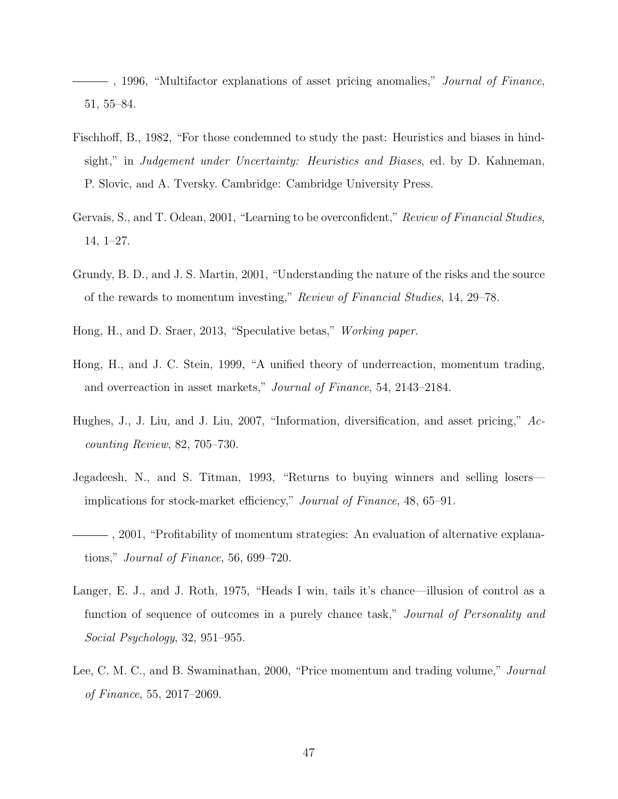<span id="page-47-7"></span> $-$ , 1996, "Multifactor explanations of asset pricing anomalies," *Journal of Finance*, 51, 55–84.

- <span id="page-47-3"></span>Fischhoff, B., 1982, "For those condemned to study the past: Heuristics and biases in hindsight," in Judgement under Uncertainty: Heuristics and Biases, ed. by D. Kahneman, P. Slovic, and A. Tversky. Cambridge: Cambridge University Press.
- <span id="page-47-4"></span>Gervais, S., and T. Odean, 2001, "Learning to be overconfident," Review of Financial Studies, 14, 1–27.
- <span id="page-47-5"></span>Grundy, B. D., and J. S. Martin, 2001, "Understanding the nature of the risks and the source of the rewards to momentum investing," Review of Financial Studies, 14, 29–78.
- <span id="page-47-10"></span>Hong, H., and D. Sraer, 2013, "Speculative betas," Working paper.
- <span id="page-47-1"></span>Hong, H., and J. C. Stein, 1999, "A unified theory of underreaction, momentum trading, and overreaction in asset markets," Journal of Finance, 54, 2143–2184.
- <span id="page-47-6"></span>Hughes, J., J. Liu, and J. Liu, 2007, "Information, diversification, and asset pricing," Accounting Review, 82, 705–730.
- <span id="page-47-0"></span>Jegadeesh, N., and S. Titman, 1993, "Returns to buying winners and selling losers implications for stock-market efficiency," Journal of Finance, 48, 65–91.
- <span id="page-47-9"></span>, 2001, "Profitability of momentum strategies: An evaluation of alternative explanations," Journal of Finance, 56, 699–720.
- <span id="page-47-2"></span>Langer, E. J., and J. Roth, 1975, "Heads I win, tails it's chance—illusion of control as a function of sequence of outcomes in a purely chance task," Journal of Personality and Social Psychology, 32, 951–955.
- <span id="page-47-8"></span>Lee, C. M. C., and B. Swaminathan, 2000, "Price momentum and trading volume," Journal of Finance, 55, 2017–2069.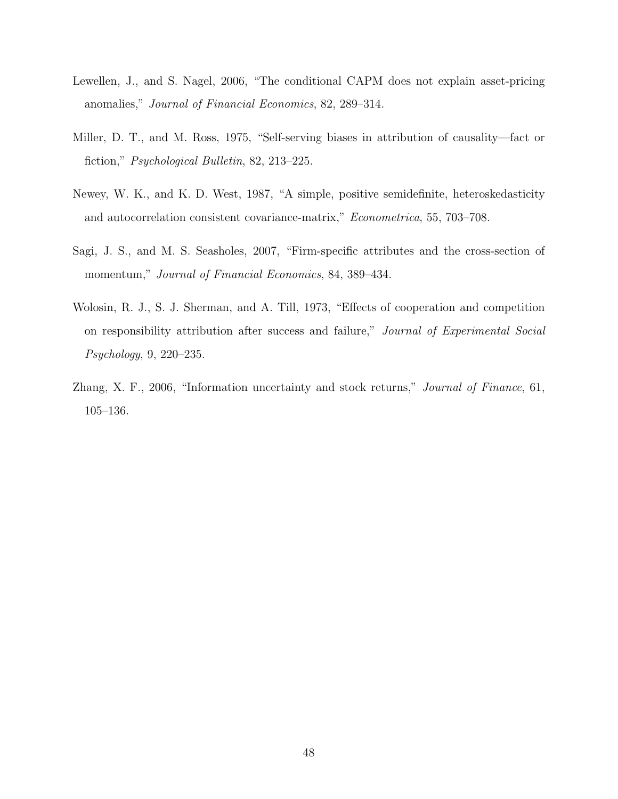- <span id="page-48-4"></span>Lewellen, J., and S. Nagel, 2006, "The conditional CAPM does not explain asset-pricing anomalies," Journal of Financial Economics, 82, 289–314.
- <span id="page-48-2"></span>Miller, D. T., and M. Ross, 1975, "Self-serving biases in attribution of causality—fact or fiction," Psychological Bulletin, 82, 213–225.
- <span id="page-48-5"></span>Newey, W. K., and K. D. West, 1987, "A simple, positive semidefinite, heteroskedasticity and autocorrelation consistent covariance-matrix," Econometrica, 55, 703–708.
- <span id="page-48-0"></span>Sagi, J. S., and M. S. Seasholes, 2007, "Firm-specific attributes and the cross-section of momentum," Journal of Financial Economics, 84, 389–434.
- <span id="page-48-1"></span>Wolosin, R. J., S. J. Sherman, and A. Till, 1973, "Effects of cooperation and competition on responsibility attribution after success and failure," Journal of Experimental Social Psychology, 9, 220–235.
- <span id="page-48-3"></span>Zhang, X. F., 2006, "Information uncertainty and stock returns," Journal of Finance, 61, 105–136.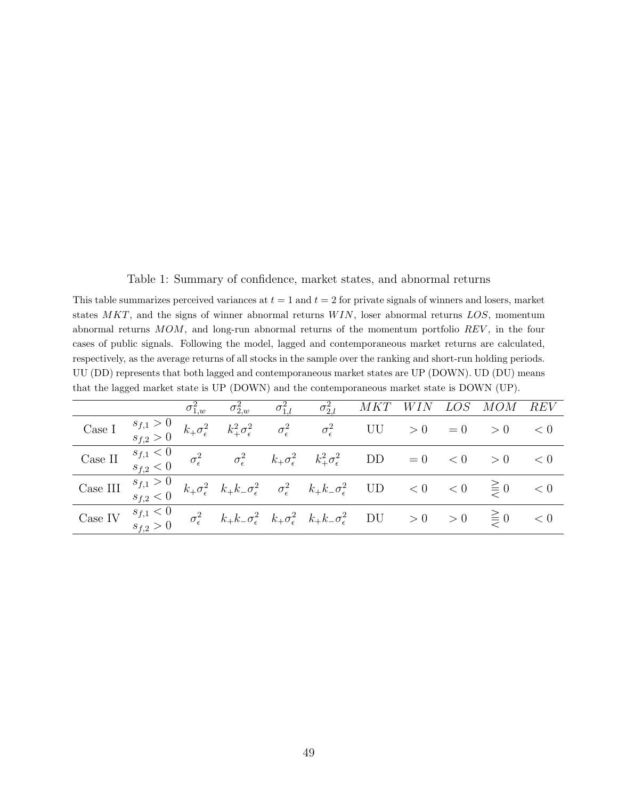<span id="page-49-0"></span>Table 1: Summary of confidence, market states, and abnormal returns

This table summarizes perceived variances at  $t = 1$  and  $t = 2$  for private signals of winners and losers, market states  $MKT$ , and the signs of winner abnormal returns  $WIN$ , loser abnormal returns  $LOS$ , momentum abnormal returns MOM, and long-run abnormal returns of the momentum portfolio REV , in the four cases of public signals. Following the model, lagged and contemporaneous market returns are calculated, respectively, as the average returns of all stocks in the sample over the ranking and short-run holding periods. UU (DD) represents that both lagged and contemporaneous market states are UP (DOWN). UD (DU) means that the lagged market state is UP (DOWN) and the contemporaneous market state is DOWN (UP).

|                                                                                                                                                                                                                                                                                                                  |               | $\sigma_{1,w}^2$ |  | $\sigma_{2,w}^2 \qquad \sigma_{1,l}^2 \qquad \sigma_{2,l}^2 \qquad MKT \quad WIN \quad LOS \quad MOM \quad REV$                                                                                                      |  |             |  |
|------------------------------------------------------------------------------------------------------------------------------------------------------------------------------------------------------------------------------------------------------------------------------------------------------------------|---------------|------------------|--|----------------------------------------------------------------------------------------------------------------------------------------------------------------------------------------------------------------------|--|-------------|--|
| Case I $\begin{array}{ccc} s_{f,1} > 0 & k_{+} \sigma_{\epsilon}^{2} & k_{+}^{2} \sigma_{\epsilon}^{2} & \sigma_{\epsilon}^{2} & \sigma_{\epsilon}^{2} & \text{UU} > 0 = 0 \end{array}$                                                                                                                          |               |                  |  |                                                                                                                                                                                                                      |  | $> 0$ $< 0$ |  |
| Case II $\begin{array}{cc} s_{f,1} < 0 \\ s_{f,2} < 0 \end{array}$                                                                                                                                                                                                                                               |               |                  |  | $\sigma_{\epsilon}^2$ $\sigma_{\epsilon}^2$ $k_{+}\sigma_{\epsilon}^2$ $k_{+}^2\sigma_{\epsilon}^2$ DD = 0 < 0 > 0 < 0                                                                                               |  |             |  |
| $\text{Case III} \quad \begin{array}{l} s_{f,1} > 0 \\ s_{f,2} < 0 \end{array} \ k_+ \sigma_\epsilon^2 \quad k_+ k_- \sigma_\epsilon^2 \quad \  \overline{\sigma_\epsilon^2 \quad \  \, k_+ k_- \sigma_\epsilon^2 \quad \  \, \text{UD} \qquad \, < 0 \quad \  \, < 0 \quad \  \, \gt \, \equiv 0 \qquad \, < 0$ |               |                  |  |                                                                                                                                                                                                                      |  |             |  |
| Case IV $s_{f,1} < 0$                                                                                                                                                                                                                                                                                            | $s_{f,2} > 0$ |                  |  | $\sigma_\epsilon^2 \quad \  \  k_+ k_- \sigma_\epsilon^2 \quad k_+ \sigma_\epsilon^2 \quad \  k_+ k_- \sigma_\epsilon^2 \quad \  \  \mathrm{DU} \quad \quad >0 \quad \quad \geq 0 \quad \quad \geq 0 \quad \quad <0$ |  |             |  |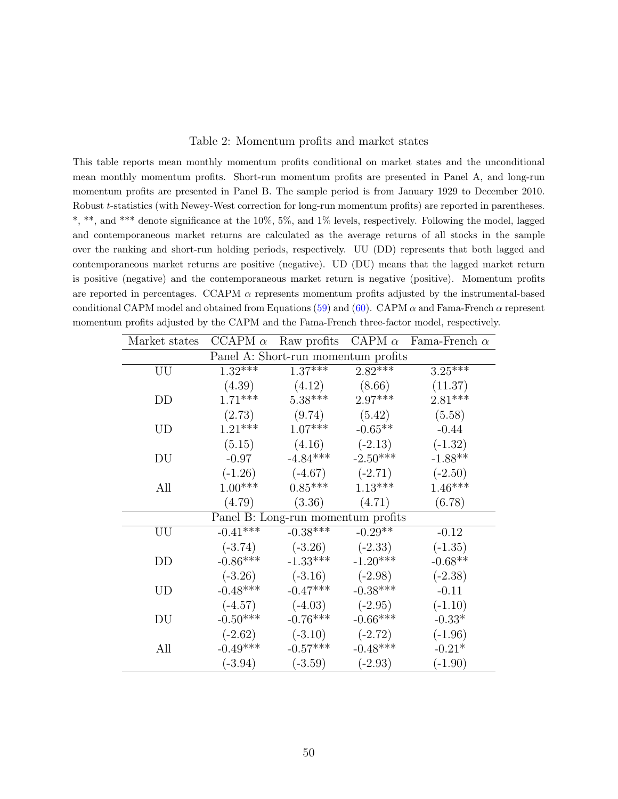#### <span id="page-50-0"></span>Table 2: Momentum profits and market states

This table reports mean monthly momentum profits conditional on market states and the unconditional mean monthly momentum profits. Short-run momentum profits are presented in Panel A, and long-run momentum profits are presented in Panel B. The sample period is from January 1929 to December 2010. Robust t-statistics (with Newey-West correction for long-run momentum profits) are reported in parentheses. \*, \*\*, and \*\*\* denote significance at the 10%, 5%, and 1% levels, respectively. Following the model, lagged and contemporaneous market returns are calculated as the average returns of all stocks in the sample over the ranking and short-run holding periods, respectively. UU (DD) represents that both lagged and contemporaneous market returns are positive (negative). UD (DU) means that the lagged market return is positive (negative) and the contemporaneous market return is negative (positive). Momentum profits are reported in percentages. CCAPM  $\alpha$  represents momentum profits adjusted by the instrumental-based conditional CAPM model and obtained from Equations [\(59\)](#page-29-0) and [\(60\)](#page-29-1). CAPM  $\alpha$  and Fama-French  $\alpha$  represent momentum profits adjusted by the CAPM and the Fama-French three-factor model, respectively.

| Market states                       | CCAPM $\alpha$ | Raw profits | CAPM $\alpha$ | Fama-French $\alpha$ |  |  |  |
|-------------------------------------|----------------|-------------|---------------|----------------------|--|--|--|
| Panel A: Short-run momentum profits |                |             |               |                      |  |  |  |
| UU                                  | $1.32***$      | $1.37***$   | $2.82***$     | $3.25***$            |  |  |  |
|                                     | (4.39)         | (4.12)      | (8.66)        | (11.37)              |  |  |  |
| DD                                  | $1.71***$      | $5.38***$   | $2.97***$     | $2.81***$            |  |  |  |
|                                     | (2.73)         | (9.74)      | (5.42)        | (5.58)               |  |  |  |
| UD                                  | $1.21***$      | $1.07***$   | $-0.65**$     | $-0.44$              |  |  |  |
|                                     | (5.15)         | (4.16)      | $(-2.13)$     | $(-1.32)$            |  |  |  |
| DU                                  | $-0.97$        | $-4.84***$  | $-2.50***$    | $-1.88**$            |  |  |  |
|                                     | $(-1.26)$      | $(-4.67)$   | $(-2.71)$     | $(-2.50)$            |  |  |  |
| All                                 | $1.00***$      | $0.85***$   | $1.13***$     | $1.46***$            |  |  |  |
|                                     | (4.79)         | (3.36)      | (4.71)        | (6.78)               |  |  |  |
| Panel B: Long-run momentum profits  |                |             |               |                      |  |  |  |
| UU                                  | $-0.41***$     | $-0.38***$  | $-0.29**$     | $-0.12$              |  |  |  |
|                                     | $(-3.74)$      | $(-3.26)$   | $(-2.33)$     | $(-1.35)$            |  |  |  |
| DD                                  | $-0.86***$     | $-1.33***$  | $-1.20***$    | $-0.68**$            |  |  |  |
|                                     | $(-3.26)$      | $(-3.16)$   | $(-2.98)$     | $(-2.38)$            |  |  |  |
| UD                                  | $-0.48***$     | $-0.47***$  | $-0.38***$    | $-0.11$              |  |  |  |
|                                     | $(-4.57)$      | $(-4.03)$   | $(-2.95)$     | $(-1.10)$            |  |  |  |
| DU                                  | $-0.50***$     | $-0.76***$  | $-0.66***$    | $-0.33*$             |  |  |  |
|                                     | $(-2.62)$      | $(-3.10)$   | $(-2.72)$     | $(-1.96)$            |  |  |  |
| All                                 | $-0.49***$     | $-0.57***$  | $-0.48***$    | $-0.21*$             |  |  |  |
|                                     | $(-3.94)$      | $(-3.59)$   | $(-2.93)$     | $(-1.90)$            |  |  |  |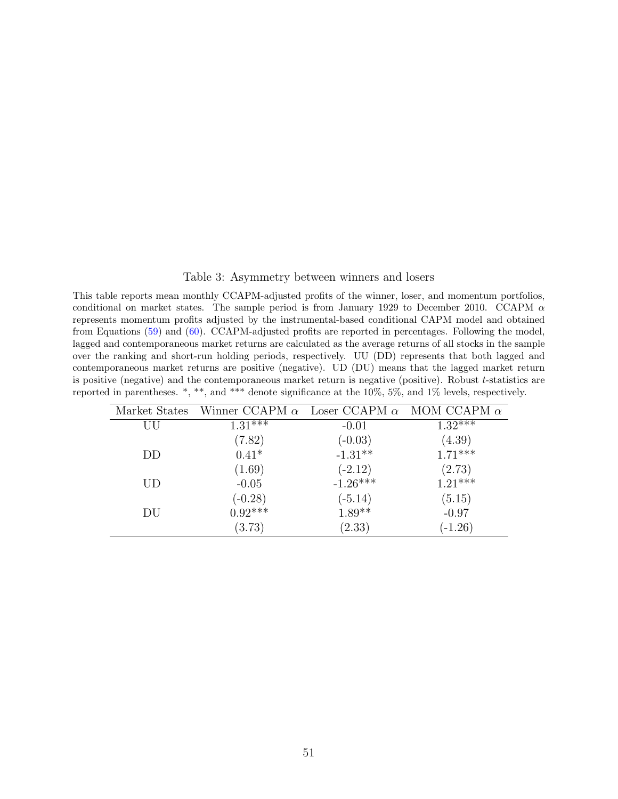#### <span id="page-51-0"></span>Table 3: Asymmetry between winners and losers

This table reports mean monthly CCAPM-adjusted profits of the winner, loser, and momentum portfolios, conditional on market states. The sample period is from January 1929 to December 2010. CCAPM  $\alpha$ represents momentum profits adjusted by the instrumental-based conditional CAPM model and obtained from Equations [\(59\)](#page-29-0) and [\(60\)](#page-29-1). CCAPM-adjusted profits are reported in percentages. Following the model, lagged and contemporaneous market returns are calculated as the average returns of all stocks in the sample over the ranking and short-run holding periods, respectively. UU (DD) represents that both lagged and contemporaneous market returns are positive (negative). UD (DU) means that the lagged market return is positive (negative) and the contemporaneous market return is negative (positive). Robust t-statistics are reported in parentheses. \*, \*\*, and \*\*\* denote significance at the 10%, 5%, and 1% levels, respectively.

| Market States | Winner CCAPM $\alpha$ Loser CCAPM $\alpha$ MOM CCAPM $\alpha$ |            |           |
|---------------|---------------------------------------------------------------|------------|-----------|
| UU            | $1.31$ ***                                                    | $-0.01$    | $1.32***$ |
|               | (7.82)                                                        | $(-0.03)$  | (4.39)    |
| DD            | $0.41*$                                                       | $-1.31**$  | $1.71***$ |
|               | (1.69)                                                        | $(-2.12)$  | (2.73)    |
| <b>UD</b>     | $-0.05$                                                       | $-1.26***$ | $1.21***$ |
|               | $(-0.28)$                                                     | $(-5.14)$  | (5.15)    |
| DU            | $0.92***$                                                     | $1.89**$   | $-0.97$   |
|               | (3.73)                                                        | (2.33)     | $(-1.26)$ |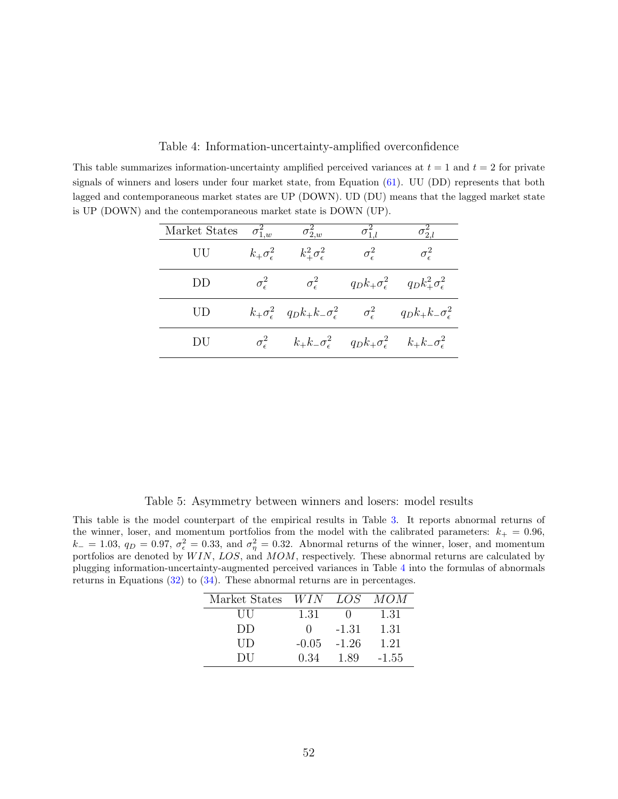<span id="page-52-0"></span>Table 4: Information-uncertainty-amplified overconfidence

This table summarizes information-uncertainty amplified perceived variances at  $t = 1$  and  $t = 2$  for private signals of winners and losers under four market state, from Equation [\(61\)](#page-34-0). UU (DD) represents that both lagged and contemporaneous market states are UP (DOWN). UD (DU) means that the lagged market state is UP (DOWN) and the contemporaneous market state is DOWN (UP).

| Market States | $\sigma_{1,w}^2$             | $\sigma_{2,w}^2$                                                                                                      |                       | $\sigma_{2,l}$                                            |
|---------------|------------------------------|-----------------------------------------------------------------------------------------------------------------------|-----------------------|-----------------------------------------------------------|
| UU            | $k_{+}\sigma_{\epsilon}^{2}$ | $k_{+}^{2}\sigma_{\epsilon}^{2}$                                                                                      | $\sigma_{\epsilon}^2$ | $\sigma_{\epsilon}^2$                                     |
| DD.           | $\sigma_{\epsilon}^2$        | $\sigma_{\epsilon}^2$                                                                                                 |                       | $q_D k_+ \sigma_\epsilon^2$ $q_D k_+^2 \sigma_\epsilon^2$ |
| UD            |                              | $k_+\sigma_\epsilon^2$ $q_D k_+ k_- \sigma_\epsilon^2$ $\sigma_\epsilon^2$ $q_D k_+ k_- \sigma_\epsilon^2$            |                       |                                                           |
| DU            |                              | $\sigma_{\epsilon}^2$ $k_{+}k_{-}\sigma_{\epsilon}^2$ $q_{D}k_{+}\sigma_{\epsilon}^2$ $k_{+}k_{-}\sigma_{\epsilon}^2$ |                       |                                                           |

<span id="page-52-1"></span>Table 5: Asymmetry between winners and losers: model results

This table is the model counterpart of the empirical results in Table [3.](#page-51-0) It reports abnormal returns of the winner, loser, and momentum portfolios from the model with the calibrated parameters:  $k_{+} = 0.96$ ,  $k_-=1.03, q_D=0.97, \sigma_\epsilon^2=0.33, \text{ and } \sigma_\eta^2=0.32.$  Abnormal returns of the winner, loser, and momentum portfolios are denoted by  $WIN$ ,  $LOS$ , and  $MOM$ , respectively. These abnormal returns are calculated by plugging information-uncertainty-augmented perceived variances in Table [4](#page-52-0) into the formulas of abnormals returns in Equations [\(32\)](#page-18-0) to [\(34\)](#page-18-1). These abnormal returns are in percentages.

| Market States | <i>WIN</i> | LOS <sup>-</sup> | МОМ     |
|---------------|------------|------------------|---------|
| Ш             | 1.31       |                  | 1.31    |
| DD            | $\cup$     | -1.31            | 1.31    |
| UD            | $-0.05$    | $-1.26$          | 1.21    |
| DU            | 0.34       | 1.89             | $-1.55$ |
|               |            |                  |         |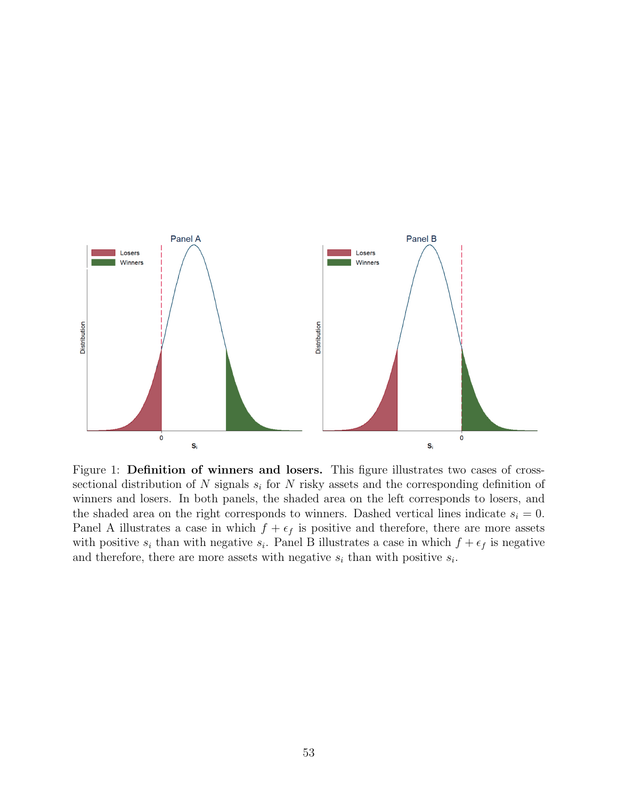

<span id="page-53-0"></span>Figure 1: **Definition of winners and losers.** This figure illustrates two cases of crosssectional distribution of N signals  $s_i$  for N risky assets and the corresponding definition of winners and losers. In both panels, the shaded area on the left corresponds to losers, and the shaded area on the right corresponds to winners. Dashed vertical lines indicate  $s_i = 0$ . Panel A illustrates a case in which  $f + \epsilon_f$  is positive and therefore, there are more assets with positive  $s_i$  than with negative  $s_i$ . Panel B illustrates a case in which  $f + \epsilon_f$  is negative and therefore, there are more assets with negative  $s_i$  than with positive  $s_i$ .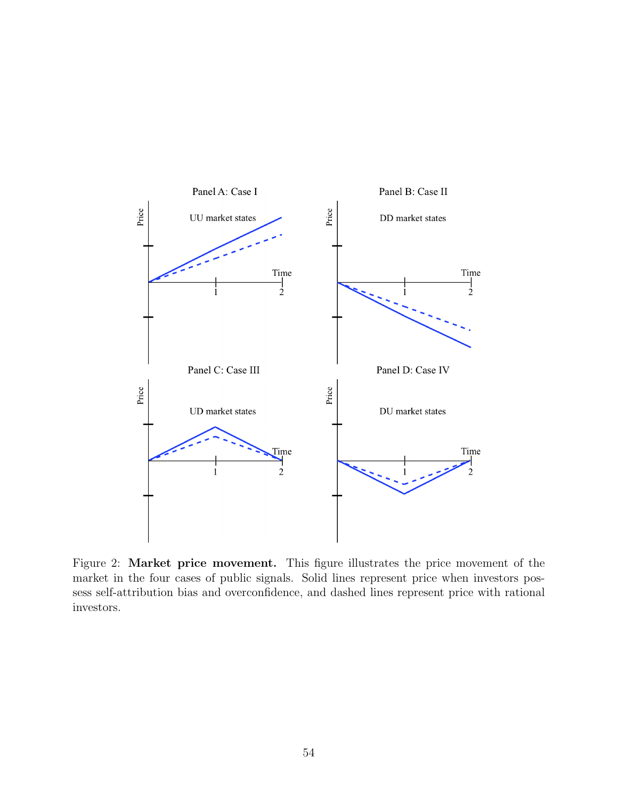

<span id="page-54-0"></span>Figure 2: Market price movement. This figure illustrates the price movement of the market in the four cases of public signals. Solid lines represent price when investors possess self-attribution bias and overconfidence, and dashed lines represent price with rational investors.